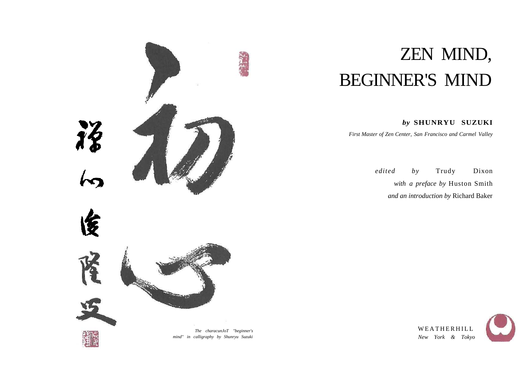

# ZEN MIND, BEGINNER'S MIND

### *by* **SHUNRYU SUZUKI**

*First Master of Zen Center, San Francisco and Carmel Valley* 

*edited by* Trudy Dixon *with a preface by* Huston Smith *and an introduction by* Richard Baker

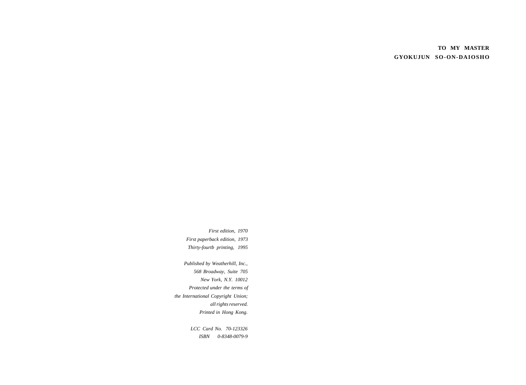**TO MY MASTER GYOKUJUN SO-ON-DAIOSHO** 

*First edition, 1970 First paperback edition, 1973 Thirty-fourtb printing, 1995* 

*Published by Weatherhill, Inc., 568 Broadway, Suite 705 New York, N.Y. 10012 Protected under the terms of the International Copyright Union; all rights reserved. Printed in Hong Kong.* 

> *LCC Card No. 70-123326 ISBN 0-8348-0079-9*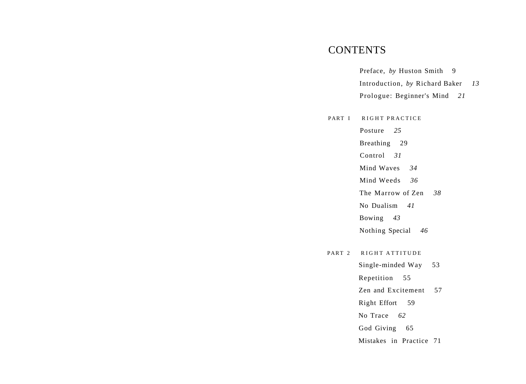# **CONTENTS**

Preface, *by* Huston Smith 9 Introduction, *by* Richard Baker *13*  Prologue: Beginner's Mind *21* 

PART I RIGHT PRACTICE

Posture *25* 

Breathing 29

Control *31* 

Mind Waves *34* 

Mind Weeds *36* 

The Marrow of Zen *38* 

No Dualism *41* 

Bowing *43* 

Nothing Special *46* 

PART 2 RIGHT ATTITUDE

Single-minded Way 53

Repetition 55

Zen and Excitement 57

Right Effort 59

No Trace *62* 

God Giving 65

Mistakes in Practice 71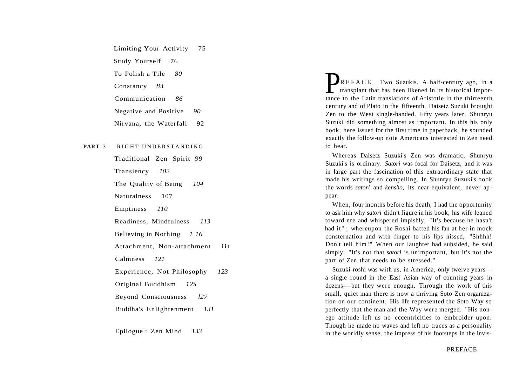Limiting Your Activity 75

Study Yourself 76

To Polish a Tile *80* 

Constancy *83* 

Communication *86* 

Negative and Positive *90* 

Nirvana, the Waterfall 92

#### **PART** 3 RIGHT UNDERSTANDING

Traditional Zen Spirit 99

Transiency *102* 

The Quality of Being *104* 

Naturalness 107

Emptiness *110* 

Readiness, Mindfulness *113* 

Believing in Nothing *1 16* 

Attachment, Non-attachment iit

Calmness *121* 

Experience, Not Philosophy *123* 

Original Buddhism *12S* 

Beyond Consciousness *l27* 

Buddha's Enlightenment *131* 

Epilogue : Zen Mind *133* 

 $\sum_{t \text{ance}}$ REFAC E Two Suzukis. A half-century ago, in a transplant that has been likened in its historical importance to the Latin translations of Aristotle in the thirteenth century and of Plato in the fifteenth, Daisetz Suzuki brought Zen to the West single-handed. Fifty years later, Shunryu Suzuki did something almost as important. In this his only book, here issued for the first time in paperback, he sounded exactly the follow-up note Americans interested in Zen need to hear.

Whereas Daisetz Suzuki's Zen was dramatic, Shunryu Suzuki's is ordinary. *Satori* was focal for Daisetz, and it was in large part the fascination of this extraordinary state that made his writings so compelling. In Shunryu Suzuki's book the words *satori* and *kensho,* its near-equivalent, never appear.

When, four months before his death, I had the opportunity to ask him why *satori* didn't figure in his book, his wife leaned toward nne and whispered impishly, "It's because he hasn't had it"; whereupon the Roshi batted his fan at her in mock consternation and with finger to his lips hissed, "Shhhh! Don't tell him!" When our laughter had subsided, he said simply, "It's not that *satori* is unimportant, but it's not the part of Zen that needs to be stressed."

Suzuki-roshi was with us, in America, only twelve years a single round in the East Asian way of counting years in dozens-—but they were enough. Through the work of this small, quiet man there is now a thriving Soto Zen organization on our continent. His life represented the Soto Way so perfectly that the man and the Way were merged. "His nonego attitude left us no eccentricities to embroider upon. Though he made no waves and left no traces as a personality in the worldly sense, the impress of his footsteps in the invis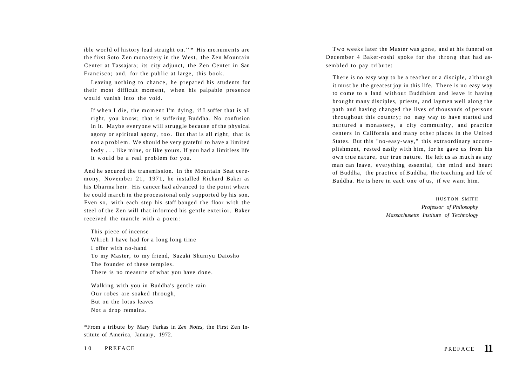ible world of history lead straight on."\* His monuments are the first Soto Zen monastery in the West, the Zen Mountain Center at Tassajara; its city adjunct, the Zen Center in San Francisco; and, for the public at large, this book.

Leaving nothing to chance, he prepared his students for their most difficult moment, when his palpable presence would vanish into the void.

If when I die, the moment I'm dying, if I suffer that is all right, you know; that is suffering Buddha. No confusion in it. Maybe everyone will struggle because of the physical agony or spiritual agony, too. But that is all right, that is not a problem. We should be very grateful to have a limited body . . . like mine, or like yours. If you had a limitless life it would be a real problem for you.

And he secured the transmission. In the Mountain Seat ceremony, November 21, 1971, he installed Richard Baker as his Dharma heir. His cancer had advanced to the point where he could march in the processional only supported by his son. Even so, with each step his staff banged the floor with the steel of the Zen will that informed his gentle exterior. Baker received the mantle with a poem:

This piece of incense Which I have had for a long long time I offer with no-hand To my Master, to my friend, Suzuki Shunryu Daiosho The founder of these temples. There is no measure of what you have done.

Walking with you in Buddha's gentle rain Our robes are soaked through, But on the lotus leaves Not a drop remains.

\*From a tribute by Mary Farkas in *Zen Notes,* the First Zen Institute of America, January, 1972.

Two weeks later the Master was gone, and at his funeral on December 4 Baker-roshi spoke for the throng that had assembled to pay tribute:

There is no easy way to be a teacher or a disciple, although it must be the greatest joy in this life. There is no easy way to come to a land without Buddhism and leave it having brought many disciples, priests, and laymen well along the path and having changed the lives of thousands of persons throughout this country; no easy way to have started and nurtured a monastery, a city community, and practice centers in California and many other places in the United States. But this "no-easy-way," this extraordinary accomplishment, rested easily with him, for he gave us from his own true nature, our true nature. He left us as much as any man can leave, everything essential, the mind and heart of Buddha, the practice of Buddha, the teaching and life of Buddha. He is here in each one of us, if we want him.

> HUSTON SMITH *Professor of Philosophy Massachusetts Institute of Technology*

1 0 PREFACE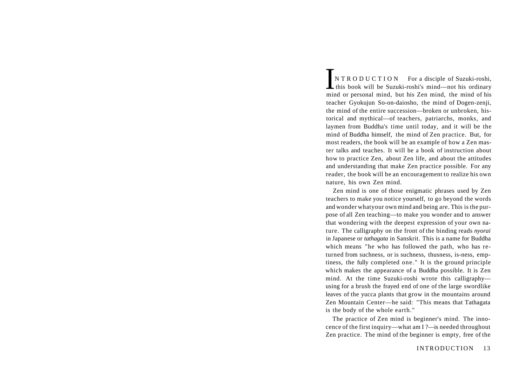I NTRODUCTION For a disciple of Suzuki-roshi, this book will be Suzuki-roshi's mind—not his ordinary mind or personal mind, but his Zen mind, the mind of his teacher Gyokujun So-on-daiosho, the mind of Dogen-zenji, the mind of the entire succession—broken or unbroken, historical and mythical—of teachers, patriarchs, monks, and laymen from Buddha's time until today, and it will be the mind of Buddha himself, the mind of Zen practice. But, for most readers, the book will be an example of how a Zen master talks and teaches. It will be a book of instruction about how to practice Zen, about Zen life, and about the attitudes and understanding that make Zen practice possible. For any reader, the book will be an encouragement to realize his own nature, his own Zen mind.

Zen mind is one of those enigmatic phrases used by Zen teachers to make you notice yourself, to go beyond the words and wonder whatyour own mind and being are. This is the purpose of all Zen teaching—to make you wonder and to answer that wondering with the deepest expression of your own nature. The calligraphy on the front of the binding reads *nyorai*  in Japanese or *tathagata* in Sanskrit. This is a name for Buddha which means "he who has followed the path, who has returned from suchness, or is suchness, thusness, is-ness, emptiness, the fully completed one." It is the ground principle which makes the appearance of a Buddha possible. It is Zen mind. At the time Suzuki-roshi wrote this calligraphy using for a brush the frayed end of one of the large swordlike leaves of the yucca plants that grow in the mountains around Zen Mountain Center—he said: "This means that Tathagata is the body of the whole earth."

The practice of Zen mind is beginner's mind. The innocence of the first inquiry—what am I ?—is needed throughout Zen practice. The mind of the beginner is empty, free of the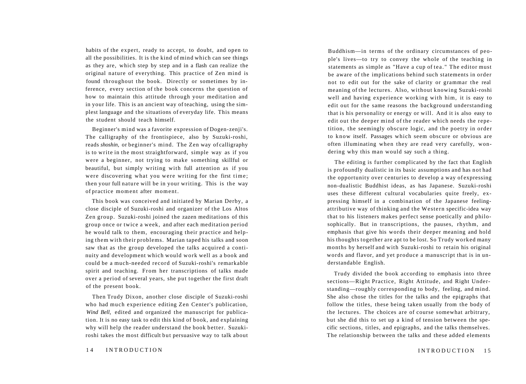habits of the expert, ready to accept, to doubt, and open to all the possibilities. It is the kind of mind which can see things as they are, which step by step and in a flash can realize the original nature of everything. This practice of Zen mind is found throughout the book. Directly or sometimes by inference, every section of the book concerns the question of how to maintain this attitude through your meditation and in your life. This is an ancient way of teaching, using the simplest language and the situations of everyday life. This means the student should teach himself.

Beginner's mind was a favorite expression of Dogen-zenji's. The calligraphy of the frontispiece, also by Suzuki-roshi, reads *shoshin,* or beginner's mind. The Zen way of calligraphy is to write in the most straightforward, simple way as if you were a beginner, not trying to make something skillful or beautiful, but simply writing with full attention as if you were discovering what you were writing for the first time; then your full nature will be in your writing. This is the way of practice moment after moment.

This book was conceived and initiated by Marian Derby, a close disciple of Suzuki-roshi and organizer of the Los Altos Zen group. Suzuki-roshi joined the zazen meditations of this group once or twice a week, and after each meditation period he would talk to them, encouraging their practice and helping them with their problems. Marian taped his talks and soon saw that as the group developed the talks acquired a continuity and development which would work well as a book and could be a much-needed record of Suzuki-roshi's remarkable spirit and teaching. From her transcriptions of talks made over a period of several years, she put together the first draft of the present book.

Then Trudy Dixon, another close disciple of Suzuki-roshi who had much experience editing Zen Center's publication, *Wind Bell,* edited and organized the manuscript for publication. It is no easy task to edit this kind of book, and explaining why will help the reader understand the book better. Suzukiroshi takes the most difficult but persuasive way to talk about

Buddhism—in terms of the ordinary circumstances of people's lives—to try to convey the whole of the teaching in statements as simple as "Have a cup of tea. " The editor must be aware of the implications behind such statements in order not to edit out for the sake of clarity or grammar the real meaning of the lectures. Also, without knowing Suzuki-roshi well and having experience working with him, it is easy to edit out for the same reasons the background understanding that is his personality or energy or will. And it is also easy to edit out the deeper mind of the reader which needs the repetition, the seemingly obscure logic, and the poetry in order to know itself. Passages which seem obscure or obvious are often illuminating when they are read very carefully, wondering why this man would say such a thing.

The editing is further complicated by the fact that English is profoundly dualistic in its basic assumptions and has not had the opportunity over centuries to develop a way of expressing non-dualistic Buddhist ideas, as has Japanese. Suzuki-roshi uses these different cultural vocabularies quite freely, expressing himself in a combination of the Japanese feelingattributive way of thinking and the Western specific-idea way that to his listeners makes perfect sense poetically and philosophically. But in transcriptions, the pauses, rhythm, and emphasis that give his words their deeper meaning and hold his thoughts together are apt to be lost. So Trudy worked many months by herself and with Suzuki-roshi to retain his original words and flavor, and yet produce a manuscript that is in understandable English.

Trudy divided the book according to emphasis into three sections—Right Practice, Right Attitude, and Right Understanding—roughly corresponding to body, feeling, and mind. She also chose the titles for the talks and the epigraphs that follow the titles, these being taken usually from the body of the lectures. The choices are of course somewhat arbitrary, but she did this to set up a kind of tension between the specific sections, titles, and epigraphs, and the talks themselves. The relationship between the talks and these added elements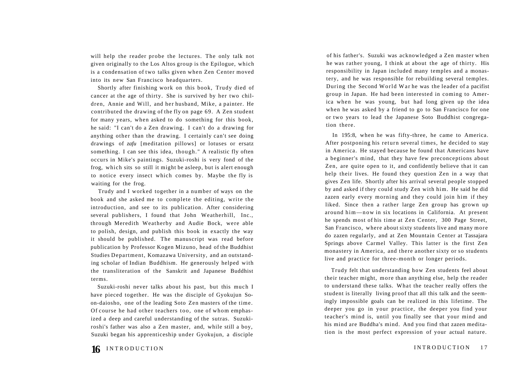will help the reader probe the lectures. The only talk not given originally to the Los Altos group is the Epilogue, which is a condensation of two talks given when Zen Center moved into its new San Francisco headquarters.

Shortly after finishing work on this book, Trudy died of cancer at the age of thirty. She is survived by her two children, Annie and Will, and her husband, Mike, a painter. He contributed the drawing of the fly on page 69. A Zen student for many years, when asked to do something for this book, he said: "I can't do a Zen drawing. I can't do a drawing for anything other than the drawing. I certainly can't see doing drawings of *zafu* [meditation pillows] or lotuses or ersatz something. I can see this idea, though." A realistic fly often occurs in Mike's paintings. Suzuki-roshi is very fond of the frog, which sits so still it might be asleep, but is alert enough to notice every insect which comes by. Maybe the fly is waiting for the frog.

Trudy and I worked together in a number of ways on the book and she asked me to complete the editing, write the introduction, and see to its publication. After considering several publishers, I found that John Weatherhill, Inc., through Meredith Weatherby and Audie Bock, were able to polish, design, and publish this book in exactly the way it should be published. The manuscript was read before publication by Professor Kogen Mizuno, head of the Buddhist Studies Department, Komazawa University, and an outstanding scholar of Indian Buddhism. He generously helped with the transliteration of the Sanskrit and Japanese Buddhist terms.

Suzuki-roshi never talks about his past, but this much I have pieced together. He was the disciple of Gyokujun Soon-daiosho, one of the leading Soto Zen masters of the time. Of course he had other teachers too, one of whom emphasized a deep and careful understanding of the sutras. Suzukiroshi's father was also a Zen master, and, while still a boy, Suzuki began his apprenticeship under Gyokujun, a disciple

of his father's. Suzuki was acknowledged a Zen master when he was rather young, I think at about the age of thirty. His responsibility in Japan included many temples and a monastery, and he was responsible for rebuilding several temples. During the Second World War he was the leader of a pacifist group in Japan. He had been interested in coming to America when he was young, but had long given up the idea when he was asked by a friend to go to San Francisco for one or two years to lead the Japanese Soto Buddhist congregation there.

In 195:8, when he was fifty-three, he came to America. After postponing his return several times, he decided to stay in America. He stayed because he found that Americans have a beginner's mind, that they have few preconceptions about Zen, are quite open to it, and confidently believe that it can help their lives. He found they question Zen in a way that gives Zen life. Shortly after his arrival several people stopped by and asked if they could study Zen with him. He said he did zazen early every morning and they could join him if they liked. Since then a rather large Zen group has grown up around him—now in six locations in California. At present he spends most of his time at Zen Center, 300 Page Street, San Francisco, where about sixty students live and many more do zazen regularly, and at Zen Mountain Center at Tassajara Springs above Carmel Valley. This latter is the first Zen monastery in America, and there another sixty or so students live and practice for three-month or longer periods.

Trudy felt that understanding how Zen students feel about their teacher might, more than anything else, help the reader to understand these talks. What the teacher really offers the student is literally living proof that all this talk and the seemingly impossible goals can be realized in this lifetime. The deeper you go in your practice, the deeper you find your teacher's mind is, until you finally see that your mind and his mind are Buddha's mind. And you find that zazen meditation is the most perfect expression of your actual nature.

### 16 INTRODUCTION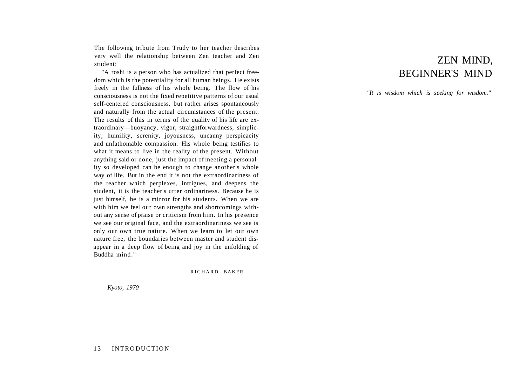The following tribute from Trudy to her teacher describes very well the relationship between Zen teacher and Zen student:

"A roshi is a person who has actualized that perfect freedom which is the potentiality for all human beings. He exists freely in the fullness of his whole being. The flow of his consciousness is not the fixed repetitive patterns of our usual self-centered consciousness, but rather arises spontaneously and naturally from the actual circumstances of the present. The results of this in terms of the quality of his life are extraordinary—buoyancy, vigor, straightforwardness, simplicity, humility, serenity, joyousness, uncanny perspicacity and unfathomable compassion. His whole being testifies to what it means to live in the reality of the present. Without anything said or done, just the impact of meeting a personality so developed can be enough to change another's whole way of life. But in the end it is not the extraordinariness of the teacher which perplexes, intrigues, and deepens the student, it is the teacher's utter ordinariness. Because he is just himself, he is a mirror for his students. When we are with him we feel our own strengths and shortcomings without any sense of praise or criticism from him. In his presence we see our original face, and the extraordinariness we see is only our own true nature. When we learn to let our own nature free, the boundaries between master and student disappear in a deep flow of being and joy in the unfolding of Buddha mind."

RICHARD BAKER

*Kyoto, 1970* 

# ZEN MIND, BEGINNER'S MIND

*"It is wisdom which is seeking for wisdom."* 

#### 13 INTRODUCTION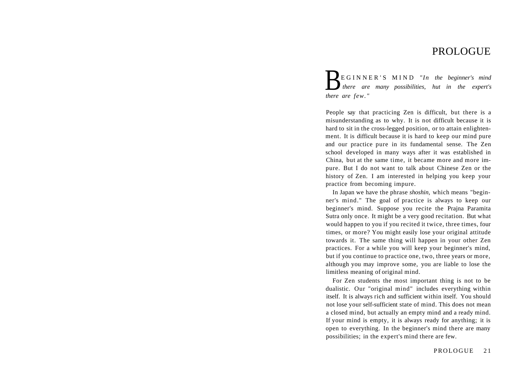## PROLOGUE

 $\sum$  EGINNER'S MIND "In the beginner's mind there are many possibilities, hut in the expert's *there are many possibilities, hut in the expert's there are few."* 

People say that practicing Zen is difficult, but there is a misunderstanding as to why. It is not difficult because it is hard to sit in the cross-legged position, or to attain enlightenment. It is difficult because it is hard to keep our mind pure and our practice pure in its fundamental sense. The Zen school developed in many ways after it was established in China, but at the same time, it became more and more impure. But I do not want to talk about Chinese Zen or the history of Zen. I am interested in helping you keep your practice from becoming impure.

In Japan we have the phrase *shoshin,* which means "beginner's mind." The goal of practice is always to keep our beginner's mind. Suppose you recite the Prajna Paramita Sutra only once. It might be a very good recitation. But what would happen to you if you recited it twice, three times, four times, or more? You might easily lose your original attitude towards it. The same thing will happen in your other Zen practices. For a while you will keep your beginner's mind, but if you continue to practice one, two, three years or more, although you may improve some, you are liable to lose the limitless meaning of original mind.

For Zen students the most important thing is not to be dualistic. Our "original mind" includes everything within itself. It is always rich and sufficient within itself. You should not lose your self-sufficient state of mind. This does not mean a closed mind, but actually an empty mind and a ready mind. If your mind is empty, it is always ready for anything; it is open to everything. In the beginner's mind there are many possibilities; in the expert's mind there are few.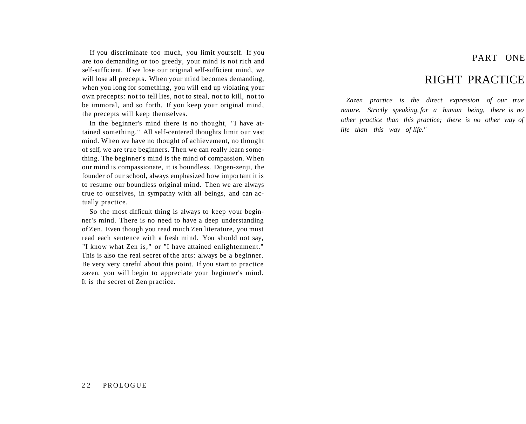If you discriminate too much, you limit yourself. If you are too demanding or too greedy, your mind is not rich and self-sufficient. If we lose our original self-sufficient mind, we will lose all precepts. When your mind becomes demanding, when you long for something, you will end up violating your own precepts: not to tell lies, not to steal, not to kill, not to be immoral, and so forth. If you keep your original mind, the precepts will keep themselves.

In the beginner's mind there is no thought, "I have attained something." All self-centered thoughts limit our vast mind. When we have no thought of achievement, no thought of self, we are true beginners. Then we can really learn something. The beginner's mind is the mind of compassion. When our mind is compassionate, it is boundless. Dogen-zenji, the founder of our school, always emphasized how important it is to resume our boundless original mind. Then we are always true to ourselves, in sympathy with all beings, and can actually practice.

So the most difficult thing is always to keep your beginner's mind. There is no need to have a deep understanding of Zen. Even though you read much Zen literature, you must read each sentence with a fresh mind. You should not say, "I know what Zen is," or "I have attained enlightenment." This is also the real secret of the arts: always be a beginner. Be very very careful about this point. If you start to practice zazen, you will begin to appreciate your beginner's mind. It is the secret of Zen practice.

### PART ONE

## RIGHT PRACTICE

*Zazen practice is the direct expression of our true nature. Strictly speaking, for a human being, there is no other practice than this practice; there is no other way of life than this way of life."* 

#### 22 PROLOGUE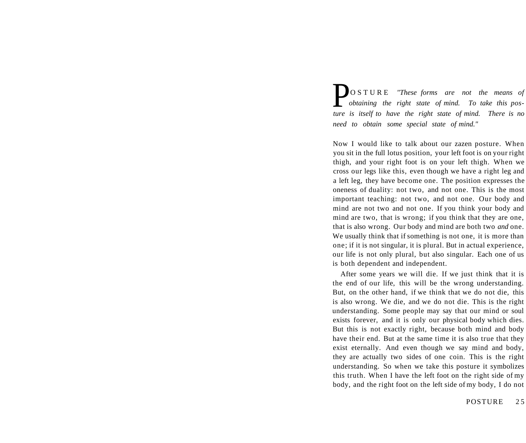$\mathbf{P}_{a}^{a}$ OSTUR E *"These forms are not the means of obtaining the right state of mind. To take this posture is itself to have the right state of mind. There is no need to obtain some special state of mind."* 

Now I would like to talk about our zazen posture. When you sit in the full lotus position, your left foot is on your right thigh, and your right foot is on your left thigh. When we cross our legs like this, even though we have a right leg and a left leg, they have become one. The position expresses the oneness of duality: not two, and not one. This is the most important teaching: not two, and not one. Our body and mind are not two and not one. If you think your body and mind are two, that is wrong; if you think that they are one, that is also wrong. Our body and mind are both two *and* one. We usually think that if something is not one, it is more than one; if it is not singular, it is plural. But in actual experience, our life is not only plural, but also singular. Each one of us is both dependent and independent.

After some years we will die. If we just think that it is the end of our life, this will be the wrong understanding. But, on the other hand, if we think that we do not die, this is also wrong. We die, and we do not die. This is the right understanding. Some people may say that our mind or soul exists forever, and it is only our physical body which dies. But this is not exactly right, because both mind and body have their end. But at the same time it is also true that they exist eternally. And even though we say mind and body, they are actually two sides of one coin. This is the right understanding. So when we take this posture it symbolizes this truth. When I have the left foot on the right side of my body, and the right foot on the left side of my body, I do not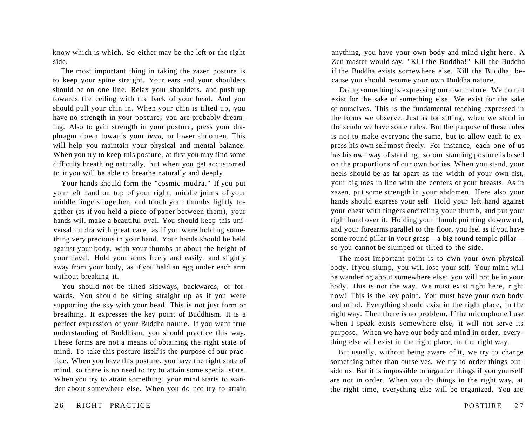know which is which. So either may be the left or the right side.

The most important thing in taking the zazen posture is to keep your spine straight. Your ears and your shoulders should be on one line. Relax your shoulders, and push up towards the ceiling with the back of your head. And you should pull your chin in. When your chin is tilted up, you have no strength in your posture; you are probably dreaming. Also to gain strength in your posture, press your diaphragm down towards your *hara,* or lower abdomen. This will help you maintain your physical and mental balance. When you try to keep this posture, at first you may find some difficulty breathing naturally, but when you get accustomed to it you will be able to breathe naturally and deeply.

Your hands should form the "cosmic mudra." If you put your left hand on top of your right, middle joints of your middle fingers together, and touch your thumbs lightly together (as if you held a piece of paper between them), your hands will make a beautiful oval. You should keep this universal mudra with great care, as if you were holding something very precious in your hand. Your hands should be held against your body, with your thumbs at about the height of your navel. Hold your arms freely and easily, and slightly away from your body, as if you held an egg under each arm without breaking it.

You should not be tilted sideways, backwards, or forwards. You should be sitting straight up as if you were supporting the sky with your head. This is not just form or breathing. It expresses the key point of Buddhism. It is a perfect expression of your Buddha nature. If you want true understanding of Buddhism, you should practice this way. These forms are not a means of obtaining the right state of mind. To take this posture itself is the purpose of our practice. When you have this posture, you have the right state of mind, so there is no need to try to attain some special state. When you try to attain something, your mind starts to wander about somewhere else. When you do not try to attain anything, you have your own body and mind right here. A Zen master would say, "Kill the Buddha!" Kill the Buddha if the Buddha exists somewhere else. Kill the Buddha, because you should resume your own Buddha nature.

Doing something is expressing our own nature. We do not exist for the sake of something else. We exist for the sake of ourselves. This is the fundamental teaching expressed in the forms we observe. Just as for sitting, when we stand in the zendo we have some rules. But the purpose of these rules is not to make everyone the same, but to allow each to express his own self most freely. For instance, each one of us has his own way of standing, so our standing posture is based on the proportions of our own bodies. When you stand, your heels should be as far apart as the width of your own fist, your big toes in line with the centers of your breasts. As in zazen, put some strength in your abdomen. Here also your hands should express your self. Hold your left hand against your chest with fingers encircling your thumb, and put your right hand over it. Holding your thumb pointing downward, and your forearms parallel to the floor, you feel as if you have some round pillar in your grasp—a big round temple pillar so you cannot be slumped or tilted to the side.

The most important point is to own your own physical body. If you slump, you will lose your self. Your mind will be wandering about somewhere else; you will not be in your body. This is not the way. We must exist right here, right now! This is the key point. You must have your own body and mind. Everything should exist in the right place, in the right way. Then there is no problem. If the microphone I use when I speak exists somewhere else, it will not serve its purpose. When we have our body and mind in order, everything else will exist in the right place, in the right way.

But usually, without being aware of it, we try to change something other than ourselves, we try to order things outside us. But it is impossible to organize things if you yourself are not in order. When you do things in the right way, at the right time, everything else will be organized. You are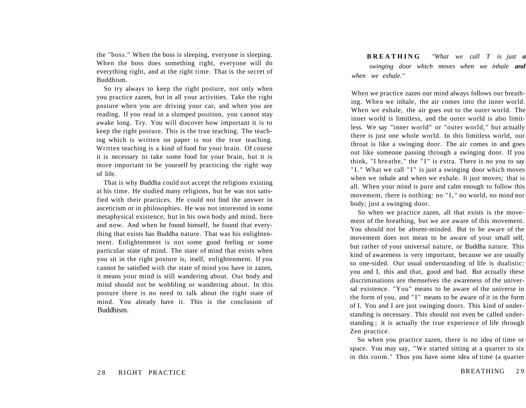the "boss." When the boss is sleeping, everyone is sleeping. When the boss does something right, everyone will do everything right, and at the right time. That is the secret of Buddhism.

So try always to keep the right posture, not only when you practice zazen, but in all your activities. Take the right posture when you are driving your car, and when you are reading. If you read in a slumped position, you cannot stay awake long. Try. You will discover how important it is to keep the right posture. This is the true teaching. The teaching which is written on paper is not the true teaching. Written teaching is a kind of food for your brain. Of course it is necessary to take some food for your brain, but it is more important to be yourself by practicing the right way of life.

That is why Buddha could not accept the religions existing at his time. He studied many religions, but he was not satisfied with their practices. He could not find the answer in asceticism or in philosophies. He was not interested in some metaphysical existence, but in his own body and mind, here and now. And when he found himself, he found that everything that exists has Buddha nature. That was his enlightenment. Enlightenment is not some good feeling or some particular state of mind. The state of mind that exists when you sit in the right posture is, itself, enlightenment. If you cannot be satisfied with the state of mind you have in zazen, it means your mind is still wandering about. Our body and mind should not be wobbling or wandering about. In this posture there is no need to talk about the right state of mind. You already have it. This is the conclusion of Buddhism.

**BREATHIN G** *"What we call T is just a swinging door which moves when we inhale and when we exhale."* 

When we practice zazen our mind always follows our breathing. When we inhale, the air comes into the inner world. When we exhale, the air goes out to the outer world. The inner world is limitless, and the outer world is also limitless. We say "inner world" or "outer world," but actually there is just one whole world. In this limitless world, our throat is like a swinging door. The air comes in and goes out like someone passing through a swinging door. If you think, "I breathe," the "I" is extra. There is no you to say "I." What we call "I" is just a swinging door which moves when we inhale and when we exhale. It just moves; that is all. When your mind is pure and calm enough to follow this movement, there is nothing: no "I, " no world, no mind nor body; just a swinging door.

So when we practice zazen, all that exists is the movement of the breathing, but we are aware of this movement. You should not be absent-minded. But to be aware of the movement does not mean to be aware of your small self, but rather of your universal nature, or Buddha nature. This kind of awareness is very important, because we are usually so one-sided. Our usual understanding of life is dualistic: you and I, this and that, good and bad. But actually these discriminations are themselves the awareness of the universal existence. "You" means to be aware of the universe in the form of you, and "I" means to be aware of it in the form of I. You and I are just swinging doors. This kind of understanding is necessary. This should not even be called understanding ; it is actually the true experience of life through Zen practice.

So when you practice zazen, there is no idea of time or space. You may say, "We started sitting at a quarter to six in this room." Thus you have some idea of time (a quarter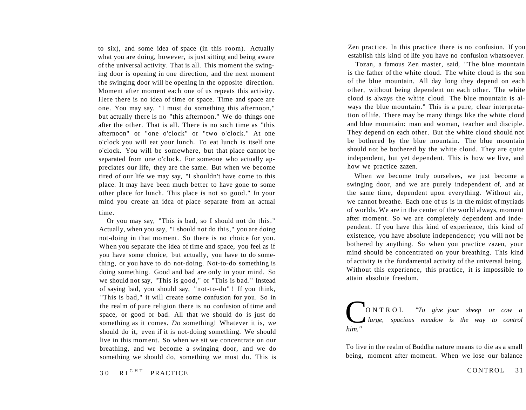to six), and some idea of space (in this room). Actually what you are doing, however, is just sitting and being aware of the universal activity. That is all. This moment the swinging door is opening in one direction, and the next moment the swinging door will be opening in the opposite direction. Moment after moment each one of us repeats this activity. Here there is no idea of time or space. Time and space are one. You may say, "I must do something this afternoon," but actually there is no "this afternoon." We do things one after the other. That is all. There is no such time as "this afternoon" or "one o'clock" or "two o'clock." At one o'clock you will eat your lunch. To eat lunch is itself one o'clock. You will be somewhere, but that place cannot be separated from one o'clock. For someone who actually appreciates our life, they are the same. But when we become tired of our life we may say, "I shouldn't have come to this place. It may have been much better to have gone to some other place for lunch. This place is not so good." In your mind you create an idea of place separate from an actual time.

Or you may say, "This is bad, so I should not do this." Actually, when you say, "I should not do this," you are doing not-doing in that moment. So there is no choice for you. When you separate the idea of time and space, you feel as if you have some choice, but actually, you have to do something, or you have to do not-doing. Not-to-do something is doing something. Good and bad are only in your mind. So we should not say, "This is good," or "This is bad." Instead of saying bad, you should say, "not-to-do" ! If you think, "This is bad," it will create some confusion for you. So in the realm of pure religion there is no confusion of time and space, or good or bad. All that we should do is just do something as it comes. *Do* something! Whatever it is, we should do it, even if it is not-doing something. We should live in this moment. So when we sit we concentrate on our breathing, and we become a swinging door, and we do something we should do, something we must do. This is Zen practice. In this practice there is no confusion. If you establish this kind of life you have no confusion whatsoever.

Tozan, a famous Zen master, said, "The blue mountain is the father of the white cloud. The white cloud is the son of the blue mountain. All day long they depend on each other, without being dependent on each other. The white cloud is always the white cloud. The blue mountain is always the blue mountain." This is a pure, clear interpretation of life. There may be many things like the white cloud and blue mountain: man and woman, teacher and disciple. They depend on each other. But the white cloud should not be bothered by the blue mountain. The blue mountain should not be bothered by the white cloud. They are quite independent, but yet dependent. This is how we live, and how we practice zazen.

When we become truly ourselves, we just become a swinging door, and we are purely independent of, and at the same time, dependent upon everything. Without air, we cannot breathe. Each one of us is in the midst of myriads of worlds. We are in the center of the world always, moment after moment. So we are completely dependent and independent. If you have this kind of experience, this kind of existence, you have absolute independence; you will not be bothered by anything. So when you practice zazen, your mind should be concentrated on your breathing. This kind of activity is the fundamental activity of the universal being. Without this experience, this practice, it is impossible to attain absolute freedom.

**CONTROL** *"To give jour sheep or cow a large, spacious meadow is the way to control large, spacious meadow is the way to control him."* 

To live in the realm of Buddha nature means to die as a small being, moment after moment. When we lose our balance

30 RI<sup>GHT</sup> PRACTICE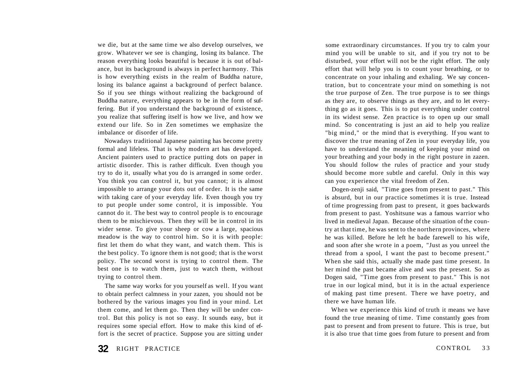we die, but at the same time we also develop ourselves, we grow. Whatever we see is changing, losing its balance. The reason everything looks beautiful is because it is out of balance, but its background is always in perfect harmony. This is how everything exists in the realm of Buddha nature, losing its balance against a background of perfect balance. So if you see things without realizing the background of Buddha nature, everything appears to be in the form of suffering. But if you understand the background of existence, you realize that suffering itself is how we live, and how we extend our life. So in Zen sometimes we emphasize the imbalance or disorder of life.

Nowadays traditional Japanese painting has become pretty formal and lifeless. That is why modern art has developed. Ancient painters used to practice putting dots on paper in artistic disorder. This is rather difficult. Even though you try to do it, usually what you do is arranged in some order. You think you can control it, but you cannot; it is almost impossible to arrange your dots out of order. It is the same with taking care of your everyday life. Even though you try to put people under some control, it is impossible. You cannot do it. The best way to control people is to encourage them to be mischievous. Then they will be in control in its wider sense. To give your sheep or cow a large, spacious meadow is the way to control him. So it is with people: first let them do what they want, and watch them. This is the best policy. To ignore them is not good; that is the worst policy. The second worst is trying to control them. The best one is to watch them, just to watch them, without trying to control them.

The same way works for you yourself as well. If you want to obtain perfect calmness in your zazen, you should not be bothered by the various images you find in your mind. Let them come, and let them go. Then they will be under control. But this policy is not so easy. It sounds easy, but it requires some special effort. How to make this kind of effort is the secret of practice. Suppose you are sitting under

some extraordinary circumstances. If you try to calm your mind you will be unable to sit, and if you try not to be disturbed, your effort will not be the right effort. The only effort that will help you is to count your breathing, or to concentrate on your inhaling and exhaling. We say concentration, but to concentrate your mind on something is not the true purpose of Zen. The true purpose is to see things as they are, to observe things as they are, and to let everything go as it goes. This is to put everything under control in its widest sense. Zen practice is to open up our small mind. So concentrating is just an aid to help you realize "big mind," or the mind that is everything. If you want to discover the true meaning of Zen in your everyday life, you have to understand the meaning of keeping your mind on your breathing and your body in the right posture in zazen. You should follow the rules of practice and your study should become more subtle and careful. Only in this way can you experience the vital freedom of Zen.

Dogen-zenji said, "Time goes from present to past." This is absurd, but in our practice sometimes it is true. Instead of time progressing from past to present, it goes backwards from present to past. Yoshitsune was a famous warrior who lived in medieval Japan. Because of the situation of the country at that time, he was sent to the northern provinces, where he was killed. Before he left he bade farewell to his wife, and soon after she wrote in a poem, "Just as you unreel the thread from a spool, I want the past to become present." When she said this, actually she made past time present. In her mind the past became alive and *was* the present. So as Dogen said, "Time goes from present to past." This is not true in our logical mind, but it is in the actual experience of making past time present. There we have poetry, and there we have human life.

When we experience this kind of truth it means we have found the true meaning of time. Time constantly goes from past to present and from present to future. This is true, but it is also true that time goes from future to present and from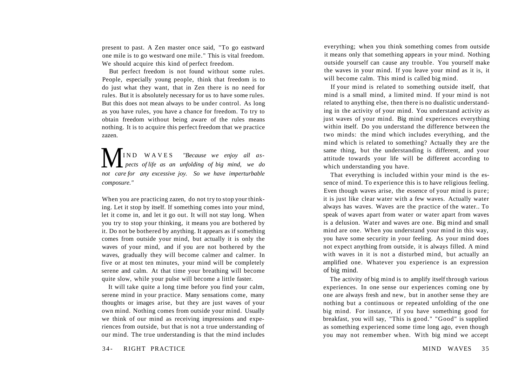present to past. A Zen master once said, "To go eastward one mile is to go westward one mile." This is vital freedom. We should acquire this kind of perfect freedom.

But perfect freedom is not found without some rules. People, especially young people, think that freedom is to do just what they want, that in Zen there is no need for rules. But it is absolutely necessary for us to have some rules. But this does not mean always to be under control. As long as you have rules, you have a chance for freedom. To try to obtain freedom without being aware of the rules means nothing. It is to acquire this perfect freedom that we practice zazen.

**MIND** WAVES *"Because we enjoy all as-*<br>pects of life as an unfolding of big mind, we do *pects of life as an unfolding of big mind, we do not care for any excessive joy. So we have imperturbable composure."* 

When you are practicing zazen, do not try to stop your thinking. Let it stop by itself. If something comes into your mind, let it come in, and let it go out. It will not stay long. When you try to stop your thinking, it means you are bothered by it. Do not be bothered by anything. It appears as if something comes from outside your mind, but actually it is only the waves of your mind, and if you are not bothered by the waves, gradually they will become calmer and calmer. In five or at most ten minutes, your mind will be completely serene and calm. At that time your breathing will become quite slow, while your pulse will become a little faster.

It will take quite a long time before you find your calm, serene mind in your practice. Many sensations come, many thoughts or images arise, but they are just waves of your own mind. Nothing comes from outside your mind. Usually we think of our mind as receiving impressions and experiences from outside, but that is not a true understanding of our mind. The true understanding is that the mind includes everything; when you think something comes from outside it means only that something appears in your mind. Nothing outside yourself can cause any trouble. You yourself make the waves in your mind. If you leave your mind as it is, it will become calm. This mind is called big mind.

If your mind is related to something outside itself, that mind is a small mind, a limited mind. If your mind is not related to anything else, then there is no dualistic understanding in the activity of your mind. You understand activity as just waves of your mind. Big mind experiences everything within itself. Do you understand the difference between the two minds: the mind which includes everything, and the mind which is related to something? Actually they are the same thing, but the understanding is different, and your attitude towards your life will be different according to which understanding you have.

That everything is included within your mind is the essence of mind. To experience this is to have religious feeling. Even though waves arise, the essence of your mind is pure; it is just like clear water with a few waves. Actually water always has waves. Waves are the practice of the water.. To speak of waves apart from water or water apart from waves is a delusion. Water and waves are one. Big mind and small mind are one. When you understand your mind in this way, you have some security in your feeling. As your mind does not expect anything from outside, it is always filled. A mind with waves in it is not a disturbed mind, but actually an amplified one. Whatever you experience is an expression of big mind.

The activity of big mind is to amplify itself through various experiences. In one sense our experiences coming one by one are always fresh and new, but in another sense they are nothing but a continuous or repeated unfolding of the one big mind. For instance, if you have something good for breakfast, you will say, "This is good." "Good" is supplied as something experienced some time long ago, even though you may not remember when. With big mind we accept

34- RIGHT PRACTICE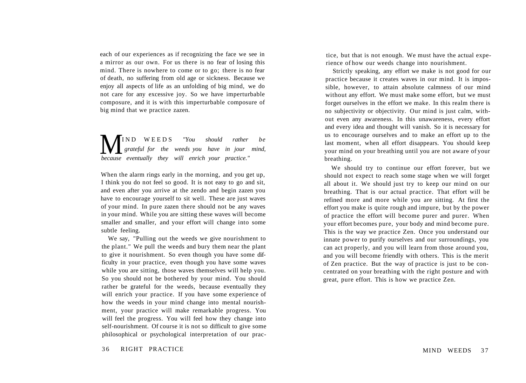each of our experiences as if recognizing the face we see in a mirror as our own. For us there is no fear of losing this mind. There is nowhere to come or to go; there is no fear of death, no suffering from old age or sickness. Because we enjoy all aspects of life as an unfolding of big mind, we do not care for any excessive joy. So we have imperturbable composure, and it is with this imperturbable composure of big mind that we practice zazen.

 $\sum_{\text{because}}$   $\sum_{\text{eventually}}$  the weeds you have in jour mind, *grateful for the weeds you have in jour mind, because eventually they will enrich your practice."* 

When the alarm rings early in the morning, and you get up, I think you do not feel so good. It is not easy to go and sit, and even after you arrive at the zendo and begin zazen you have to encourage yourself to sit well. These are just waves of your mind. In pure zazen there should not be any waves in your mind. While you are sitting these waves will become smaller and smaller, and your effort will change into some subtle feeling.

We say, "Pulling out the weeds we give nourishment to the plant." We pull the weeds and bury them near the plant to give it nourishment. So even though you have some difficulty in your practice, even though you have some waves while you are sitting, those waves themselves will help you. So you should not be bothered by your mind. You should rather be grateful for the weeds, because eventually they will enrich your practice. If you have some experience of how the weeds in your mind change into mental nourishment, your practice will make remarkable progress. You will feel the progress. You will feel how they change into self-nourishment. Of course it is not so difficult to give some philosophical or psychological interpretation of our prac-

tice, but that is not enough. We must have the actual experience of how our weeds change into nourishment.

Strictly speaking, any effort we make is not good for our practice because it creates waves in our mind. It is impossible, however, to attain absolute calmness of our mind without any effort. We must make some effort, but we must forget ourselves in the effort we make. In this realm there is no subjectivity or objectivity. Our mind is just calm, without even any awareness. In this unawareness, every effort and every idea and thought will vanish. So it is necessary for us to encourage ourselves and to make an effort up to the last moment, when all effort disappears. You should keep your mind on your breathing until you are not aware of your breathing.

We should try to continue our effort forever, but we should not expect to reach some stage when we will forget all about it. We should just try to keep our mind on our breathing. That is our actual practice. That effort will be refined more and more while you are sitting. At first the effort you make is quite rough and impure, but by the power of practice the effort will become purer and purer. When your effort becomes pure, your body and mind become pure. This is the way we practice Zen. Once you understand our innate power to purify ourselves and our surroundings, you can act properly, and you will learn from those around you, and you will become friendly with others. This is the merit of Zen practice. But the way of practice is just to be concentrated on your breathing with the right posture and with great, pure effort. This is how we practice Zen.

36 RIGHT PRACTICE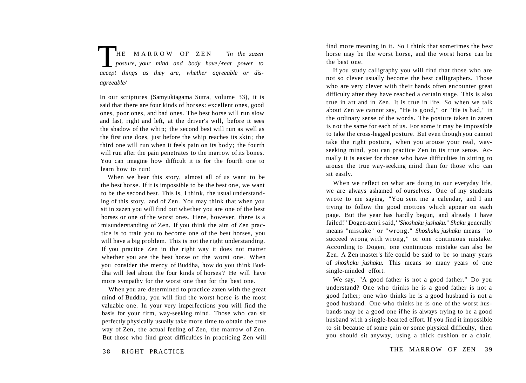**accept things as they are, whether agreeable or dis-**<br>*accept things as they are, whether agreeable or dis-*MARROW OF ZEN "In the zazen *posture, your mind and body have,^reat power to agreeable/* 

In our scriptures (Samyuktagama Sutra, volume 33), it is said that there are four kinds of horses: excellent ones, good ones, poor ones, and bad ones. The best horse will run slow and fast, right and left, at the driver's will, before it sees the shadow of the whip; the second best will run as well as the first one does, just before the whip reaches its skin; the third one will run when it feels pain on its body; the fourth will run after the pain penetrates to the marrow of its bones. You can imagine how difficult it is for the fourth one to learn how to run!

When we hear this story, almost all of us want to be the best horse. If it is impossible to be the best one, we want to be the second best. This is, I think, the usual understanding of this story, and of Zen. You may think that when you sit in zazen you will find out whether you are one of the best horses or one of the worst ones. Here, however, there is a misunderstanding of Zen. If you think the aim of Zen practice is to train you to become one of the best horses, you will have a big problem. This is not the right understanding. If you practice Zen in the right way it does not matter whether you are the best horse or the worst one. When you consider the mercy of Buddha, how do you think Buddha will feel about the four kinds of horses ? He will have more sympathy for the worst one than for the best one.

When you are determined to practice zazen with the great mind of Buddha, you will find the worst horse is the most valuable one. In your very imperfections you will find the basis for your firm, way-seeking mind. Those who can sit perfectly physically usually take more time to obtain the true way of Zen, the actual feeling of Zen, the marrow of Zen. But those who find great difficulties in practicing Zen will

find more meaning in it. So I think that sometimes the best horse may be the worst horse, and the worst horse can be the best one.

If you study calligraphy you will find that those who are not so clever usually become the best calligraphers. Those who are very clever with their hands often encounter great difficulty after they have reached a certain stage. This is also true in art and in Zen. It is true in life. So when we talk about Zen we cannot say, "He is good," or "He is bad," in the ordinary sense of the words. The posture taken in zazen is not the same for each of us. For some it may be impossible to take the cross-legged posture. But even though you cannot take the right posture, when you arouse your real, wayseeking mind, you can practice Zen in its true sense. Actually it is easier for those who have difficulties in sitting to arouse the true way-seeking mind than for those who can sit easily.

When we reflect on what are doing in our everyday life, we are always ashamed of ourselves. One of my students wrote to me saying, "You sent me a calendar, and I am trying to follow the good mottoes which appear on each page. But the year has hardly begun, and already I have failed!'' Dogen-zenji said,' *'Shoshaku jushaku.*'' *Shaku* generally means "mistake" or "wrong." *Shoshaku jushaku* means "to succeed wrong with wrong," or one continuous mistake. According to Dogen, one continuous mistake can also be Zen. A Zen master's life could be said to be so many years of *shoshaku jushaku.* This means so many years of one single-minded effort.

We say, "A good father is not a good father." Do you understand? One who thinks he is a good father is not a good father; one who thinks he is a good husband is not a good husband. One who thinks he is one of the worst husbands may be a good one if he is always trying to be a good husband with a single-hearted effort. If you find it impossible to sit because of some pain or some physical difficulty, then you should sit anyway, using a thick cushion or a chair.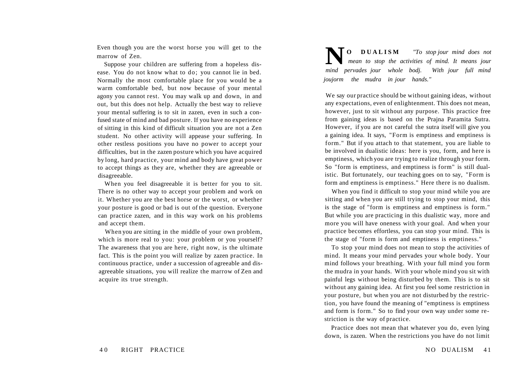Even though you are the worst horse you will get to the marrow of Zen.

Suppose your children are suffering from a hopeless disease. You do not know what to do; you cannot lie in bed. Normally the most comfortable place for you would be a warm comfortable bed, but now because of your mental agony you cannot rest. You may walk up and down, in and out, but this does not help. Actually the best way to relieve your mental suffering is to sit in zazen, even in such a confused state of mind and bad posture. If you have no experience of sitting in this kind of difficult situation you are not a Zen student. No other activity will appease your suffering. In other restless positions you have no power to accept your difficulties, but in the zazen posture which you have acquired by long, hard practice, your mind and body have great power to accept things as they are, whether they are agreeable or disagreeable.

When you feel disagreeable it is better for you to sit. There is no other way to accept your problem and work on it. Whether you are the best horse or the worst, or whether your posture is good or bad is out of the question. Everyone can practice zazen, and in this way work on his problems and accept them.

When you are sitting in the middle of your own problem, which is more real to you: your problem or you yourself? The awareness that you are here, right now, is the ultimate fact. This is the point you will realize by zazen practice. In continuous practice, under a succession of agreeable and disagreeable situations, you will realize the marrow of Zen and acquire its true strength.

**N O DUALIS M** *"To stop jour mind does not mean to stop the activities of mind. It means jour mind pervades jour whole bodj. With jour full mind joujorm the mudra in jour hands."* 

We say our practice should be without gaining ideas, without any expectations, even of enlightenment. This does not mean, however, just to sit without any purpose. This practice free from gaining ideas is based on the Prajna Paramita Sutra. However, if you are not careful the sutra itself will give you a gaining idea. It says, "Form is emptiness and emptiness is form." But if you attach to that statement, you are liable to be involved in dualistic ideas: here is you, form, and here is emptiness, which you are trying to realize through your form. So "form is emptiness, and emptiness is form" is still dualistic. But fortunately, our teaching goes on to say, "Form is form and emptiness is emptiness." Here there is no dualism.

When you find it difficult to stop your mind while you are sitting and when you are still trying to stop your mind, this is the stage of "form is emptiness and emptiness is form." But while you are practicing in this dualistic way, more and more you will have oneness with your goal. And when your practice becomes effortless, you can stop your mind. This is the stage of "form is form and emptiness is emptiness."

To stop your mind does not mean to stop the activities of mind. It means your mind pervades your whole body. Your mind follows your breathing. With your full mind you form the mudra in your hands. With your whole mind you sit with painful legs without being disturbed by them. This is to sit without any gaining idea. At first you feel some restriction in your posture, but when you are not disturbed by the restriction, you have found the meaning of "emptiness is emptiness and form is form." So to find your own way under some restriction is the way of practice.

Practice does not mean that whatever you do, even lying down, is zazen. When the restrictions you have do not limit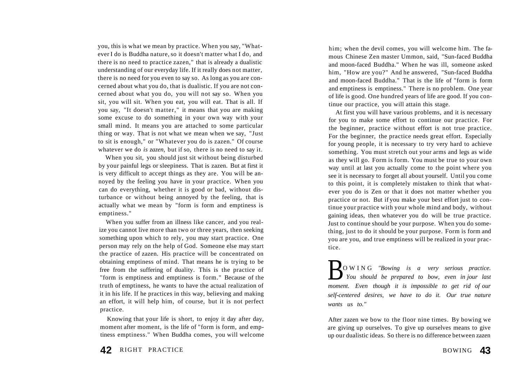you, this is what we mean by practice. When you say, "Whatever I do is Buddha nature, so it doesn't matter what I do, and there is no need to practice zazen," that is already a dualistic understanding of our everyday life. If it really does not matter, there is no need for you even to say so. As long as you are concerned about what you do, that is dualistic. If you are not concerned about what you do, you will not say so. When you sit, you will sit. When you eat, you will eat. That is all. If you say, "It doesn't matter," it means that you are making some excuse to do something in your own way with your small mind. It means you are attached to some particular thing or way. That is not what we mean when we say, "Just to sit is enough," or "Whatever you do is zazen." Of course whatever we do *is zazen,* but if so, there is no need to say it.

When you sit, you should just sit without being disturbed by your painful legs or sleepiness. That is zazen. But at first it is very difficult to accept things as they are. You will be annoyed by the feeling you have in your practice. When you can do everything, whether it is good or bad, without disturbance or without being annoyed by the feeling, that is actually what we mean by "form is form and emptiness is emptiness."

When you suffer from an illness like cancer, and you realize you cannot live more than two or three years, then seeking something upon which to rely, you may start practice. One person may rely on the help of God. Someone else may start the practice of zazen. His practice will be concentrated on obtaining emptiness of mind. That means he is trying to be free from the suffering of duality. This is the practice of "form is emptiness and emptiness is form." Because of the truth of emptiness, he wants to have the actual realization of it in his life. If he practices in this way, believing and making an effort, it will help him, of course, but it is not perfect practice.

Knowing that your life is short, to enjoy it day after day, moment after moment, is the life of "form is form, and emptiness emptiness." When Buddha comes, you will welcome him; when the devil comes, you will welcome him. The famous Chinese Zen master Ummon, said, "Sun-faced Buddha and moon-faced Buddha." When he was ill, someone asked him, "How are you?" And he answered, "Sun-faced Buddha and moon-faced Buddha." That is the life of "form is form and emptiness is emptiness." There is no problem. One year of life is good. One hundred years of life are good. If you continue our practice, you will attain this stage.

At first you will have various problems, and it is necessary for you to make some effort to continue our practice. For the beginner, practice without effort is not true practice. For the beginner, the practice needs great effort. Especially for young people, it is necessary to try very hard to achieve something. You must stretch out your arms and legs as wide as they will go. Form is form. You must be true to your own way until at last you actually come to the point where you see it is necessary to forget all about yourself. Until you come to this point, it is completely mistaken to think that whatever you do is Zen or that it does not matter whether you practice or not. But if you make your best effort just to continue your practice with your whole mind and body, without gaining ideas, then whatever you do will be true practice. Just to continue should be your purpose. When you do something, just to do it should be your purpose. Form is form and you are you, and true emptiness will be realized in your practice.

BOWIN <sup>G</sup> *"Bowing is a very serious practice. You should be prepared to bow, even in jour last moment. Even though it is impossible to get rid of our self-centered desires, we have to do it. Our true nature wants us to."* 

After zazen we bow to the floor nine times. By bowing we are giving up ourselves. To give up ourselves means to give up our dualistic ideas. So there is no difference between zazen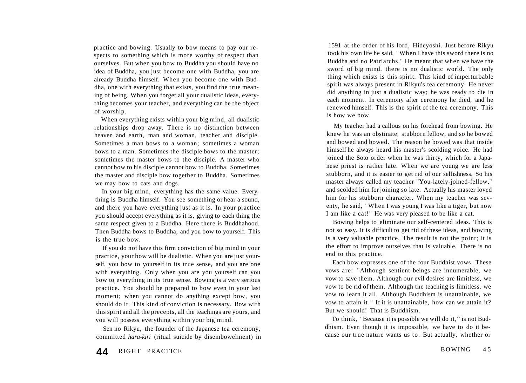practice and bowing. Usually to bow means to pay our respects to something which is more worthy of respect than ourselves. But when you bow to Buddha you should have no idea of Buddha, you just become one with Buddha, you are already Buddha himself. When you become one with Buddha, one with everything that exists, you find the true meaning of being. When you forget all your dualistic ideas, everything becomes your teacher, and everything can be the object of worship.

When everything exists within your big mind, all dualistic relationships drop away. There is no distinction between heaven and earth, man and woman, teacher and disciple. Sometimes a man bows to a woman; sometimes a woman bows to a man. Sometimes the disciple bows to the master; sometimes the master bows to the disciple. A master who cannot bow to his disciple cannot bow to Buddha. Sometimes the master and disciple bow together to Buddha. Sometimes we may bow to cats and dogs.

In your big mind, everything has the same value. Everything is Buddha himself. You see something or hear a sound, and there you have everything just as it is. In your practice you should accept everything as it is, giving to each thing the same respect given to a Buddha. Here there is Buddhahood. Then Buddha bows to Buddha, and you bow to yourself. This is the true bow.

If you do not have this firm conviction of big mind in your practice, your bow will be dualistic. When you are just yourself, you bow to yourself in its true sense, and you are one with everything. Only when you are you yourself can you bow to everything in its true sense. Bowing is a very serious practice. You should be prepared to bow even in your last moment; when you cannot do anything except bow, you should do it. This kind of conviction is necessary. Bow with this spirit and all the precepts, all the teachings are yours, and you will possess everything within your big mind.

Sen no Rikyu, the founder of the Japanese tea ceremony, committed *hara-kiri* (ritual suicide by disembowelment) in

1591 at the order of his lord, Hideyoshi. Just before Rikyu took his own life he said, "When I have this sword there is no Buddha and no Patriarchs." He meant that when we have the sword of big mind, there is no dualistic world. The only thing which exists is this spirit. This kind of imperturbable spirit was always present in Rikyu's tea ceremony. He never did anything in just a dualistic way; he was ready to die in each moment. In ceremony after ceremony he died, and he renewed himself. This is the spirit of the tea ceremony. This is how we bow.

My teacher had a callous on his forehead from bowing. He knew he was an obstinate, stubborn fellow, and so he bowed and bowed and bowed. The reason he bowed was that inside himself he always heard his master's scolding voice. He had joined the Soto order when he was thirty, which for a Japanese priest is rather late. When we are young we are less stubborn, and it is easier to get rid of our selfishness. So his master always called my teacher "You-lately-joined-fellow," and scolded him for joining so late. Actually his master loved him for his stubborn character. When my teacher was seventy, he said, "When I was young I was like a tiger, but now I am like a cat!" He was very pleased to be like a cat.

Bowing helps to eliminate our self-centered ideas. This is not so easy. It is difficult to get rid of these ideas, and bowing is a very valuable practice. The result is not the point; it is the effort to improve ourselves that is valuable. There is no end to this practice.

Each bow expresses one of the four Buddhist vows. These vows are: "Although sentient beings are innumerable, we vow to save them. Although our evil desires are limitless, we vow to be rid of them. Although the teaching is limitless, we vow to learn it all. Although Buddhism is unattainable, we vow to attain it." If it is unattainable, how can we attain it? But we should! That is Buddhism.

To think, "Because it is possible we will do it,'' is not Buddhism. Even though it is impossible, we have to do it because our true nature wants us to. But actually, whether or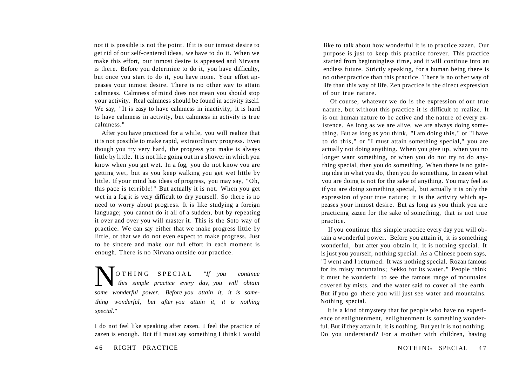not it is possible is not the point. If it is our inmost desire to get rid of our self-centered ideas, we have to do it. When we make this effort, our inmost desire is appeased and Nirvana is there. Before you determine to do it, you have difficulty, but once you start to do it, you have none. Your effort appeases your inmost desire. There is no other way to attain calmness. Calmness of mind does not mean you should stop your activity. Real calmness should be found in activity itself. We say, "It is easy to have calmness in inactivity, it is hard to have calmness in activity, but calmness in activity is true calmness."

After you have practiced for a while, you will realize that it is not possible to make rapid, extraordinary progress. Even though you try very hard, the progress you make is always little by little. It is not like going out in a shower in which you know when you get wet. In a fog, you do not know you are getting wet, but as you keep walking you get wet little by little. If your mind has ideas of progress, you may say, "Oh, this pace is terrible!" But actually it is not. When you get wet in a fog it is very difficult to dry yourself. So there is no need to worry about progress. It is like studying a foreign language; you cannot do it all of a sudden, but by repeating it over and over you will master it. This is the Soto way of practice. We can say either that we make progress little by little, or that we do not even expect to make progress. Just to be sincere and make our full effort in each moment is enough. There is no Nirvana outside our practice.

**NOTHING SPECIAL** "If you continue this simple practice every day, you will obtain *this simple practice every day, you will obtain some wonderful power. Before you attain it, it is something wonderful, but after you attain it, it is nothing special."* 

I do not feel like speaking after zazen. I feel the practice of zazen is enough. But if I must say something I think I would

like to talk about how wonderful it is to practice zazen. Our purpose is just to keep this practice forever. This practice started from beginningless time, and it will continue into an endless future. Strictly speaking, for a human being there is no other practice than this practice. There is no other way of life than this way of life. Zen practice is the direct expression of our true nature.

Of course, whatever we do is the expression of our true nature, but without this practice it is difficult to realize. It is our human nature to be active and the nature of every existence. As long as we are alive, we are always doing something. But as long as you think, "I am doing this," or "I have to do this," or "I must attain something special," you are actually not doing anything. When you give up, when you no longer want something, or when you do not try to do anything special, then you do something. When there is no gaining idea in what you do, then you do something. In zazen what you are doing is not for the sake of anything. You may feel as if you are doing something special, but actually it is only the expression of your true nature; it is the activity which appeases your inmost desire. But as long as you think you are practicing zazen for the sake of something, that is not true practice.

If you continue this simple practice every day you will obtain a wonderful power. Before you attain it, it is something wonderful, but after you obtain it, it is nothing special. It is just you yourself, nothing special. As a Chinese poem says, "I went and I returned. It was nothing special. Rozan famous for its misty mountains; Sekko for its water." People think it must be wonderful to see the famous range of mountains covered by mists, and the water said to cover all the earth. But if you go there you will just see water and mountains. Nothing special.

It is a kind of mystery that for people who have no experience of enlightenment, enlightenment is something wonderful. But if they attain it, it is nothing. But yet it is not nothing. Do you understand? For a mother with children, having

46 RIGHT PRACTICE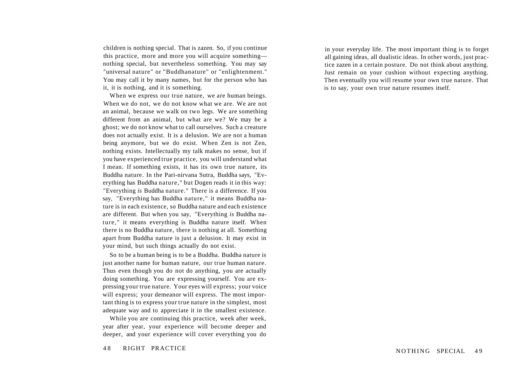children is nothing special. That is zazen. So, if you continue this practice, more and more you will acquire something nothing special, but nevertheless something. You may say "universal nature" or "Buddhanature" or "enlightenment." You may call it by many names, but for the person who has it, it is nothing, and it is something.

When we express our true nature, we are human beings. When we do not, we do not know what we are. We are not an animal, because we walk on two legs. We are something different from an animal, but what are we? We may be a ghost; we do not know what to call ourselves. Such a creature does not actually exist. It is a delusion. We are not a human being anymore, but we do exist. When Zen is not Zen, nothing exists. Intellectually my talk makes no sense, but if you have experienced true practice, you will understand what I mean. If something exists, it has its own true nature, its Buddha nature. In the Pari-nirvana Sutra, Buddha says, "Everything has Buddha nature," but Dogen reads it in this way: "Everything *is* Buddha nature." There is a difference. If you say, "Everything has Buddha nature," it means Buddha nature is in each existence, so Buddha nature and each existence are different. But when you say, "Everything *is* Buddha nature," it means everything is Buddha nature itself. When there is no Buddha nature, there is nothing at all. Something apart from Buddha nature is just a delusion. It may exist in your mind, but such things actually do not exist.

So to be a human being is to be a Buddha. Buddha nature is just another name for human nature, our true human nature. Thus even though you do not do anything, you are actually doing something. You are expressing yourself. You are expressing your true nature. Your eyes will express; your voice will express; your demeanor will express. The most important thing is to express your true nature in the simplest, most adequate way and to appreciate it in the smallest existence.

While you are continuing this practice, week after week, year after year, your experience will become deeper and deeper, and your experience will cover everything you do

in your everyday life. The most important thing is to forget all gaining ideas, all dualistic ideas. In other words, just practice zazen in a certain posture. Do not think about anything. Just remain on your cushion without expecting anything. Then eventually you will resume your own true nature. That is to say, your own true nature resumes itself.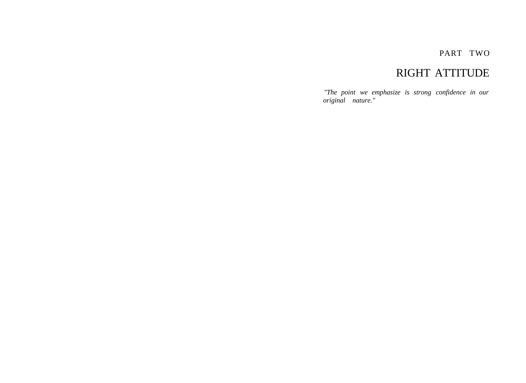## PART TWO

# RIGHT ATTITUDE

*"The point we emphasize is strong confidence in our original nature."*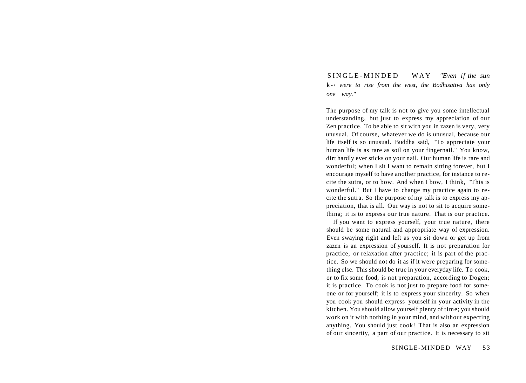SINGLE-MINDED WAY *"Even if the sun* k -/ *were to rise from the west, the Bodhisattva has only one way."* 

The purpose of my talk is not to give you some intellectual understanding, but just to express my appreciation of our Zen practice. To be able to sit with you in zazen is very, very unusual. Of course, whatever we do is unusual, because our life itself is so unusual. Buddha said, "To appreciate your human life is as rare as soil on your fingernail." You know, dirt hardly ever sticks on your nail. Our human life is rare and wonderful; when I sit I want to remain sitting forever, but I encourage myself to have another practice, for instance to recite the sutra, or to bow. And when I bow, I think, "This is wonderful." But I have to change my practice again to recite the sutra. So the purpose of my talk is to express my appreciation, that is all. Our way is not to sit to acquire something; it is to express our true nature. That is our practice.

If you want to express yourself, your true nature, there should be some natural and appropriate way of expression. Even swaying right and left as you sit down or get up from zazen is an expression of yourself. It is not preparation for practice, or relaxation after practice; it is part of the practice. So we should not do it as if it were preparing for something else. This should be true in your everyday life. To cook, or to fix some food, is not preparation, according to Dogen; it is practice. To cook is not just to prepare food for someone or for yourself; it is to express your sincerity. So when you cook you should express yourself in your activity in the kitchen. You should allow yourself plenty of time; you should work on it with nothing in your mind, and without expecting anything. You should just cook! That is also an expression of our sincerity, a part of our practice. It is necessary to sit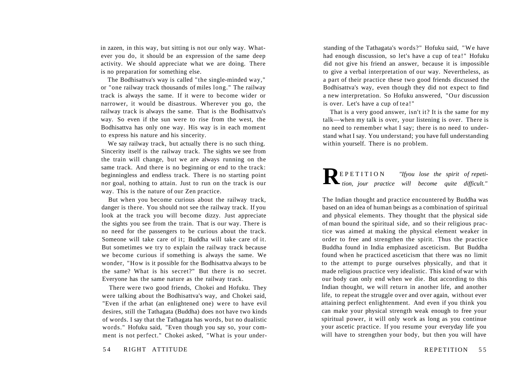in zazen, in this way, but sitting is not our only way. Whatever you do, it should be an expression of the same deep activity. We should appreciate what we are doing. There is no preparation for something else.

The Bodhisattva's way is called "the single-minded way," or "one railway track thousands of miles long." The railway track is always the same. If it were to become wider or narrower, it would be disastrous. Wherever you go, the railway track is always the same. That is the Bodhisattva's way. So even if the sun were to rise from the west, the Bodhisattva has only one way. His way is in each moment to express his nature and his sincerity.

We say railway track, but actually there is no such thing. Sincerity itself is the railway track. The sights we see from the train will change, but we are always running on the same track. And there is no beginning or end to the track: beginningless and endless track. There is no starting point nor goal, nothing to attain. Just to run on the track is our way. This is the nature of our Zen practice.

But when you become curious about the railway track, danger is there. You should not see the railway track. If you look at the track you will become dizzy. Just appreciate the sights you see from the train. That is our way. There is no need for the passengers to be curious about the track. Someone will take care of it; Buddha will take care of it. But sometimes we try to explain the railway track because we become curious if something is always the same. We wonder, "How is it possible for the Bodhisattva always to be the same? What is his secret?" But there is no secret. Everyone has the same nature as the railway track.

There were two good friends, Chokei and Hofuku. They were talking about the Bodhisattva's way, and Chokei said, "Even if the arhat (an enlightened one) were to have evil desires, still the Tathagata (Buddha) does not have two kinds of words. I say that the Tathagata has words, but no dualistic words." Hofuku said, "Even though you say so, your comment is not perfect." Chokei asked, "What is your under-

standing of the Tathagata's words?" Hofuku said, "We have had enough discussion, so let's have a cup of tea!" Hofuku did not give his friend an answer, because it is impossible to give a verbal interpretation of our way. Nevertheless, as a part of their practice these two good friends discussed the Bodhisattva's way, even though they did not expect to find a new interpretation. So Hofuku answered, "Our discussion is over. Let's have a cup of tea!"

That is a very good answer, isn't it? It is the same for my talk—when my talk is over, your listening is over. There is no need to remember what I say; there is no need to understand what I say. You understand; you have full understanding within yourself. There is no problem.

# **R** EPETITIO <sup>N</sup> *"Ifyou lose the spirit of repeti-tion, jour practice will become quite difficult."*

The Indian thought and practice encountered by Buddha was based on an idea of human beings as a combination of spiritual and physical elements. They thought that the physical side of man bound the spiritual side, and so their religious practice was aimed at making the physical element weaker in order to free and strengthen the spirit. Thus the practice Buddha found in India emphasized asceticism. But Buddha found when he practiced asceticism that there was no limit to the attempt to purge ourselves physically, and that it made religious practice very idealistic. This kind of war with our body can only end when we die. But according to this Indian thought, we will return in another life, and another life, to repeat the struggle over and over again, without ever attaining perfect enlightenment. And even if you think you can make your physical strength weak enough to free your spiritual power, it will only work as long as you continue your ascetic practice. If you resume your everyday life you will have to strengthen your body, but then you will have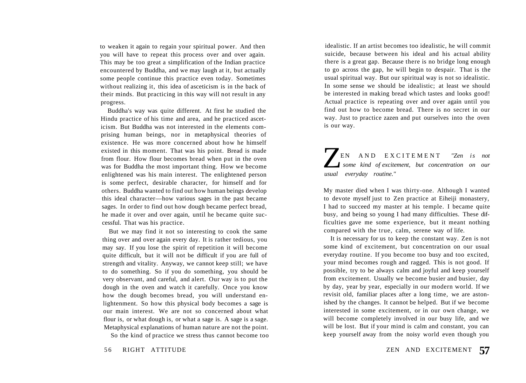to weaken it again to regain your spiritual power. And then you will have to repeat this process over and over again. This may be too great a simplification of the Indian practice encountered by Buddha, and we may laugh at it, but actually some people continue this practice even today. Sometimes without realizing it, this idea of asceticism is in the back of their minds. But practicing in this way will not result in any progress.

Buddha's way was quite different. At first he studied the Hindu practice of his time and area, and he practiced asceticism. But Buddha was not interested in the elements comprising human beings, nor in metaphysical theories of existence. He was more concerned about how he himself existed in this moment. That was his point. Bread is made from flour. How flour becomes bread when put in the oven was for Buddha the most important thing. How we become enlightened was his main interest. The enlightened person is some perfect, desirable character, for himself and for others. Buddha wanted to find out how human beings develop this ideal character—how various sages in the past became sages. In order to find out how dough became perfect bread, he made it over and over again, until he became quite successful. That was his practice.

But we may find it not so interesting to cook the same thing over and over again every day. It is rather tedious, you may say. If you lose the spirit of repetition it will become quite difficult, but it will not be difficult if you are full of strength and vitality. Anyway, we cannot keep still; we have to do something. So if you do something, you should be very observant, and careful, and alert. Our way is to put the dough in the oven and watch it carefully. Once you know how the dough becomes bread, you will understand enlightenment. So how this physical body becomes a sage is our main interest. We are not so concerned about what flour is, or what dough is, or what a sage is. A sage is a sage. Metaphysical explanations of human nature are not the point.

So the kind of practice we stress thus cannot become too

idealistic. If an artist becomes too idealistic, he will commit suicide, because between his ideal and his actual ability there is a great gap. Because there is no bridge long enough to go across the gap, he will begin to despair. That is the usual spiritual way. But our spiritual way is not so idealistic. In some sense we should be idealistic; at least we should be interested in making bread which tastes and looks good! Actual practice is repeating over and over again until you find out how to become bread. There is no secret in our way. Just to practice zazen and put ourselves into the oven is our way.

**Z**<br>**EN** AND **EX**<br>*usual everyday routine."* EN AN D EXCITEMEN T *"Zen is not some kind of excitement, but concentration on our* 

My master died when I was thirty-one. Although I wanted to devote myself just to Zen practice at Eiheiji monastery, I had to succeed my master at his temple. I became quite busy, and being so young I had many difficulties. These difficulties gave me some experience, but it meant nothing compared with the true, calm, serene way of life.

It is necessary for us to keep the constant way. Zen is not some kind of excitement, but concentration on our usual everyday routine. If you become too busy and too excited, your mind becomes rough and ragged. This is not good. If possible, try to be always calm and joyful and keep yourself from excitement. Usually we become busier and busier, day by day, year by year, especially in our modern world. If we revisit old, familiar places after a long time, we are astonished by the changes. It cannot be helped. But if we become interested in some excitement, or in our own change, we will become completely involved in our busy life, and we will be lost. But if your mind is calm and constant, you can keep yourself away from the noisy world even though you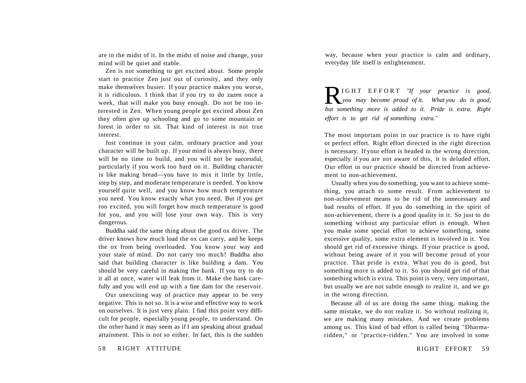are in the midst of it. In the midst of noise and change, your mind will be quiet and stable.

Zen is not something to get excited about. Some people start to practice Zen just out of curiosity, and they only make themselves busier. If your practice makes you worse, it is ridiculous. I think that if you try to do zazen once a week, that will make you busy enough. Do not be too interested in Zen. When young people get excited about Zen they often give up schooling and go to some mountain or forest in order to sit. That kind of interest is not true interest.

Just continue in your calm, ordinary practice and your character will be built up. If your mind is always busy, there will be no time to build, and you will not be successful, particularly if you work too hard on it. Building character is like making bread—you have to mix it little by little, step by step, and moderate temperature is needed. You know yourself quite well, and you know how much temperature you need. You know exactly what you need. But if you get too excited, you will forget how much temperature is good for you, and you will lose your own way. This is very dangerous.

Buddha said the same thing about the good ox driver. The driver knows how much load the ox can carry, and he keeps the ox from being overloaded. You know your way and your state of mind. Do not carry too much! Buddha also said that building character is like building a dam. You should be very careful in making the bank. If you try to do it all at once, water will leak from it. Make the bank carefully and you will end up with a fine dam for the reservoir.

Our unexciting way of practice may appear to be very negative. This is not so. It is a wise and effective way to work on ourselves. It is just very plain. I find this point very difficult for people, especially young people, to understand. On the other hand it may seem as if I am speaking about gradual attainment. This is not so either. In fact, this is the sudden

way, because when your practice is calm and ordinary, everyday life itself is enlightenment.

R IGH T EFFOR T *"If your practice is good, you may become proud of it. What you do is good, but something more is added to it. Pride is extra. Right effort is to get rid of something extra."* 

The most important point in our practice is to have right or perfect effort. Right effort directed in the right direction is necessary. If your effort is headed in the wrong direction, especially if you are not aware of this, it is deluded effort. Our effort in our practice should be directed from achievement to non-achievement.

Usually when you do something, you want to achieve something, you attach to some result. From achievement to non-achievement means to be rid of the unnecessary and bad results of effort. If you do something in the spirit of non-achievement, there is a good quality in it. So just to do something without any particular effort is enough. When you make some special effort to achieve something, some excessive quality, some extra element is involved in it. You should get rid of excessive things. If your practice is good, without being aware of it you will become proud of your practice. That pride is extra. What you do is good, but something more is added to it. So you should get rid of that something which is extra. This point is very, very important, but usually we are not subtle enough to realize it, and we go in the wrong direction.

Because all of us are doing the same thing, making the same mistake, we do not realize it. So without realizing it, we are making many mistakes. And we create problems among us. This kind of bad effort is called being "Dharmaridden," or "practice-ridden." You are involved in some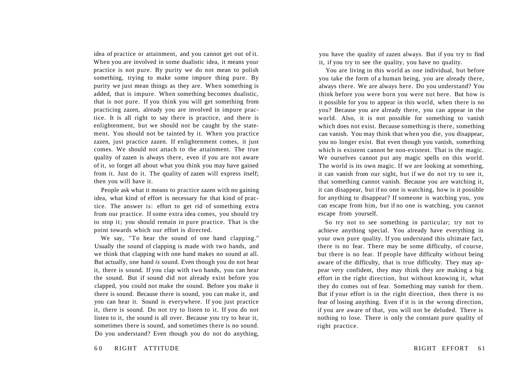idea of practice or attainment, and you cannot get out of it. When you are involved in some dualistic idea, it means your practice is not pure. By purity we do not mean to polish something, trying to make some impure thing pure. By purity we just mean things as they are. When something is added, that is impure. When something becomes dualistic, that is not pure. If you think you will get something from practicing zazen, already you are involved in impure practice. It is all right to say there is practice, and there is enlightenment, but we should not be caught by the statement. You should not be tainted by it. When you practice zazen, just practice zazen. If enlightenment comes, it just comes. We should not attach to the attainment. The true quality of zazen is always there, even if you are not aware of it, so forget all about what you think you may have gained from it. Just do it. The quality of zazen will express itself; then you will have it.

People ask what it means to practice zazen with no gaining idea, what kind of effort is necessary for that kind of practice. The answer is: effort to get rid of something extra from our practice. If some extra idea comes, you should try to stop it; you should remain in pure practice. That is the point towards which our effort is directed.

We say, "To hear the sound of one hand clapping." Usually the sound of clapping is made with two hands, and we think that clapping with one hand makes no sound at all. But actually, one hand *is* sound. Even though you do not hear it, there is sound. If you clap with two hands, you can hear the sound. But if sound did not already exist before you clapped, you could not make the sound. Before you make it there is sound. Because there is sound, you can make it, and you can hear it. Sound is everywhere. If you just practice it, there is sound. Do not try to listen to it. If you do not listen to it, the sound is all over. Because you try to hear it, sometimes there is sound, and sometimes there is no sound. Do you understand? Even though you do not do anything,

you have the quality of zazen always. But if you try to find it, if you try to see the quality, you have no quality.

You are living in this world as one individual, but before you take the form of a human being, you are already there, always there. We are always here. Do you understand? You think before you were born you were not here. But how is it possible for you to appear in this world, when there is no you? Because you are already there, you can appear in the world. Also, it is not possible for something to vanish which does not exist. Because something is there, something can vanish. You may think that when you die, you disappear, you no longer exist. But even though you vanish, something which is existent cannot be non-existent. That is the magic. We ourselves cannot put any magic spells on this world. The world is its own magic. If we are looking at something, it can vanish from our sight, but if we do not try to see it, that something cannot vanish. Because you are watching it, it can disappear, but if no one is watching, how is it possible for anything to disappear? If someone is watching you, you can escape from him, but if no one is watching, you cannot escape from yourself.

So try not to see something in particular; try not to achieve anything special. You already have everything in your own pure quality. If you understand this ultimate fact, there is no fear. There may be some difficulty, of course, but there is no fear. If people have difficulty without being aware of the difficulty, that is true difficulty. They may appear very confident, they may think they are making a big effort in the right direction, but without knowing it, what they do comes out of fear. Something may vanish for them. But if your effort is in the right direction, then there is no fear of losing anything. Even if it is in the wrong direction, if you are aware of that, you will not be deluded. There is nothing to lose. There is only the constant pure quality of right practice.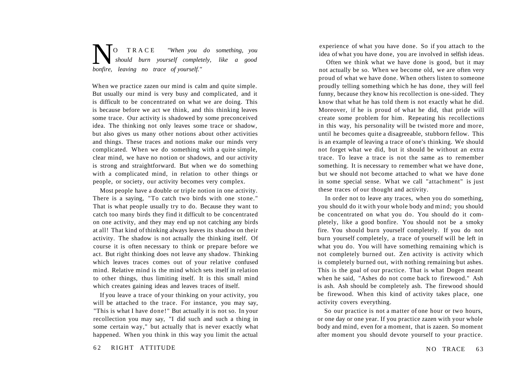**b**  $\sum_{\text{should} \text{burn}}$  *bonfire, leaving no trace of yourself."* O TRAC E *"When you do something, you should burn yourself completely, like a good* 

When we practice zazen our mind is calm and quite simple. But usually our mind is very busy and complicated, and it is difficult to be concentrated on what we are doing. This is because before we act we think, and this thinking leaves some trace. Our activity is shadowed by some preconceived idea. The thinking not only leaves some trace or shadow, but also gives us many other notions about other activities and things. These traces and notions make our minds very complicated. When we do something with a quite simple, clear mind, we have no notion or shadows, and our activity is strong and straightforward. But when we do something with a complicated mind, in relation to other things or people, or society, our activity becomes very complex.

Most people have a double or triple notion in one activity. There is a saying, "To catch two birds with one stone." That is what people usually try to do. Because they want to catch too many birds they find it difficult to be concentrated on one activity, and they may end up not catching any birds at all! That kind of thinking always leaves its shadow on their activity. The shadow is not actually the thinking itself. Of course it is often necessary to think or prepare before we act. But right thinking does not leave any shadow. Thinking which leaves traces comes out of your relative confused mind. Relative mind is the mind which sets itself in relation to other things, thus limiting itself. It is this small mind which creates gaining ideas and leaves traces of itself.

If you leave a trace of your thinking on your activity, you will be attached to the trace. For instance, you may say, "This is what I have done!" But actually it is not so. In your recollection you may say, "I did such and such a thing in some certain way," but actually that is never exactly what happened. When you think in this way you limit the actual

experience of what you have done. So if you attach to the idea of what you have done, you are involved in selfish ideas.

Often we think what we have done is good, but it may not actually be so. When we become old, we are often very proud of what we have done. When others listen to someone proudly telling something which he has done, they will feel funny, because they know his recollection is one-sided. They know that what he has told them is not exactly what he did. Moreover, if he is proud of what he did, that pride will create some problem for him. Repeating his recollections in this way, his personality will be twisted more and more, until he becomes quite a disagreeable, stubborn fellow. This is an example of leaving a trace of one's thinking. We should not forget what we did, but it should be without an extra trace. To leave a trace is not the same as to remember something. It is necessary to remember what we have done, but we should not become attached to what we have done in some special sense. What we call "attachment" is just these traces of our thought and activity.

In order not to leave any traces, when you do something, you should do it with your whole body and mind; you should be concentrated on what you do. You should do it completely, like a good bonfire. You should not be a smoky fire. You should burn yourself completely. If you do not burn yourself completely, a trace of yourself will be left in what you do. You will have something remaining which is not completely burned out. Zen activity is activity which is completely burned out, with nothing remaining but ashes. This is the goal of our practice. That is what Dogen meant when he said, "Ashes do not come back to firewood." Ash is ash. Ash should be completely ash. The firewood should be firewood. When this kind of activity takes place, one activity covers everything.

So our practice is not a matter of one hour or two hours, or one day or one year. If you practice zazen with your whole body and mind, even for a moment, that is zazen. So moment after moment you should devote yourself to your practice.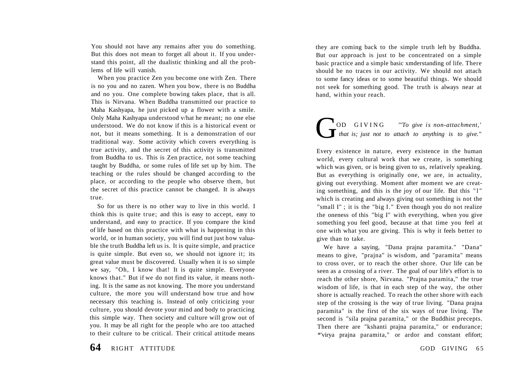You should not have any remains after you do something. But this does not mean to forget all about it. If you understand this point, all the dualistic thinking and all the problems of life will vanish.

When you practice Zen you become one with Zen. There is no you and no zazen. When you bow, there is no Buddha and no you. One complete bowing takes place, that is all. This is Nirvana. When Buddha transmitted our practice to Maha Kashyapa, he just picked up a flower with a smile. Only Maha Kashyapa understood v/hat he meant; no one else understood. We do not know if this is a historical event or not, but it means something. It is a demonstration of our traditional way. Some activity which covers everything is true activity, and the secret of this activity is transmitted from Buddha to us. This is Zen practice, not some teaching taught by Buddha, or some rules of life set up by him. The teaching or the rules should be changed according to the place, or according to the people who observe them, but the secret of this practice cannot be changed. It is always true.

So for us there is no other way to live in this world. I think this is quite true; and this is easy to accept, easy to understand, and easy to practice. If you compare the kind of life based on this practice with what is happening in this world, or in human society, you will find out just how valuable the truth Buddha left us is. It is quite simple, and practice is quite simple. But even so, we should not ignore it; its great value must be discovered. Usually when it is so simple we say, "Oh, I know that! It is quite simple. Everyone knows that." But if we do not find its value, it means nothing. It is the same as not knowing. The more you understand culture, the more you will understand how true and how necessary this teaching is. Instead of only criticizing your culture, you should devote your mind and body to practicing this simple way. Then society and culture will grow out of you. It may be all right for the people who are too attached to their culture to be critical. Their critical attitude means

they are coming back to the simple truth left by Buddha. But our approach is just to be concentrated on a simple basic practice and a simple basic xmderstanding of life. There should be no traces in our activity. We should not attach to some fancy ideas or to some beautiful things. We should not seek for something good. The truth is always near at hand, within your reach.

G OD GIVIN G *"'To give is non-attachment,' that is; just not to attach to anything is to give."* 

Every existence in nature, every existence in the human world, every cultural work that we create, is something which was given, or is being given to us, relatively speaking. But as everything is originally one, we are, in actuality, giving out everything. Moment after moment we are creating something, and this is the joy of our life. But this "l" which is creating and always giving out something is not the "small I"; it is the "big I." Even though you do not realize the oneness of this "big I" with everything, when you give something you feel good, because at that time you feel at one with what you are giving. This is why it feels better to give than to take.

We have a saying, "Dana prajna paramita." "Dana" means to give, "prajna" is wisdom, and "paramita" means to cross over, or to reach the other shore. Our life can be seen as a crossing of a river. The goal of our life's effort is to reach the other shore, Nirvana. "Prajna paramita," the true wisdom of life, is that in each step of the way, the other shore is actually reached. To reach the other shore with each step of the crossing is the way of true living. "Dana prajna paramita" is the first of the six ways of true living. The second is "sila prajna paramita," or the Buddhist precepts. Then there are "kshanti prajna paramita," or endurance; \*'virya prajna paramita," or ardor and constant efifort;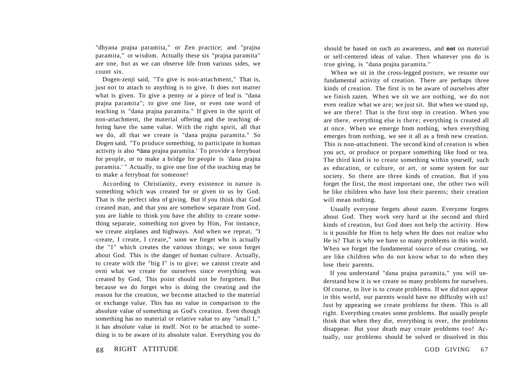"dhyana prajna paramita," or Zen practice; and "prajna paramita," or wisdom. Actually these six "prajna paramita" are one, but as we can observe life from various sides, we count six.

Dogen-zenji said, "To give is non-attachment," That is, just not to attach to anything is to give. It does not matter what is given. To give a penny or a piece of leaf is "dana prajna paramita"; to give one line, or even one word of teaching is "dana prajna paramita." If given in the spirit of non-attachment, the material offering and the teaching offering have the same value. With the right spirit, all that we do, all that we create is "dana prajna paramita." So Dogen said, "To produce something, to participate in human activity is also \*dana prajna paramita.' To provide a ferryboat for people, or to make a bridge for people is 'dana prajna paramita.' " Actually, to give one line of the teaching may be to make a ferryboat for someone!

According to Christianity, every existence in nature is something which was created for or given to us by God. That is the perfect idea of giving. But if you think that God created man, and that you are somehow separate from God, you are liable to think you have the ability to create something separate, something not given by Him, For instance, we create airplanes and highways. And when we repeat, "I -create, I create, I create," soon we forget who is actually the "I" which creates the various things; we soon forget about God. This is the danger of human culture. Actually, to create with the "big I" is to give; we cannot create and ovni what we create for ourselves since everything was created by God, This point should not be forgotten. But because we do forget who is doing the creating and the reason for the creation, we become attached to the material or exchange value. This has no value in comparison to the absolute value of something as God's creation. Even though something has no material or relative value to any "small I," it has absolute value in itself. Not to be attached to something is to be aware of its absolute value. Everything you do

should be based on such an awareness, and **not** on material or self-centered ideas of value. Then whatever you do is true giving, is "dana prajna paramita."

When we sit in the cross-legged posture, we resume our fundamental activity of creation. There are perhaps three kinds of creation. The first is to be aware of ourselves after we finish zazen. When we sit we are nothing, we do not even realize what we are; we just sit. But when we stand up, we are there! That is the first step in creation. When you are there, everything else is there; everything is created all at once. When we emerge from nothing, when everything emerges from nothing, we see it all as a fresh new creation. This is non-attachment. The second kind of creation is when you act, or produce or prepare something like food or tea. The third kind is to create something within yourself, such as education, or culture, or art, or some system for our society. So there are three kinds of creation. But if you forget the first, the most important one, the other two will be like children who have lost their parents; their creation will mean nothing.

Usually everyone forgets about zazen. Everyone forgets about God. They work very hard at the second and third kinds of creation, but God does not help the activity. How is it possible for Him to help when He does not realize who He is? That is why we have so many problems in this world. When we forget the fundamental source of our creating, we are like children who do not know what to do when they lose their parents.

If you understand "dana prajna paramita," you will understand how it is we create so many problems for ourselves. Of course, to live is to create problems. If we did not appear in this world, our parents would have no difficulty with us! Just by appearing we create problems for them. This is all right. Everything creates some problems. But usually people think that when they die, everything is over, the problems disappear. But your death may create problems too! Actually, our problems should be solved or dissolved in this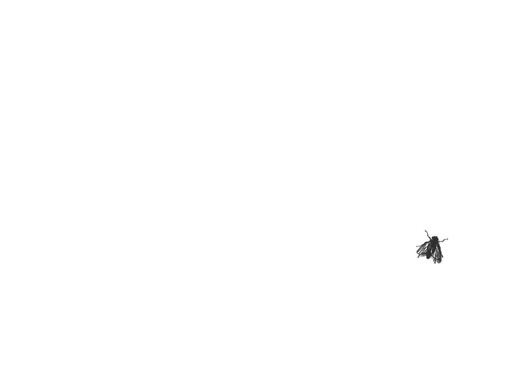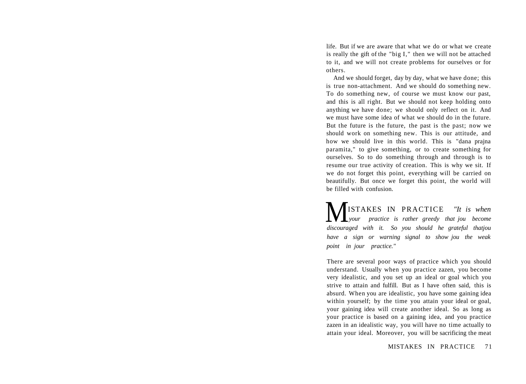life. But if we are aware that what we do or what we create is really the gift of the "big I," then we will not be attached to it, and we will not create problems for ourselves or for others.

And we should forget, day by day, what we have done; this is true non-attachment. And we should do something new. To do something new, of course we must know our past, and this is all right. But we should not keep holding onto anything we have done; we should only reflect on it. And we must have some idea of what we should do in the future. But the future is the future, the past is the past; now we should work on something new. This is our attitude, and how we should live in this world. This is "dana prajna paramita," to give something, or to create something for ourselves. So to do something through and through is to resume our true activity of creation. This is why we sit. If we do not forget this point, everything will be carried on beautifully. But once we forget this point, the world will be filled with confusion.

MISTAKES IN PRACTICE *"It is when your practice is rather greedy that jou become discouraged with it. So you should he grateful thatjou have a sign or warning signal to show jou the weak point in jour practice."* 

There are several poor ways of practice which you should understand. Usually when you practice zazen, you become very idealistic, and you set up an ideal or goal which you strive to attain and fulfill. But as I have often said, this is absurd. When you are idealistic, you have some gaining idea within yourself; by the time you attain your ideal or goal, your gaining idea will create another ideal. So as long as your practice is based on a gaining idea, and you practice zazen in an idealistic way, you will have no time actually to attain your ideal. Moreover, you will be sacrificing the meat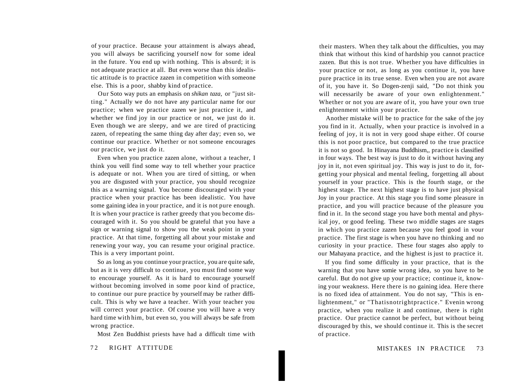of your practice. Because your attainment is always ahead, you will always be sacrificing yourself now for some ideal in the future. You end up with nothing. This is absurd; it is not adequate practice at all. But even worse than this idealistic attitude is to practice zazen in competition with someone else. This is a poor, shabby kind of practice.

Our Soto way puts an emphasis on *shikan taza,* or "just sitting." Actually we do not have any particular name for our practice; when we practice zazen we just practice it, and whether we find joy in our practice or not, we just do it. Even though we are sleepy, and we are tired of practicing zazen, of repeating the same thing day after day; even so, we continue our practice. Whether or not someone encourages our practice, we just do it.

Even when you practice zazen alone, without a teacher, I think you veill find some way to tell whether your practice is adequate or not. When you are tired of sitting, or when you are disgusted with your practice, you should recognize this as a warning signal. You become discouraged with your practice when your practice has been idealistic. You have some gaining idea in your practice, and it is not pure enough. It is when your practice is rather greedy that you become discouraged with it. So you should be grateful that you have a sign or warning signal to show you the weak point in your practice. At that time, forgetting all about your mistake and renewing your way, you can resume your original practice. This is a very important point.

So as long as you continue your practice, you are quite safe, but as it is very difficult to continue, you must find some way to encourage yourself. As it is hard to encourage yourself without becoming involved in some poor kind of practice, to continue our pure practice by yourself may be rather difficult. This is why we have a teacher. With your teacher you will correct your practice. Of course you will have a very hard time with him, but even so, you will always be safe from wrong practice.

Most Zen Buddhist priests have had a difficult time with

72 RIGHT ATTITUDE

their masters. When they talk about the difficulties, you may think that without this kind of hardship you cannot practice zazen. But this is not true. Whether you have difficulties in your practice or not, as long as you continue it, you have pure practice in its true sense. Even when you are not aware of it, you have it. So Dogen-zenji said, "Do not think you will necessarily be aware of your own enlightenment." Whether or not you are aware of it, you have your own true enlightenment within your practice.

Another mistake will be to practice for the sake of the joy you find in it. Actually, when your practice is involved in a feeling of joy, it is not in very good shape either. Of course this is not poor practice, but compared to the true practice it is not so good. In Hinayana Buddhism,, practice is classified in four ways. The best way is just to do it without having any joy in it, not even spiritual joy. This way is just to do it, forgetting your physical and mental feeling, forgetting all about yourself in your practice. This is the fourth stage, or the highest stage. The next highest stage is to have just physical Joy in your practice. At this stage you find some pleasure in practice, and you will practice because of the pleasure you find in it. In the second stage you have both mental and physical joy, or good feeling. These two middle stages are stages in which you practice zazen because you feel good in vour practice. The first stage is when you have no thinking and no curiosity in your practice. These four stages also apply to our Mahayana practice, and the highest is just to practice it.

If you find some difficulty in your practice, that is the warning that you have somie wrong idea, so you have to be careful. But do not give up your practice; continue it, knowing your weakness. Here there is no gaining idea. Here there is no fixed idea of attainment. You do not say, "This is enlightenment," or "Thatisnotrightpractice." Evenin wrong practice, when you realize it and continue, there is right practice. Our practice cannot be perfect, but without being discouraged by this, we should continue it. This is the secret of practice.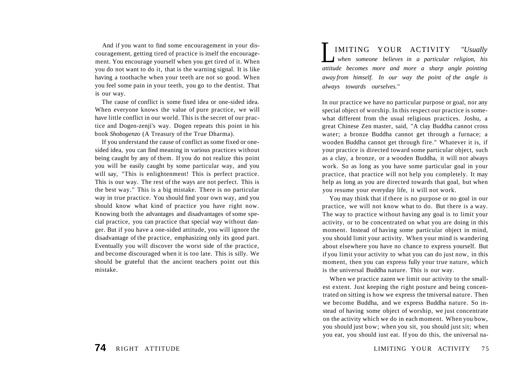And if you want to find some encouragement in your discouragement, getting tired of practice is itself the encouragement. You encourage yourself when you get tired of it. When you do not want to do it, that is the warning signal. It is like having a toothache when your teeth are not so good. When you feel some pain in your teeth, you go to the dentist. That is our way.

The cause of conflict is some fixed idea or one-sided idea. When everyone knows the value of pure practice, we will have little conflict in our world. This is the secret of our practice and Dogen-zenji's way. Dogen repeats this point in his book *Shobogenzo* (A Treasury of the True Dharma).

If you understand the cause of conflict as some fixed or onesided idea, you can find meaning in various practices without being caught by any of them. If you do not realize this point you will be easily caught by some particular way, and you will say, "This is enlightenment! This is perfect practice. This is our way. The rest of the ways are not perfect. This is the best way." This is a big mistake. There is no particular way in true practice. You should find your own way, and you should know what kind of practice you have right now. Knowing both the advantages and disadvantages of some special practice, you can practice that special way without danger. But if you have a one-sided attitude, you will ignore the disadvantage of the practice, emphasizing only its good part. Eventually you will discover the worst side of the practice, and become discouraged when it is too late. This is silly. We should be grateful that the ancient teachers point out this mistake.

**LIMITING YOUR ACTIVITY** "Usually *when someone believes in a particular religion, his when someone believes in a particular religion, his attitude becomes more and more a sharp angle pointing away from himself. In our way the point of the angle is always towards ourselves."* 

In our practice we have no particular purpose or goal, nor any special object of worship. In this respect our practice is somewhat different from the usual religious practices. Joshu, a great Chinese Zen master, said, "A clay Buddha cannot cross water; a bronze Buddha cannot get through a furnace; a wooden Buddha cannot get through fire." Whatever it is, if your practice is directed toward some particular object, such as a clay, a bronze, or a wooden Buddha, it will not always work. So as long as you have some particular goal in your practice, that practice will not help you completely. It may help as long as you are directed towards that goal, but when you resume your everyday life, it will not work.

You may think that if there is no purpose or no goal in our practice, we will not know what to do. But there is a way. The way to practice without having any goal is to limit your activity, or to be concentrated on what you are doing in this moment. Instead of having some particular object in mind, you should limit your activity. When your mind is wandering about elsewhere you have no chance to express yourself. But if you limit your activity to what you can do just now, in this moment, then you can express fully your true nature, which is the universal Buddha nature. This is our way.

When we practice zazen we limit our activity to the smallest extent. Just keeping the right posture and being concentrated on sitting is how we express the tmiversal nature. Then we become Buddha, and we express Buddha nature. So instead of having some object of worship, we just concentrate on the activity which we do in each moment. When you bow, you should just bow; when you sit, you should just sit; when you eat, you should iust eat. If you do this, the universal na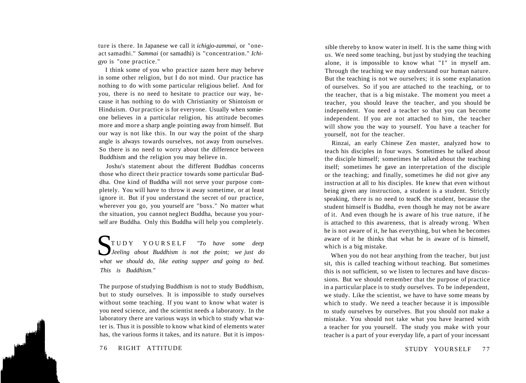ture is there. In Japanese we call it *ichigjo-zammai,* or "oneact samadhi." *Sammai* (or samadhi) is "concentration." *Ichigyo* is "one practice."

I think some of you who practice zazen here may beheve in some other religion, but I do not mind. Our practice has nothing to do with some particular religious belief. And for you, there is no need to hesitate to practice our way, because it has nothing to do with Christianity or Shintoism or Hinduism. Our practice is for everyone. Usually when somieone believes in a particular religion, his attitude becomes more and more a sharp angle pointing away from himself. But our way is not like this. In our way the point of the sharp angle is always towards ourselves, not away from ourselves. So there is no need to worry about the difference between Buddhism and the religion you may believe in.

Joshu's statement about the different Buddhas concerns those who direct their practice towards some particular Buddha. One kind of Buddha will not serve your purpose completely. You will have to throw it away sometime, or at least ignore it. But if you understand the secret of our practice, wherever you go, you yourself are "boss." No matter what the situation, you cannot neglect Buddha, because you yourself are Buddha. Only this Buddha will help you completely.

 $S_{j}$ TUD Y YOURSEL F *"To have some deep Jeeling about Buddhism is not the point; we just do what we should do, like eating supper and going to bed. This is Buddhism."* 

The purpose of studying Buddhism is not to study Buddhism, but to study ourselves. It is impossible to study ourselves without some teaching. If you want to know what water is you need science, and the scientist needs a laboratory. In the laboratory there are various ways in which to study what water is. Thus it is possible to know what kind of elements water has, the various forms it takes, and its nature. But it is impos-

76 RIGHT ATTITUDE

sible thereby to know water in itself. It is the same thing with us. We need some teaching, but just by studying the teaching alone, it is impossible to know what "I" in myself am. Through the teaching we may understand our human nature. But the teaching is not we ourselves; it is some explanation of ourselves. So if you are attached to the teaching, or to the teacher, that is a big mistake. The moment you meet a teacher, you should leave the teacher, and you should be independent. You need a teacher so that you can become independent. If you are not attached to him, the teacher will show you the way to yourself. You have a teacher for yourself, not for the teacher.

Rinzai, an early Chinese Zen master, analyzed how to teach his disciples in four ways. Sometimes he talked about the disciple himself; sometimes he talked about the teaching itself; sometimes he gave an interpretation of the disciple or the teaching; and finally, sometimes he did not give any instruction at all to his disciples. He knew that even without being given any instruction, a student is a student. Strictly speaking, there is no need to teacK the student, because the student himself is Buddha, even though he may not be aware of it. And even though he is aware of his true nature, if he is attached to this awareness, that is already wrong. When he is not aware of it, he has everything, but when he becomes aware of it he thinks that what he is aware of is himself, which is a big mistake.

When you do not hear anything from the teacher, but just sit, this is called teaching without teaching. But sometimes this is not sufficient, so we listen to lectures and have discussions. But we should remember that the purpose of practice in a particular place is to study ourselves. To be independent, we study. Like the scientist, we have to have some means by which to study. We need a teacher because it is impossible to study ourselves by ourselves. But you should not make a mistake. You should not take what you have learned with a teacher for you yourself. The study you make with your teacher is a part of your everyday life, a part of your incessant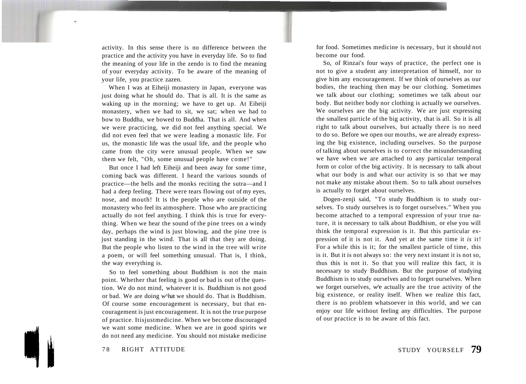activity. In this sense there is no difference between the practice and the activity you have in everyday life. So to find the meaning of your life in the zendo is to find the meaning of your everyday activity. To be aware of the meaning of your life, you practice zazen.

When I was at Eiheiji monastery in Japan, everyone was just doing what he should do. That is all. It is the same as waking up in the morning; we have to get up. At Eiheiji monastery, when we had to sit, we sat; when we had to bow to Buddha, we bowed to Buddha. That is all. And when we were practicing, we did not feel anything special. We did not even feel that we were leading a monastic life. For us, the monastic life was the usual life, and the people who came from the city were unusual people. When we saw them we felt, "Oh, some unusual people have come!"

But once I had left Eiheiji and been away for some time, coming back was different. I heard the various sounds of practice—the bells and the monks reciting the sutra—and I had a deep feeling. There were tears flowing out of my eyes, nose, and mouth! It is the people who are outside of the monastery who feel its atmosphere. Those who are practicing actually do not feel anything. I think this is true for everything. When we hear the sound of the pine trees on a windy day, perhaps the wind is just blowing, and the pine tree is just standing in the wind. That is all that they are doing. But the people who listen to the wind in the tree will write a poem, or will feel something unusual. That is, I think, the way everything is.

So to feel something about Buddhism is not the main point. Whether that feeling is good or bad is out of the question. We do not mind, whatever it is. Buddhism is not good or bad. We are doing w^hat we should do. That is Buddhism. Of course some encouragement is necessary, but that encouragement is just encouragement. It is not the true purpose of practice. Itisjustmedicine. When we become discouraged we want some medicine. When we are in good spirits we do not need any medicine. You should not mistake medicine

for food. Sometimes medicine is necessary, but it should not become our food.

So, of Rinzai's four ways of practice, the perfect one is not to give a student any interpretation of himself, nor to give him any encouragement. If we think of ourselves as our bodies, the teaching then may be our clothing. Sometimes we talk about our clothing; sometimes we talk about our body. But neither body nor clothing is actually we ourselves. We ourselves are the big activity. We are just expressing the smallest particle of the big activity, that is all. So it is all right to talk about ourselves, but actually there is no need to do so. Before we open our mouths, we are already expressing the big existence, including ourselves. So the purpose of talking about ourselves is to correct the misunderstanding we have when we are attached to any particular temporal form or color of the big activity. It is necessary to talk about what our body is and what our activity is so that we may not make any mistake about them. So to talk about ourselves is actually to forget about ourselves.

Dogen-zenji said, "To study Buddhism is to study ourselves. To study ourselves is to forget ourselves." When you become attached to a temporal expression of your true nature, it is necessary to talk about Buddhism, or else you will think the temporal expression is it. But this particular expression of it is not it. And yet at the same time it *is* it! For a while this is it; for the smallest particle of time, this is it. But it is not always so: the very next instant it is not so, thus this is not it. So that you will realize this fact, it is necessary to study Buddhism. But the purpose of studying Buddhism is to study ourselves and to forget ourselves. When we forget ourselves, w^e actually are the true activity of the big existence, or reality itself. When we realize this fact, there is no problem whatsoever in this world, and we can enjoy our life without feeling any difficulties. The purpose of our practice is to be aware of this fact.

78 RIGHT ATTITUDE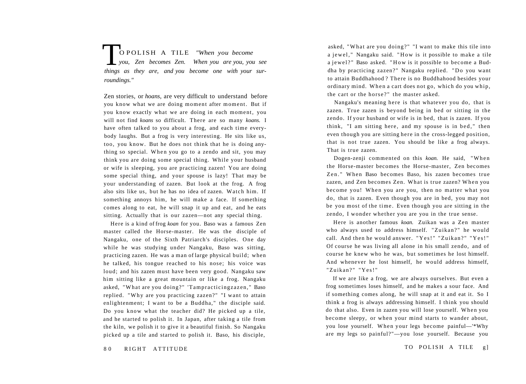$\prod_{\substack{y \text{thines}}}$ O POLIS H A TILE *"When you become you, Zen becomes Zen. When you are you, you see things as they are, and you become one with your surroundings."* 

Zen stories, or *hoans,* are very difficult to understand before you know what we are doing moment after moment. But if you know exactly what we are doing in each moment, you will not find *koans* so difficult. There are so many *koans.* I have often talked to you about a frog, and each time everybody laughs. But a frog is very interesting. He sits like us, too, you know. But he does not think that he is doing anything so special. When you go to a zendo and sit, you may think you are doing some special thing. While your husband or wife is sleeping, you are practicing zazen! You are doing some special thing, and your spouse is lazy! That may be your understanding of zazen. But look at the frog. A frog also sits like us, but he has no idea of zazen. Watch him. If something annoys him, he will make a face. If something comes along to eat, he will snap it up and eat, and he eats sitting. Actually that is our zazen—not any special thing.

Here is a kind of frog *koan* for you. Baso was a famous Zen master called the Horse-master. He was the disciple of Nangaku, one of the Sixth Patriarch's disciples. One day while he was studying under Nangaku, Baso was sitting, practicing zazen. He was a man of large physical build; when he talked, his tongue reached to his nose; his voice was loud; and his zazen must have been very good. Nangaku saw him sitting like a great mountain or like a frog. Nangaku asked, "What are you doing?" 'Tampracticingzazen," Baso replied. "Why are you practicing zazen?" "I want to attain enlightenment; I want to be a Buddha," the disciple said. Do you know what the teacher did? He picked up a tile, and he started to polish it. In Japan, after taking a tile from the kiln, we polish it to give it a beautiful finish. So Nangaku picked up a tile and started to polish it. Baso, his disciple,

asked, "What are you doing?" "I want to make this tile into a jewel," Nangaku said. "How is it possible to make a tile a jewel?" Baso asked. "How is it possible to become a Buddha by practicing zazen?" Nangaku replied. "Do you want to attain Buddhahood ? There is no Buddhahood besides your ordinary mind. When a cart does not go, which do you whip, the cart or the horse?" the master asked.

Nangaku's meaning here is that whatever you do, that is zazen. True zazen is beyond being in bed or sitting in the zendo. If your husband or wife is in bed, that is zazen. If you think, "I am sitting here, and my spouse is in bed," then even though you are sitting here in the cross-legged position, that is not true zazen. You should be like a frog always. That is true zazen.

Dogen-zenji commented on this *koan*. He said, "When the Horse-master becomes the Horse-master, Zen becomes Zen. " When Baso becomes Baso, his zazen becomes true zazen, and Zen becomes Zen. What is true zazen? When you become you! When you are you, then no matter what you do, that is zazen. Even though you are in bed, you may not be you most of the time. Even though you are sitting in the zendo, I wonder whether you are you in the true sense.

Here is another famous *koan.* Zuikan was a Zen master who always used to address himself. "Zuikan?" he would call. And then he would answer. "Yes!" "Zuikan?" "Yes!" Of course he was living all alone in his small zendo, and of course he knew who he was, but sometimes he lost himself. And whenever he lost himself, he would address himself, "Zuikan?" "Yes!"

If we are like a frog, we are always ourselves. But even a frog sometimes loses himself, and he makes a sour face. And if something comes along, he will snap at it and eat it. So I think a frog is always addressing himself. I think you should do that also. Even in zazen you will lose yourself. When you become sleepy, or when your mind starts to wander about, you lose yourself. When your legs become painful—'\*Why are my legs so painful?"—you lose yourself. Because you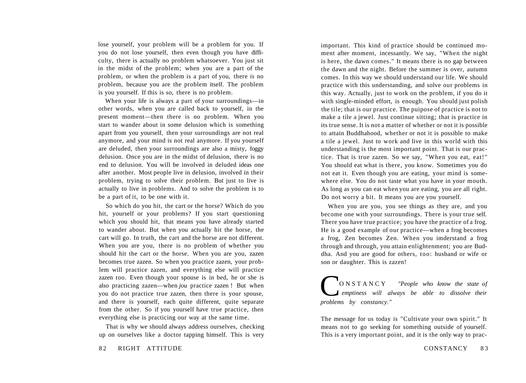lose yourself, your problem will be a problem for you. If you do not lose yourself, then even though you have difficulty, there is actually no problem whatsoever. You just sit in the midst of the problem; when you are a part of the problem, or when the problem is a part of you, there *is* no problem, because you are the problem itself. The problem is you yourself. If this is so, there is no problem.

When your life is always a part of your surroundings—in other words, when you are called back to yourself, in the present moment—then there is no problem. When you start to wander about in some delusion which is something apart from you yourself, then your surroundings are not real anymore, and your mind is not real anymore. If you yourself are deluded, then your surroundings are also a misty, foggy delusion. Once you are in the midst of delusion, there is no end to delusion. You will be involved in deluded ideas one after another. Most people live in delusion, involved in their problem, trying to solve their problem. But just to live is actually to live in problems. And to solve the problem is to be a part of it, to be one with it.

So which do you hit, the cart or the horse? Which do you hit, yourself or your problems? If you start questioning which you should hit, that means you have already started to wander about. But when you actually hit the horse, the cart will go. In truth, the cart and the horse are not different. When you are you, there is no problem of whether you should hit the cart or the horse. When you are you, zazen becomes true zazen. So when you practice zazen, your problem will practice zazen, and everything else will practice zazen too. Even though your spouse is in bed, he or she is also practicing zazen—when *jou* practice zazen ! But when you do not practice true zazen, then there is your spouse, and there is yourself, each quite different, quite separate from the other. So if you yourself have true practice, then everything else is practicing our way at the same time.

That is why we should always address ourselves, checking up on ourselves like a doctor tapping himself. This is very important. This kind of practice should be continued moment after moment, incessantly. We say, "When the night is here, the dawn comes." It means there is no gap between the dawn and the night. Before the summer is over, autumn comes. In this way we should understand our life. We should practice with this understanding, and solve our problems in this way. Actually, just to work on the problem, if you do it with single-minded effort, is enough. You should just polish the tile; that is our practice. The puipose of practice is not to make a tile a jewel. Just continue sitting; that is practice in its true sense. It is not a matter of whether or not it is possible to attain Buddhahood, whether or not it is possible to make a tile a jewel. Just to work and live in this world with this understanding is the most important point. That is our practice. That is true zazen. So we say, "When you eat, eat!" You should eat what is there, you know. Sometimes you do not eat it. Even though you are eating, your mind is somewhere else. You do not taste what you have in your mouth. As long as you can eat when you are eating, you are all right. Do not worry a bit. It means you are you yourself.

When you are you, you see things as they are, and you become one with your surroundings. There is your true self. There you have true practice; you have the practice of a frog. He is a good example of our practice—when a frog becomes a frog, Zen becomes Zen. When you imderstand a frog through and through, you attain enlightenment; you are Buddha. And you are good for others, too: husband or wife or son or daughter. This is zazen!

CONSTANC <sup>Y</sup> *"People who know the state of emptiness will always be able to dissolve their problems by constancy."* 

The message for us today is "Cultivate your own spirit." It means not to go seeking for something outside of yourself. This is a very important point, and it is the only way to prac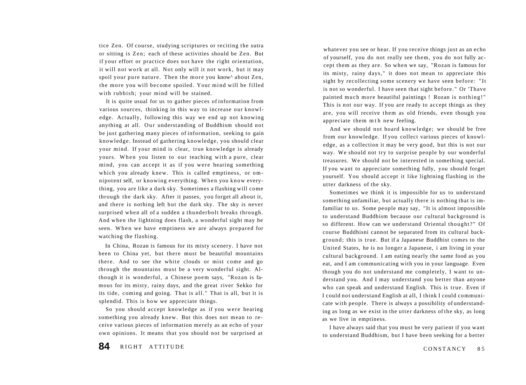tice Zen. Of course, studying scriptures or reciting the sutra or sitting is Zen; each of these activities should be Zen. But if your effort or practice does not have the right orientation, it will not work at all. Not only will it not work, but it may spoil your pure nature. Then the more you know^ about Zen, the more you will become spoiled. Your mind will be filled with rubbish; your mind will be stained.

It is quite usual for us to gather pieces of information from various sources, thinking in this way to increase our knowledge. Actually, following this way we end up not knowing anything at all. Our understanding of Buddhism should not be just gathering many pieces of information, seeking to gain knowledge. Instead of gathering knowledge, you should clear your mind. If your mind is clear, true knowledge is already yours. When you listen to our teaching with a pure, clear mind, you can accept it as if you were hearing something which you already knew. This is called emptiness, or omnipotent self, or knowing everything. When you know everything, you are like a dark sky. Sometimes a flashing will come through the dark sky. After it passes, you forget all about it, and there is nothing left but the dark sky. The sky is never surprised when all of a sudden a thunderbolt breaks through. And when the lightning does flash, a wonderful sight may be seen. When we have emptiness we are always prepared for watching the flashing.

In China, Rozan is famous for its misty scenery. I have not been to China yet, but there must be beautiful mountains there. And to see the white clouds or mist come and go through the mountains must be a very wonderful sight. Although it is wonderful, a Chinese poem says, "Rozan is famous for its misty, rainy days, and the great river Sekko for its tide, coming and going. That is all. " That is all, but it is splendid. This is how we appreciate things.

So you should accept knowledge as if you were hearing something you already knew. But this does not mean to receive various pieces of information merely as an echo of your own opinions. It means that you should not be surprised at whatever you see or hear. If you receive things just as an echo of yourself, you do not really see them, you do not fully accept them as they are. So when we say, "Rozan is famous for its misty, rainy days," it does not mean to appreciate this sight by recollecting some scenery we have seen before: "It is not so wonderful. I have seen that sight before." Or 'Thave painted much more beautiful paintings ! Rozan is nothing!" This is not our way. If you are ready to accept things as they are, you will receive them as old friends, even though you appreciate them mth new feeling.

And we should not hoard knowledge; we should be free from our knowledge. If you collect various pieces of knowledge, as a collection it may be very good, but this is not our way. We should not try to surprise people by our wonderful treasures. We should not be interested in something special. If you want to appreciate something fully, you should forget yourself. You should accept it like lightning flashing in the utter darkness of the sky.

Sometimes we think it is impossible for us to understand something unfamiliar, but actually there is nothing that is imfamiliar to us. Some people may say, "It is almost impossible to understand Buddhism because our cultural background is so different. How can we understand Oriental thought?" Of course Buddhisni cannot be separated from its cultural background; this is true. But if a Japanese Buddhist comes to the United States, he is no longer a Japanese, i am living in your cultural background. I am eating nearly the same food as you eat, and I am communicating with you in your language. Even though you do not understand me completely, I want to understand you. And I may understand you better than anyone who can speak and understand English. This is true. Even if I could not understand English at all, I think I could communicate with people. There is always a possibility of understanding as long as we exist in the utter darkness of the sky, as long as we live in emptiness.

I have always said that you must be very patient if you want to understand Buddhism, but I have been seeking for a better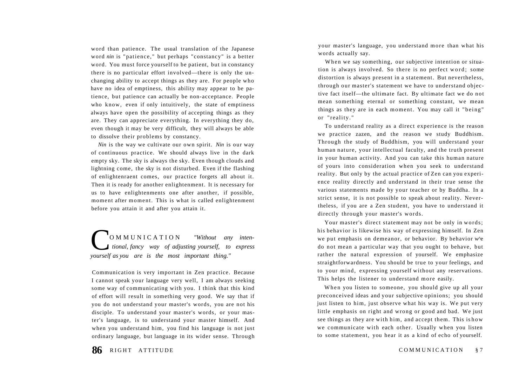word than patience. The usual translation of the Japanese word *nin* is "patience, " but perhaps "constancy" is a better word. You must force yourself to be patient, but in constancy there is no particular effort involved—there is only the unchanging ability to accept things as they are. For people who have no idea of emptiness, this ability may appear to be patience, but patience can actually be non-acceptance. People who know, even if only intuitively, the state of emptiness always have open the possibility of accepting things as they are. They can appreciate everything. In everything they do, even though it may be very difficult, they will always be able to dissolve their problems by constancy.

*Nin* is the way we cultivate our own spirit. *Nin* is our way of continuous practice. We should always live in the dark empty sky. The sky is always the sky. Even though clouds and lightning come, the sky is not disturbed. Even if the flashing of enlightenraent comes, our practice forgets all about it. Then it is ready for another enlightenment. It is necessary for us to have enlightenments one after another, if possible, moment after moment. This is what is called enlightenment before you attain it and after you attain it.

COMMUNICATION "Without any tional, fancy way of adjusting yourself, to yourself as you are is the most important thing." OMMUNICATIO N *"Without any intentional, fancy way of adjusting yourself, to express* 

Communication is very important in Zen practice. Because I cannot speak your language very well, I am always seeking some way of communicating with you. I think that this kind of effort will result in something very good. We say that if you do not understand your master's words, you are not his disciple. To understand your master's words, or your master's language, is to understand your master himself. And when you understand him, you find his language is not just ordinary language, but language in its wider sense. Through

your master's language, you understand more than what his words actually say.

When we say something, our subjective intention or situation is always involved. So there is no perfect word; some distortion is always present in a statement. But nevertheless, through our master's statement we have to understand objective fact itself—the ultimate fact. By ultimate fact we do not mean something eternal or something constant, we mean things as they are in each moment. You may call it "being " or "reality. "

To understand reality as a direct experience is the reason we practice zazen, and the reason we study Buddhism. Through the study of Buddhism, you will understand your human nature, your intellectual faculty, and the truth present in your human activity. And you can take this human nature of yours into consideration when you seek to understand reality. But only by the actual practice of Zen can you experience reality directly and understand in their true sense the various statements made by your teacher or by Buddha. In a strict sense, it is not possible to speak about reality. Nevertheless, if you are a Zen student, you have to understand it directly through your master's words.

Your master's direct statement may not be only in words; his behavior is likewise his way of expressing himself. In Zen we put emphasis on demeanor, or behavior. By behavior w^e do not mean a particular way that you ought to behave, but rather the natural expression of yourself. We emphasize straightforwardness. You should be true to your feelings, and to your mind, expressing yourself without any reservations. This helps the listener to understand more easily.

When you listen to someone, you should give up all your preconceived ideas and your subjective opinions; you should just listen to him, just observe what his way is. We put very little emphasis on right and wrong or good and bad. We just see things as they are with him, and accept them. This is how we communicate with each other. Usually when you listen to some statement, you hear it as a kind of echo of yourself.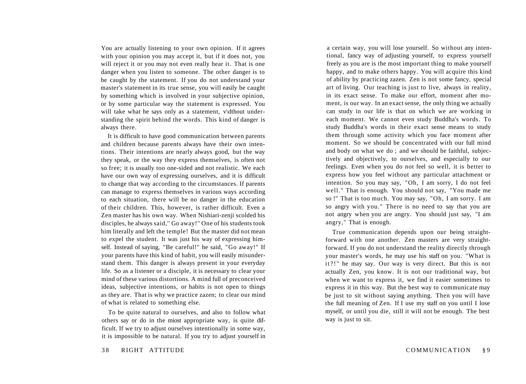You are actually listening to your own opinion. If it agrees with your opinion you may accept it, but if it does not, you will reject it or you may not even really hear it. That is one danger when you listen to someone. The other danger is to be caught by the statement. If you do not understand your master's statement in its true sense, you will easily be caught by something which is involved in your subjective opinion, or by some particular way the statement is expressed. You will take what he says only as a statement, v\dthout understanding the spirit behind the words. This kind of danger is always there.

It is difficult to have good communication between parents and children because parents always have their own intentions. Their intentions are nearly always good, but the way they speak, or the way they express themselves, is often not so free; it is usually too one-sided and not realistic. We each have our own way of expressing ourselves, and it is difficult to change that way according to the circumstances. If parents can manage to express themselves in various ways according to each situation, there will be no danger in the education of their children. This, however, is rather difficult. Even a Zen master has his own way. When Nishiari-zenji scolded his disciples, he always said,'' Go away!'' One of his students took him literally and left the temple! But the master did not mean to expel the student. It was just his way of expressing himself. Instead of saying, "Be careful!" he said, "Go away!" If your parents have this kind of habit, you will easily misunderstand them. This danger is always present in your everyday life. So as a listener or a disciple, it is necessary to clear your mind of these various distortions. A mind full of preconceived ideas, subjective intentions, or habits is not open to things as they are. That is why we practice zazen; to clear our mind of what is related to something else.

To be quite natural to ourselves, and also to follow what others say or do in the miost appropriate way, is quite difficult. If we try to adjust ourselves intentionally in some way, it is impossible to be natural. If you try to adjust yourself in

a certain way, you will lose yourself. So without any intentional, fancy way of adjusting yourself, to express yourself freely as you are is the most important thing to make yourself happy, and to make others happy. You will acquire this kind of ability by practicing zazen. Zen is not some fancy, special art of living. Our teaching is just to live, always in reality, in its exact sense. To make our effort, moment after moment, is our way. In an exact sense, the only thing we actually can study in our life is that on which we are working in each moment. We cannot even study Buddha's words. To study Buddha's words in their exact sense means to study them through some activity which you face moment after moment. So we should be concentrated with our full mind and body on what we do ; and we should be faithful, subjectively and objectively, to ourselves, and especially to our feelings. Even when you do not feel so well, it is better to express how you feel without any particular attachment or intention. So you may say, "Oh, I am sorry, I do not feel well." That is enough. You should not say, "You made me so !" That is too much. You may say, "Oh, I am sorry. I am so angry with you." There is no need to say that you are not angry when you are angry. You should just say, "I am angry," That is enough.

True communication depends upon our being straightforward with one another. Zen masters are very straightforward. If you do not understand the reality directly through your master's words, he may use his staff on you. "What is it?!" he may say. Our way is very direct. But this is not actually Zen, you know. It is not our traditional way, but when we want to express it, we find it easier sometimes to express it in this way. But the best way to communicate may be just to sit without saying anything. Then you will have the full meaning of Zen. If I use my staff on you until I lose myself, or until you die, still it will not be enough. The best way is just to sit.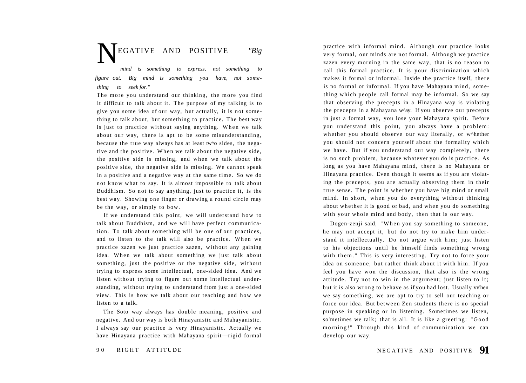# NEGATIVE AND POSITIVE *"Big*

*mind is something to express, not something to figure out. Big mind is something you have, not something to seek for."* 

The more you understand our thinking, the more you find it difficult to talk about it. The purpose of my talking is to give you some idea of our way, but actually, it is not something to talk about, but something to practice. The best way is just to practice without saying anything. When we talk about our way, there is apt to be some misunderstanding, because the true way always has at least tw^o sides, the negative and the positive. When we talk about the negative side, the positive side is missing, and when we talk about the positive side, the negative side is missing. We cannot speak in a positive and a negative way at the same time. So we do not know what to say. It is almost impossible to talk about Buddhism. So not to say anything, just to practice it, is the best way. Showing one finger or drawing a round circle rnay be the way, or simply to bow.

If we understand this point, we will understand how to talk about Buddhism, and we will have perfect communication. To talk about something will be one of our practices, and to listen to the talk will also be practice. When we practice zazen we just practice zazen, without any gaining idea. When we talk about something we just talk about something, just the positive or the negative side, without trying to express some intellectual, one-sided idea. And we listen without trying to figure out some intellectual understanding, without trying to understand from just a one-sided view. This is how we talk about our teaching and how we listen to a talk.

The Soto way always has double meaning, positive and negative. And our way is both Hinayanistic and Mahayanistic. I always say our practice is very Hinayanistic. Actually we have Hinayana practice with Mahayana spirit—rigid formal

90 RIGHT ATTITUDE

practice with informal mind. Although our practice looks very formal, our minds are not formal. Although we practice zazen every morning in the same way, that is no reason to call this formal practice. It is your discrimination which makes it formal or informal. Inside the practice itself, there is no formal or informal. If you have Mahayana mind, something which people call formal may be informal. So we say that observing the precepts in a Hinayana way is violating the precepts in a Mahayana w^ay. If you observe our precepts in just a formal way, you lose your Mahayana spirit. Before you understand this point, you always have a problem: whether you should observe our way literally, or w^hether you should not concern yourself about the formality which we have. But if you understand our way completely, there is no such problem, because whatever you do is practice. As long as you have Mahayana mind, there is no Mahayana or Hinayana practice. Even though it seems as if you are violating the precepts, you are actually observing them in their true sense. The point is whether you have big mind or small mind. In short, when you do everything without thinking about whether it is good or bad, and when you do something with your whole mind and body, then that is our way.

Dogen-zenji said, "When you say something to someone, he may not accept it, but do not try to make him understand it intellectually. Do not argue with him; just listen to his objections until he himself finds something wrong with them." This is very interesting. Try not to force your idea on someone, but rather think about it with him. If you feel you have won the discussion, that also is the wrong attitude. Try not to win in the argument; just listen to it; but it is also wrong to behave as if you had lost. Usually vv'hen we say something, we are apt to try to sell our teaching or force our idea. But between Zen students there is no special purpose in speaking or in listening. Sometimes we listen, so'metimes we talk; that is all. It is like a greeting: "Good morning!" Through this kind of communication we can develop our way.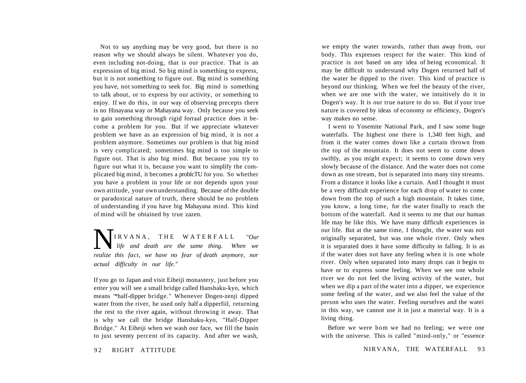Not to say anything may be very good, but there is no reason why we should always be silent. Whatever you do, even including not-doing, that is our practice. That is an expression of big mind. So big mind is something to express, but it is not something to figure out. Big mind is something you have, not something to seek for. Big mind is something to talk about, or to express by our activity, or something to enjoy. If we do this, in our way of observing precepts there is no Hinayana way or Mahayana way. Only because you seek to gain something through rigid forraal practice does it become a problem for you. But if we appreciate whatever problem we have as an expression of big mind, it is not a problem anymore. Sometimes our problem is that big mind is very complicated; sometimes big mind is too simple to figure out. That is also big mind. But because you try to figure out what it is, because you want to simplify the complicated big mind, it becomes a problcTU for you. So whether you have a problem in your life or not depends upon your own attitude, your own understanding. Because of the double or paradoxical nature of truth, there should be no problem of understanding if you have big Mahayana mind. This kind of mind will be obtained by true zazen.

**NIRVANA**, THE WATERFALL "Our life and death are the same thing. When we *life and death are the same thing. When we realize this fact, we have no fear of death anymore, nor actual difficulty in our life."* 

If you go to Japan and visit Eiheiji monastery, just before you enter you will see a small bridge called Hanshaku-kyo, which means '\*half-dipper bridge." Whenever Dogen-zenji dipped water from the river, he used only half a dipperfiil, returning the rest to the river again, without throwing it away. That is why we call the bridge Hanshaku-kyo, "Half-Dipper Bridge." At Eiheiji when we wash our face, we fill the basin to just seventy percent of its capacity. And after we wash,

92 RIGHT ATTITUDE

we empty the water towards, rather than away from, our body. This expresses respect for the water. This kind of practice is not based on any idea of being economical. It may be difficult to understand why Dogen returned half of the water he dipped to the river. This kind of practice is beyond our thinking. When we feel the beauty of the river, when we are one with the water, we intuitively do it in Dogen's way. It is our true nature to do so. But if your true nature is covered by ideas of economy or efficiency, Dogen's way makes no sense.

I went to Yosemite National Park, and I saw some huge waterfalls. The highest one there is 1,340 feet high, and from it the water comes down like a curtain thrown from the top of the mountain. It does not seem to come down swiftly, as you might expect; it seems to come down very slowly because of the distance. And the water does not come down as one stream, but is separated into many tiny streams. From a distance it looks like a curtain. And I thought it must be a very difficult experience for each drop of water to come down from the top of such a high mountain. It takes time, you know, a long time, for the water finally to reach the bottom of the waterfall. And it seems to me that our human life may be like this. We have many difficult experiences in our life. But at the same time, I thought, the water was not originally separated, but was one whole river. Only when it is separated does it have some difficulty in falling. It is as if the water does not have any feeling when it is one whole river. Only when separated into many drops can it begin to have or to express some feeling. When we see one whole river we do not feel the living activity of the water, but when we dip a part of the water into a dipper, we experience some feeling of the water, and we also feel the value of the person who uses the water. Feeling ourselves and the watei in this way, we cannot use it in just a material way. It is a living thing.

Before we were bom we had no feeling; we were one with the universe. This is called "mind-only," or "essence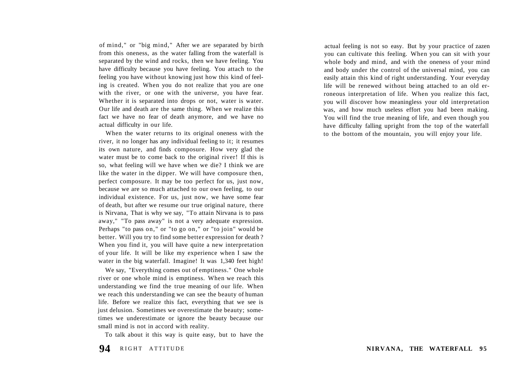of mind," or "big mind," After we are separated by birth from this oneness, as the water falling from the waterfall is separated by the wind and rocks, then we have feeling. You have difficulty because you have feeling. You attach to the feeling you have without knowing just how this kind of feeling is created. When you do not realize that you are one with the river, or one with the universe, you have fear. Whether it is separated into drops or not, water is water. Our life and death are the same thing. When we realize this fact we have no fear of death anymore, and we have no actual difficulty in our life.

When the water returns to its original oneness with the river, it no longer has any individual feeling to it; it resumes its own nature, and finds composure. How very glad the water must be to come back to the original river! If this is so, what feeling will we have when we die? I think we are like the water in the dipper. We will have composure then, perfect composure. It may be too perfect for us, just now, because we are so much attached to our own feeling, to our individual existence. For us, just now, we have some fear of death, but after we resume our true original nature, there is Nirvana, That is why we say, "To attain Nirvana is to pass away," "To pass away" is not a very adequate expression. Perhaps "to pass on," or "to go on," or "to join" would be better. Will you try to find some better expression for death ? When you find it, you will have quite a new interpretation of your life. It will be like my experience when I saw the water in the big waterfall. Imagine! It was 1,340 feet high!

We say, "Everything comes out of emptiness." One whole river or one whole mind is emptiness. When we reach this understanding we find the true meaning of our life. When we reach this understanding we can see the beauty of human life. Before we realize this fact, everything that we see is just delusion. Sometimes we overestimate the beauty; sometimes we underestimate or ignore the beauty because our small mind is not in accord with reality.

To talk about it this way is quite easy, but to have the

actual feeling is not so easy. But by your practice of zazen you can cultivate this feeling. When you can sit with your whole body and mind, and with the oneness of your mind and body under the control of the universal mind, you can easily attain this kind of right understanding. Your everyday life will be renewed without being attached to an old erroneous interpretation of life. When you realize this fact, you will discover how meaningless your old interpretation was, and how much useless effort you had been making. You will find the true meaning of life, and even though you have difficulty falling upright from the top of the waterfall to the bottom of the mountain, you will enjoy your life.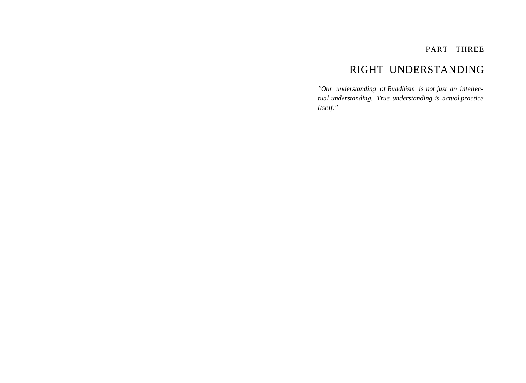## PART THREE

# RIGHT UNDERSTANDING

*"Our understanding of Buddhism is not just an intellectual understanding. True understanding is actual practice itself."*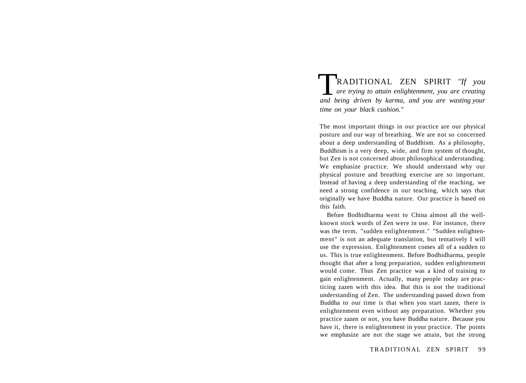$\prod_{\text{and }h}$ RADITIONAL ZEN SPIRIT *''If you are trying to attain enlightenment, you are creating and being driven by karma, and you are wasting your time on your black cushion."* 

The most important things in our practice are our physical posture and our way of breathing. We are not so concerned about a deep understanding of Buddhism. As a philosophy, Buddhism is a very deep, wide, and firm system of thought, but Zen is not concerned about philosophical understanding. We emphasize practice. We should understand why our physical posture and breathing exercise are so important. Instead of having a deep understanding of the teaching, we need a strong confidence in our teaching, which says that originally we have Buddha nature. Our practice is based on this faith.

Before Bodhidharma went to China almost all the wellknown stock words of Zen were in use. For instance, there was the term, "sudden enlightenment." "Sudden enlightenment" is not an adequate translation, but tentatively I will use the expression. Enlightenment comes all of a sudden to us. This is true enlightenment. Before Bodhidharma, people thought that after a long preparation, sudden enlightenment would come. Thus Zen practice was a kind of training to gain enlightenment. Actually, many people today are practicing zazen with this idea. But this is not the traditional understanding of Zen. The understanding passed down from Buddha to our time is that when you start zazen, there is enlightenment even without any preparation. Whether you practice zazen or not, you have Buddha nature. Because you have it, there is enlightenment in your practice. The points we emphasize are not the stage we attain, but the strong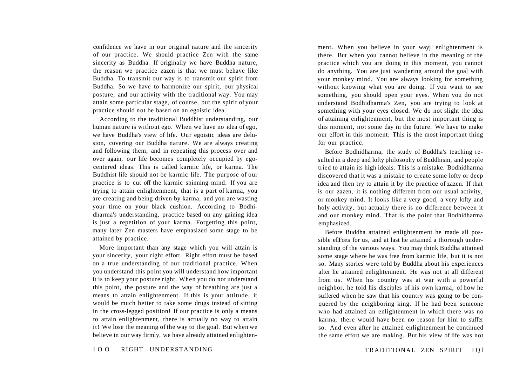confidence we have in our original nature and the sincerity of our practice. We should practice Zen with the same sincerity as Buddha. If originally we have Buddha nature, the reason we practice zazen is that we must behave like Buddha. To transmit our way is to transmit our spirit from Buddha. So we have to harmonize our spirit, our physical posture, and our activity with the traditional way. You may attain some particular stage, of course, but the spirit of your practice should not be based on an egoistic idea.

According to the traditional Buddhist understanding, our human nature is without ego. When we have no idea of ego, we have Buddha's view of life. Our egoistic ideas are delusion, covering our Buddha nature. We are always creating and following them, and in repeating this process over and over again, our life becomes completely occupied by egocentered ideas. This is called karmic life, or karma. The Buddhist life should not be karmic life. The purpose of our practice is to cut off the karmic spinning mind. If you are trying to attain enlightenment, that is a part of karma, you are creating and being driven by karma, and you are wasting your time on your black cushion. According to Bodhidharma's understanding, practice based on any gaining idea is just a repetition of your karma. Forgetting this point, many later Zen masters have emphasized some stage to be attained by practice.

More important than any stage which you will attain is your sincerity, your right effort. Right effort must be based on a true understanding of our traditional practice. When you understand this point you will understand how important it is to keep your posture right. When you do not understand this point, the posture and the way of breathing are just a means to attain enlightenment. If this is your attitude, it would be much better to take some drugs instead of sitting in the cross-legged position! If our practice is only a means to attain enlightenment, there is actually no way to attain it! We lose the meaning of the way to the goal. But when we believe in our way firmly, we have already attained enlighten-

l O O RIGHT UNDERSTANDING

ment. When you believe in your wayj enlightenment is there. But when you cannot believe in the meaning of the practice which you are doing in this moment, you cannot do anything. You are just wandering around the goal with your monkey mind. You are always looking for something without knowing what you are doing. If you want to see something, you should open your eyes. When you do not understand Bodhidharma's Zen, you are trying to look at something with your eyes closed. We do not slight the idea of attaining enlightenment, but the most important thing is this moment, not some day in the future. We have to make our effort in this moment. This is the most important thing for our practice.

Before Bodhidharma, the study of Buddha's teaching resulted in a deep and lofty philosophy of Buddhism, and people tried to attain its high ideals. This is a mistake. Bodhidharma discovered that it was a mistake to create some lofty or deep idea and then try to attain it by the practice of zazen. If that is our zazen, it is nothing different from our usual activity, or monkey mind. It looks like a very good, a very lofty and holy activity, but actually there is no difference between it and our monkey mind. That is the point that Bodhidharma emphasized.

Before Buddha attained enlightenment he made all possible eflForts for us, and at last he attained a thorough understanding of the various ways. You may think Buddha attained some stage where he was free from karmic life, but it is not so. Many stories were told by Buddha about his experiences after he attained enlightenment. He was not at all different from us. When his country was at war with a powerful neighbor, he told his disciples of his own karma, of how he suffered when he saw that his country was going to be conquered by the neighboring king. If he had been someone who had attained an enlightenment in which there was no karma, there would have been no reason for him to suffer so. And even after he attained enlightenment he continued the same effort we are making. But his view of life was not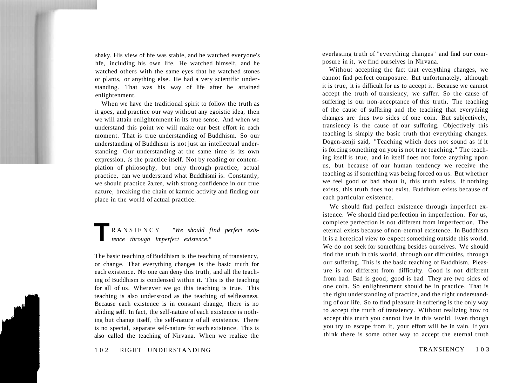shaky. His view of hfe was stable, and he watched everyone's hfe, including his own life. He watched himself, and he watched others with the same eyes that he watched stones or plants, or anything else. He had a very scientific understanding. That was his way of life after he attained enlightenment.

When we have the traditional spirit to follow the truth as it goes, and practice our way without any egoistic idea, then we will attain enlightenment in its true sense. And when we understand this point we will make our best effort in each moment. That is true understanding of Buddhism. So our understanding of Buddhism is not just an intellectual understanding. Our understanding at the same time is its own expression, *is* the practice itself. Not by reading or contemplation of philosophy, but only through practice, actual practice, can we understand what Buddhismi is. Constantly, we should practice 2a.zen, with strong confidence in our true nature, breaking the chain of karmic activity and finding our place in the world of actual practice.

### **T** RANSIENC <sup>Y</sup> *"We should find perfect existence through imperfect existence."*

The basic teaching of Buddhism is the teaching of transiency, or change. That everything changes is the basic truth for each existence. No one can deny this truth, and all the teaching of Buddhism is condensed within it. This is the teaching for all of us. Wherever we go this teaching is true. This teaching is also understood as the teaching of selflessness. Because each existence is in constant change, there is no abiding self. In fact, the self-nature of each existence is nothing but change itself, the self-nature of all existence. There is no special, separate self-nature for each existence. This is also called the teaching of Nirvana. When we realize the everlasting truth of "everything changes" and find our composure in it, we find ourselves in Nirvana.

Without accepting the fact that everything changes, we cannot find perfect composure. But unfortunately, although it is true, it is difficult for us to accept it. Because we cannot accept the truth of transiency, we suffer. So the cause of suffering is our non-acceptance of this truth. The teaching of the cause of suffering and the teaching that everything changes are thus two sides of one coin. But subjectively, transiency is the cause of our suffering. Objectively this teaching is simply the basic truth that everything changes. Dogen-zenji said, "Teaching which does not sound as if it is forcing something on you is not true teaching." The teaching itself is true, and in itself does not force anything upon us, but because of our human tendency we receive the teaching as if something was being forced on us. But whether we feel good or bad about it, this truth exists. If nothing exists, this truth does not exist. Buddhism exists because of each particular existence.

We should find perfect existence through imperfect existence. We should find perfection in imperfection. For us, complete perfection is not different from imperfection. The eternal exists because of non-eternal existence. In Buddhism it is a heretical view to expect something outside this world. We do not seek for something besides ourselves. We should find the truth in this world, through our difficulties, through our suffering. This is the basic teaching of Buddhism. Pleasure is not different from difficulty. Good is not different from bad. Bad is good; good is bad. They are two sides of one coin. So enlightenment should be in practice. That is the right understanding of practice, and the right understanding of our life. So to find pleasure in suffering is the only way to accept the truth of transiency. Without realizing how to accept this truth you cannot live in this world. Even though you try to escape from it, your effort will be in vain. If you think there is some other way to accept the eternal truth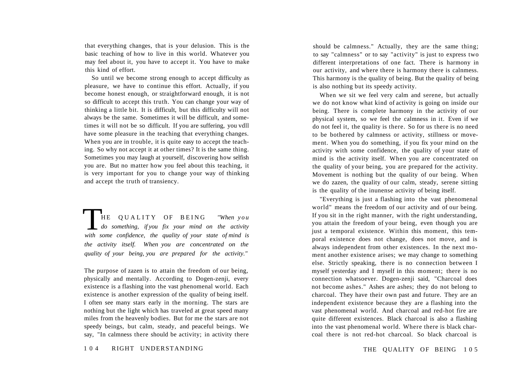that everything changes, that is your delusion. This is the basic teaching of how to live in this world. Whatever you may feel about it, you have to accept it. You have to make this kind of effort.

So until we become strong enough to accept difficulty as pleasure, we have to continue this effort. Actually, if you become honest enough, or straightforward enough, it is not so difficult to accept this truth. You can change your way of thinking a little bit. It is difficult, but this difficulty will not always be the same. Sometimes it will be difficult, and sometimes it will not be so difficult. If you are suffering, you vdll have some pleasure in the teaching that everything changes. When you are in trouble, it is quite easy to accept the teaching. So why not accept it at other times? It is the same thing. Sometimes you may laugh at yourself, discovering how selfish you are. But no matter how you feel about this teaching, it is very important for you to change your way of thinking and accept the truth of transiency.

**FORTALL SOUTE AT A FORTALL SO THE QUALITY OF BEING** "When you do something, if you fix your mind on the activity with some confidence, the quality of your state of mind is HE QUALITY OF BEING *"When you do something, if you fix your mind on the activity the activity itself. When you are concentrated on the quality of your being, you are prepared for the activity."* 

The purpose of zazen is to attain the freedom of our being, physically and mentally. According to Dogen-zenji, every existence is a flashing into the vast phenomenal world. Each existence is another expression of the quality of being itself. I often see many stars early in the morning. The stars are nothing but the light which has traveled at great speed many miles from the heavenly bodies. But for me the stars are not speedy beings, but calm, steady, and peaceful beings. We say, "In calmness there should be activity; in activity there

should be calmness." Actually, they are the same thing; to say "calmness" or to say "activity" is just to express two different interpretations of one fact. There is harmony in our activity, and where there is harmony there is calnmess. This harmony is the quality of being. But the quality of being is also nothing but its speedy activity.

When we sit we feel very calm and serene, but actually we do not know what kind of activity is going on inside our being. There is complete harmony in the activity of our physical system, so we feel the calmness in it. Even if we do not feel it, the quality is there. So for us there is no need to be bothered by calmness or activity, stillness or movement. When you do something, if you fix your mind on the activity with some confidence, the quality of your state of mind is the activity itself. When you are concentrated on the quality of your being, you are prepared for the activity. Movement is nothing but the quality of our being. When we do zazen, the quality of our calm, steady, serene sitting is the quality of the inunense activity of being itself.

"Everything is just a flashing into the vast phenomenal world" means the freedom of our activity and of our being. If you sit in the right manner, with the right understanding, you attain the freedom of your being, even though you are just a temporal existence. Within this moment, this temporal existence does not change, does not move, and is always independent from other existences. In the next moment another existence arises; we may change to something else. Strictly speaking, there is no connection between I myself yesterday and I myself in this moment; there is no connection whatsoever. Dogen-zenji said, "Charcoal does not become ashes." Ashes are ashes; they do not belong to charcoal. They have their own past and future. They are an independent existence because they are a flashing into the vast phenomenal world. And charcoal and red-hot fire are quite different existences. Black charcoal is also a flashing into the vast phenomenal world. Where there is black charcoal there is not red-hot charcoal. So black charcoal is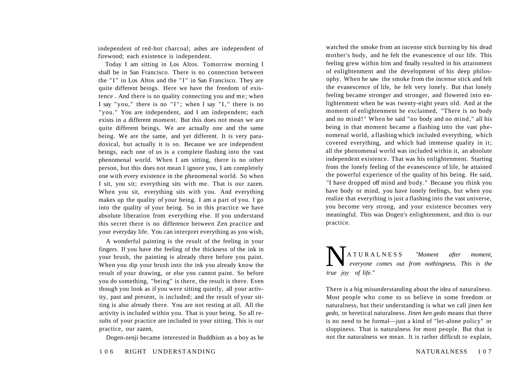independent of red-hot charcoal; ashes are independent of firewood; each existence is independent.

Today I am sitting in Los Altos. Tomorrow morning I shall be in San Francisco. There is no connection between the "I" in Los Altos and the "I" in San Francisco. They are quite different beings. Here we have the freedom of existence . And there is no quality connecting you and me; when I say "you," there is no "I"; when I say "I," there is no "you." You are independent, and I am independent; each exists in a different moment. But this does not mean we are quite different beings. We are actually one and the same being. We are the same, and yet different. It is very paradoxical, but actually it is so. Because we are independent beings, each one of us is a complete flashing into the vast phenomenal world. When I am sitting, there is no other person, but this does not mean I ignore you, I am completely one with every existence in the phenomenal world. So when I sit, you sit; everything sits with me. That is our zazen. When you sit, everything sits with you. And everything makes up the quality of your being. I am a part of you. I go into the quality of your being. So in this practice we have absolute liberation from everything else. If you understand this secret there is no difference between Zen practice and your everyday life. You can interpret everything as you wish,

A wonderful painting is the result of the feeling in your fingers. If you have the feeling of the thickness of the ink in your brush, the painting is already there before you paint. When you dip your brush into the ink you already know the result of your drawing, or else you cannot paint. So before you do something, "being" is there, the result is there. Even though you look as if you were sitting quietly, all your activity, past and present, is included; and the result of your sitting is also already there. You are not resting at all. All the activity is included within you. That is your being. So all results of your practice are included in your sitting. This is our practice, our zazen,

Dogen-zenji became interested in Buddhism as a boy as he

watched the smoke from an incense stick burning by his dead mother's body, and he felt the evanescence of our life. This feeling grew within him and finally resulted in his attainment of enlightenment and the development of his deep philosophy. When he saw the smoke from the incense stick and felt the evanescence of life, he felt very lonely. But that lonely feeling became stronger and stronger, and flowered into enlightenment when he was twenty-eight years old. And at the moment of enlightenment he exclaimed, "There is no body and no mind!" When he said "no body and no mind," all his being in that moment became a flashing into the vast phenomenal world, a flashing which included everything, which covered everything, and which had immense quality in it; all the phenomenal world was included within it, an absolute independent existence. That was his enlightenment. Starting from the lonely feeling of the evanescence of life, he attained the powerful experience of the quality of his being. He said, "I have dropped off mind and body." Because you think you have body or mind, you have lonely feelings, but when you realize that everything is just a flashing into the vast universe, you become very strong, and your existence becomes very meaningful. This was Dogen's enlightenment, and this is our practice.

NATURALNES <sup>S</sup> *"Moment after moment, everyone comes out from nothingness. This is the true joy of life."* 

There is a big misunderstanding about the idea of naturalness. Most people who come to us believe in some freedom or naturalness, but their understanding is what we call jinen *ken gedo,* or heretical naturalness. *Jinen ken gedo* means that there is no need to be formal—just a kind of "let-alone policy" or sloppiness. That is naturalness for most people. But that is not the naturalness we mean. It is rather difficult to explain,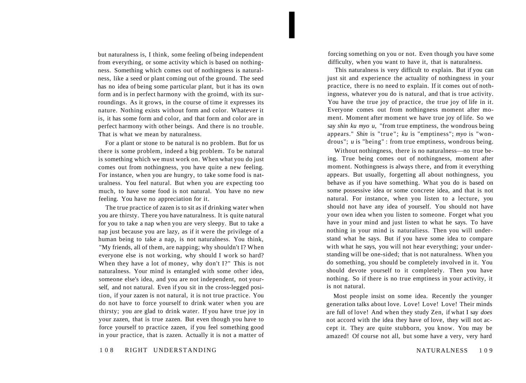but naturalness is, I think, some feeling of being independent from everything, or some activity which is based on nothingness. Something which comes out of nothingness is naturalness, like a seed or plant coming out of the ground. The seed has no idea of being some particular plant, but it has its own form and is in perfect harmony with the groimd, with its surroundings. As it grows, in the course of time it expresses its nature. Nothing exists without form and color. Whatever it is, it has some form and color, and that form and color are in perfect harmony with other beings. And there is no trouble. That is what we mean by naturalness.

For a plant or stone to be natural is no problem. But for us there is some problem, indeed a big problem. To be natural is something which we must work on. When what you do just comes out from nothingness, you have quite a new feeling. For instance, when you are hungry, to take some food is naturalness. You feel natural. But when you are expecting too much, to have some food is not natural. You have no new feeling. You have no appreciation for it.

The true practice of zazen is to sit as if drinking water when you are thirsty. There you have naturalness. It is quite natural for you to take a nap when you are very sleepy. But to take a nap just because you are lazy, as if it were the privilege of a human being to take a nap, is not naturalness. You think, "My friends, all of them, are napping; why shouldn't I? When everyone else is not working, why should I work so hard? When they have a lot of money, why don't I?" This is not naturalness. Your mind is entangled with some other idea, someone else's idea, and you are not independent, not yourself, and not natural. Even if you sit in the cross-legged position, if your zazen is not natural, it is not true practice. You do not have to force yourself to drink water when you are thirsty; you are glad to drink water. If you have true joy in your zazen, that is true zazen. But even though you have to force yourself to practice zazen, if you feel something good in your practice, that is zazen. Actually it is not a matter of forcing something on you or not. Even though you have some difficulty, when you want to have it, that is naturalness.

**I** 

This naturalness is very difficult to explain. But if you can just sit and experience the actuality of nothingness in your practice, there is no need to explain. If it comes out of nothingness, whatever you do is natural, and that is true activity. You have the true joy of practice, the true joy of life in it. Everyone comes out from nothingness moment after moment. Moment after moment we have true joy of life. So we say *shin ku myo u,* "from true emptiness, the wondrous being appears." *Shin* is "true" ; *ku* is "emptiness"; *myo* is "wondrous"; *u* is "being" : from true emptiness, wondrous being.

Without nothingness, there is no naturalness—no true being. True being comes out of nothingness, moment after moment. Nothingness is always there, and from it everything appears. But usually, forgetting all about nothingness, you behave as if you have something. What you do is based on some possessive idea or some concrete idea, and that is not natural. For instance, when you listen to a lecture, you should not have any idea of yourself. You should not have your own idea when you listen to someone. Forget what you have in your mind and just listen to what he says. To have nothing in your mind is naturaliess. Then you will understand what he says. But if you have some idea to compare with what he says, you will not hear everything; your understanding will be one-sided; that is not naturalness. When you do something, you should be completely involved in it. You should devote yourself to it completely. Then you have nothing. So if there is no true emptiness in your activity, it is not natural.

Most people insist on some idea. Recently the younger generation talks about love. Love! Love! Love! Their minds are full of love! And when they study Zen, if what I say *does*  not accord with the idea they have of love, they will not accept it. They are quite stubborn, you know. You may be amazed! Of course not all, but some have a very, very hard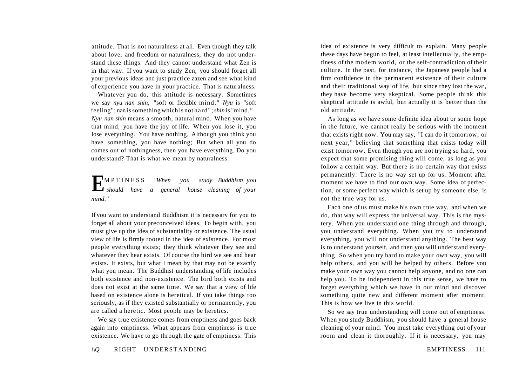attitude. That is not naturalness at all. Even though they talk about love, and freedom or naturalness, they do not understand these things. And they cannot understand what Zen is in that way. If you want to study Zen, you should forget all your previous ideas and just practice zazen and see what kind of experience you have in your practice. That is naturalness.

Whatever you do, this attitude is necessary. Sometimes we say *nyu nan shin,* "soft or flexible mind." *Nyu* is "soft feeling''; nan is something which is not hard" ; *shin* is "mind*." Nyu nan shin* means a smooth, natural mind. When you have that mind, you have the joy of life. When you lose it, you lose everything. You have nothing. Although you think you have something, you have nothing; But when all you do comes out of nothingness, then you have everything. Do you understand? That is what we mean by naturalness.

**E** MPTINES <sup>S</sup> *"When you study Buddhism you should have a general house cleaning of your mind."* 

If you want to understand Buddhism it is necessary for you to forget all about your preconceived ideas. To begin with, you must give up the Idea of substantiality or existence. The usual view of life is firmly rooted in the idea of existence. For most people everything exists; they think whatever they see and whatever they hear exists. Of course the bird we see and hear exists. It exists, but what I mean by that may not be exactly what you mean. The Buddhist understanding of life includes both existence and non-existence. The bird both exists and does not exist at the same time. We say that a view of life based on existence alone is heretical. If you take things too seriously, as if they existed substantially or permanently, you are called a heretic. Most people may be heretics.

We say true existence comes from emptiness and goes back again into emptiness. What appears from emptiness is true existence. We have to go through the gate of emptiness. This

idea of existence is very difficult to explain. Many people these days have begun to feel, at least intellectually, the emptiness of the modem world, or the self-contradiction of their culture. In the past, for instance, the Japanese people had a firm confidence in the permanent existence of their culture and their traditional way of life, but since they lost the war, they have become very skeptical. Some people think this skeptical attitude is awful, but actually it is better than the old attitude.

As long as we have some definite idea about or some hope in the future, we cannot really be serious with the moment that exists right now. You may say, "I can do it tomorrow, or next year," believing that something that exists today will exist tomorrow. Even though you are not trying so hard, you expect that some promising thing will come, as long as you follow a certain way. But there is no certain way that exists permanently. There is no way set up for us. Moment after moment we have to find our own way. Some idea of perfection, or some perfect way which is set up by someone else, is not the true way for us.

Each one of us must make his own true way, and when we do, that way will express the universal way. This is the mystery. When you understand one thing through and through, you understand everything. When you try to understand everything, you will not understand anything. The best way is to understand yourself, and then you will understand everything. So when you try hard to make your own way, you will help others, and you will be helped by others. Before you make your own way you cannot help anyone, and no one can help you. To be independent in this true sense, we have to forget everything which we have in our mind and discover something quite new and different moment after moment. This is how we live in this world.

So we say true understanding will come out of emptiness. When you study Buddhism, you should have a general house cleaning of your mind. You must take everything out of your room and clean it thoroughly. If it is necessary, you may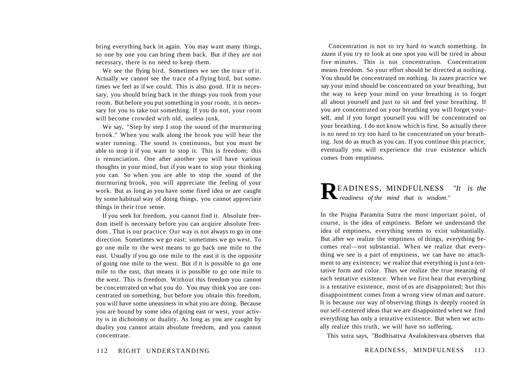bring everything back in again. You may want many things, so one by one you can bring them back. But if they are not necessary, there is no need to keep them.

We see the flying bird. Sometimes we see the trace of it. Actually we cannot see the trace of a flying bird, but sometimes we feel as if we could. This is also good. If it is necessary, you should bring back in the things you took from your room. But before you put something in your room, it is necessary for you to take out something. If you do not, your room will become crowded with old, useless junk.

We say, "Step by step I stop the sound of the murmuring brook." When you walk along the brook you will hear the water running. The sound is continuous, but you must be able to stop it if you want to stop it. This is freedom; this is renunciation. One after another you will have various thoughts in your mind, but if you want to stop your thinking you can. So when you are able to stop the sound of the murmuring brook, you will appreciate the feeling of your work. But as long as you have some fixed idea or are caught by some habitual way of doing things, you cannot appreciate things in their true sense.

If you seek for freedom, you cannot find it. Absolute freedom itself is necessary before you can acquire absolute freedom . That is our practice. Our way is not always to go in one direction. Sometimes we go east; sometimes we go west. To go one mile to the west means to go back one mile to the east. Usually if you go one mile to the east it is the opposite of going one mile to the west. But if it is possible to go one mile to the east, that means it is possible to go one mile to the west. This is freedom. Without this freedom you cannot be concentrated on what you do. You may think you are concentrated on something, but before you obtain this freedom, you will have some uneasiness in what you are doing. Because you are bound by some idea of going east or west, your activity is in dichotomy or duality. As long as you are caught by duality you cannot attain absolute freedom, and you cannot concentrate.

Concentration is not to try hard to watch something. In zazen if you try to look at one spot you will be tired in about five minutes. This is not concentration. Concentration means freedom. So your effort should be directed at nothing. You should be concentrated on nothing. In zazen practice we say your mind should be concentrated on your breathing, but the way to keep your mind on your breathing is to forget all about yourself and just to sit and feel your breathing. If you are concentrated on your breathing you will forget yourself, and if you forget yourself you will be concentrated on your breathing. I do not know which is first. So actually there is no need to try too hard to be concentrated on your breathing. Just do as much as you can. If you continue this practice, eventually you will experience the true existence which comes from emptiness.

# **R** EADINESS, MINDFULNESS *"It is the readiness of the mind that is wisdom."*

In the Prajna Paramita Sutra the most important point, of course, is the idea of emptiness. Before we understand the idea of emptiness, everything seems to exist substantially. But after we realize the emptiness of things, everything becomes real—not substantial. When we realize that everything we see is a part of emptiness, we can have no attachment to any existence; we realize that everything is just a tentative form and color. Thus we realize the true meaning of each tentative existence. When we first hear that everything is a tentative existence, most of us are disappointed; but this disappointment comes from a wrong view of man and nature. It is because our way of observing things is deeply rooted in our self-centered ideas that we are disappointed when we find everything has only a tentative existence. But when we actually realize this truth, we will have no suffering.

This sutra says, "Bodhisattva Avalokitesvara observes that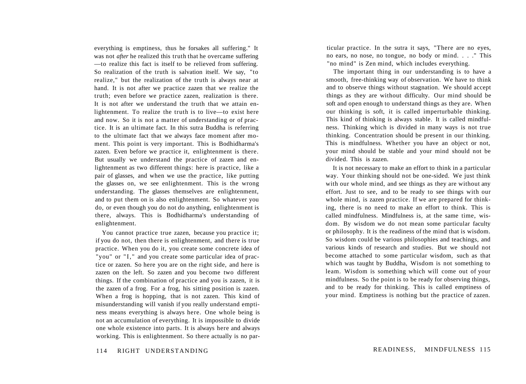everything is emptiness, thus he forsakes all suffering." It was not *after* he realized this truth that he overcame suffering —to realize this fact is itself to be relieved from suffering. So realization of the truth is salvation itself. We say, "to realize," but the realization of the truth is always near at hand. It is not after we practice zazen that we realize the truth; even before we practice zazen, realization is there. It is not after we understand the truth that we attain enlightenment. To realize the truth is to live—to exist here and now. So it is not a matter of understanding or of practice. It is an ultimate fact. In this sutra Buddha is referring to the ultimate fact that we always face moment after moment. This point is very important. This is Bodhidharma's zazen. Even before we practice it, enlightenment is there. But usually we understand the practice of zazen and enlightenment as two different things: here is practice, like a pair of glasses, and when we use the practice, like putting the glasses on, we see enlightenment. This is the wrong understanding. The glasses themselves are enlightenment, and to put them on is also enlightenment. So whatever you do, or even though you do not do anything, enlightenment is there, always. This is Bodhidharma's understanding of enlightenment.

You cannot practice true zazen, because you practice it; if you do not, then there is enlightenment, and there is true practice. When you do it, you create some concrete idea of "you" or "I," and you create some particular idea of practice or zazen. So here you are on the right side, and here is zazen on the left. So zazen and you become two different things. If the combination of practice and you is zazen, it is the zazen of a frog. For a frog, his sitting position is zazen. When a frog is hopping, that is not zazen. This kind of misunderstanding will vanish if you really understand emptiness means everything is always here. One whole being is not an accumulation of everything. It is impossible to divide one whole existence into parts. It is always here and always working. This is enlightenment. So there actually is no particular practice. In the sutra it says, "There are no eyes, no ears, no nose, no tongue, no body or mind. . . ." This "no mind" is Zen mind, which includes everything.

The important thing in our understanding is to have a smooth, free-thinking way of observation. We have to think and to observe things without stagnation. We should accept things as they are without difficulty. Our mind should be soft and open enough to understand things as they are. When our thinking is soft, it is called imperturbable thinking. This kind of thinking is always stable. It is called mindfulness. Thinking which is divided in many ways is not true thinking. Concentration should be present in our thinking. This is mindfulness. Whether you have an object or not, your mind should be stable and your mind should not be divided. This is zazen.

It is not necessary to make an effort to think in a particular way. Your thinking should not be one-sided. We just think with our whole mind, and see things as they are without any effort. Just to see, and to be ready to see things with our whole mind, is zazen practice. If we are prepared for thinking, there is no need to make an effort to think. This is called mindfulness. Mindfulness is, at the same time, wisdom. By wisdom we do not mean some particular faculty or philosophy. It is the readiness of the mind that is wisdom. So wisdom could be various philosophies and teachings, and various kinds of research and studies. But we should not become attached to some particular wisdom, such as that which was taught by Buddha, Wisdom is not something to leam. Wisdom is something which will come out of your mindfulness. So the point is to be ready for observing things, and to be ready for thinking. This is called emptiness of your mind. Emptiness is nothing but the practice of zazen.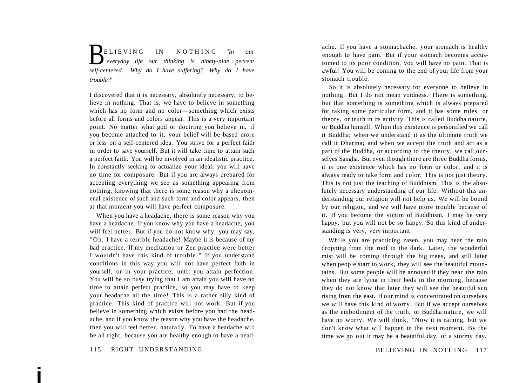**SELIEVING** IN NOTHING "In our everyday life our thinking is ninety-nine percent self-centered. "Why do I have suffering? Why do I have ELIEVIN G IN NOTHIN G *"In our everyday life our thinking is ninety-nine percent trouble?'* 

I discovered that it is necessary, absolutely necessary, to believe in nothing. That is, we have to believe in something which has no form and no color—something which exists before all forms and colors appear. This is a very important point. No matter what god or doctrine you believe in, if you become attached to it, your belief will be based more or less on a self-centered idea. You strive for a perfect faith in order to save yourself. But it will take time to attain such a perfect faith. You will be involved in an idealistic practice. In constantly seeking to actualize your ideal, you will have no time for composure. But if you are always prepared for accepting everything we see as something appearing from nothing, knowing that there is some reason why a phenomenal existence of such and such form and color appears, then at that moment you will have perfect composure.

When you have a headache, there is some reason why you have a headache. If you know why you have a headache, you will feel better. But if you do not know why, you may say, "Oh, I have a terrible headache! Maybe it is because of my bad practice. If my meditation or Zen practice were better I wouldn't have this kind of trouble!" If you understand conditions in this way you will not have perfect faith in yourself, or in your practice, until you attain perfection. You will be so busy trying that I am afraid you will have no time to attain perfect practice, so you may have to keep your headache all the time! This is a rather silly kind of practice. This kind of practice will not work. But if you believe in something which exists before you had the headache, and if you know the reason why you have the headache, then you will feel better, naturally. To have a headache will be all right, because you are healthy enough to have a headache. If you have a stomachache, your stomach is healthy enough to have pain. But if your stomach becomes accustomed to its poor condition, you will have no pain. That is awful! You will be coming to the end of your life from your stomach trouble.

So it is absolutely necessary for everyone to believe in nothing. But I do not mean voidness. There is something, but that something is something which is always prepared for taking some particular form, and it has some rules, or theory, or truth in its activity. This is called Buddha nature, or Buddha himself. When this existence is personified we call it Buddha; when we understand it as the ultimate truth we call it Dharma; and when we accept the truth and act as a part of the Buddha, or according to the theory, we call ourselves Sangha. But even though there are three Buddha forms, it is one existence which has no form or color, and it is always ready to take form and color. This is not just theory. This is not just the teaching of Buddhism. This is the absolutely necessary understanding of our life. Without this understanding our religion will not help us. We will be bound by our religion, and we will have more trouble because of it. If you become the victim of Buddhism, I may be very happy, but you will not be so happy. So this kind of understanding is very, very important.

While you are practicing zazen, you may hear the rain dropping from the roof in the dark. Later, the wonderful mist will be coming through the big trees, and still later when people start to work, they will see the beautiful mountains. But some people will be annoyed if they hear the rain when they are lying in their beds in the morning, because they do not know that later they will see the beautiful sun rising from the east. If our mind is concentrated on ourselves we will have this kind of worry. But if we accept ourselves as the embodiment of the truth, or Buddha nature, we will have no worry. We will think, "Now it is raining, but we don't know what will happen in the next moment. By the time we go out it may be a beautiful day, or a stormy day.

**i**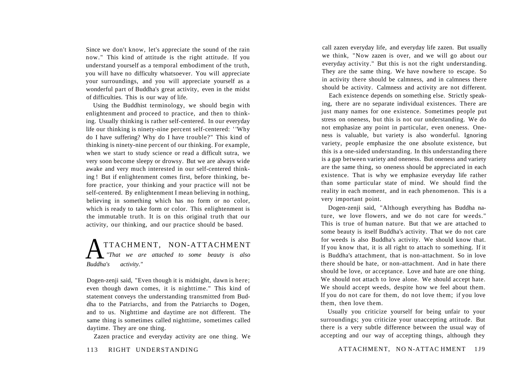Since we don't know, let's appreciate the sound of the rain now." This kind of attitude is the right attitude. If you understand yourself as a temporal embodiment of the truth, you will have no difficulty whatsoever. You will appreciate your surroundings, and you will appreciate yourself as a wonderful part of Buddha's great activity, even in the midst of difficulties. This is our way of life.

Using the Buddhist terminology, we should begin with enlightenment and proceed to practice, and then to thinking. Usually thinking is rather self-centered. In our everyday life our thinking is ninety-nine percent self-centered: ' 'Why do I have suffering? Why do I have trouble?" This kind of thinking is ninety-nine percent of our thinking. For example, when we start to study science or read a difficult sutra, we very soon become sleepy or drowsy. But we are always wide awake and very much interested in our self-centered thinking ! But if enlightenment comes first, before thinking, before practice, your thinking and your practice will not be self-centered. By enlightenment I mean believing in nothing, believing in something which has no form or no color, which is ready to take form or color. This enlightenment is the immutable truth. It is on this original truth that our activity, our thinking, and our practice should be based.

## **A**TTACHMENT, NON-ATTACHMENT<br>
"That we are attached to some beauty is also<br>
Buddha's activity." *"That we are attached to some beauty is also Buddha's activity."*

Dogen-zenji said, "Even though it is midnight, dawn is here; even though dawn comes, it is nighttime." This kind of statement conveys the understanding transmitted from Buddha to the Patriarchs, and from the Patriarchs to Dogen, and to us. Nighttime and daytime are not different. The same thing is sometimes called nighttime, sometimes called daytime. They are one thing.

Zazen practice and everyday activity are one thing. We

call zazen everyday life, and everyday life zazen. But usually we think, "Now zazen is over, and we will go about our everyday activity." But this is not the right understanding. They are the same thing. We have nowhere to escape. So in activity there should be calmness, and in calmness there should be activity. Calmness and activity are not different.

Each existence depends on something else. Strictly speaking, there are no separate individual existences. There are just many names for one existence. Sometimes people put stress on oneness, but this is not our understanding. We do not emphasize any point in particular, even oneness. Oneness is valuable, but variety is also wonderful. Ignoring variety, people emphasize the one absolute existence, but this is a one-sided understanding. In this understanding there is a gap between variety and oneness. But oneness and variety are the same thing, so oneness should be appreciated in each existence. That is why we emphasize everyday life rather than some particular state of mind. We should find the reality in each moment, and in each phenomenon. This is a very important point.

Dogen-zenji said, "Although everything has Buddha nature, we love flowers, and we do not care for weeds." This is true of human nature. But that we are attached to some beauty is itself Buddha's activity. That we do not care for weeds is also Buddha's activity. We should know that. If you know that, it is all right to attach to something. If it is Buddha's attachment, that is non-attachment. So in love there should be hate, or non-attachment. And in hate there should be love, or acceptance. Love and hate are one thing. We should not attach to love alone. We should accept hate. We should accept weeds, despite how we feel about them. If you do not care for them, do not love them; if you love them, then love them.

Usually you criticize yourself for being unfair to your surroundings; you criticize your unaccepting attitude. But there is a very subtle difference between the usual way of accepting and our way of accepting things, although they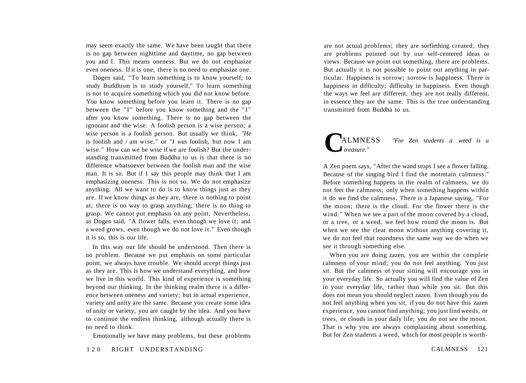may seem exactly the same. We have been taught that there is no gap between nighttime and daytime, no gap between you and I. This means oneness. But we do not emphasize even oneness. If it is one, there is no need to emphasize one.

Dogen said, "To learn something is to know yourself; to study Buddhism is to study yourself," To learn something is not to acquire something which you did not know before. You know something before you learn it. There is no gap between the "I" before you know something and the "I" after you know something. There is no gap between the ignorant and the wise. A foolish person is a wise person; a wise person is a foolish person. But usually we think, *"He*  is foolish and / am wise," or "I *was* foolish, but now I am wise." How can we be wise if we are foolish? But the understanding transmitted from Buddha to us is that there is no difference whatsoever between the foolish man and the wise man. It is so. But if 1 say this people may think that I am emphasizing oneness. This is not so. We do not emphasize anything. All we want to do is to know things just as they are. If we know things as they are, there is nothing to point at; there is no way to grasp anything; there is no thing to grasp. We cannot put emphasis on any point. Nevertheless, as Dogen said, "A flower falls, even though we love it; and a weed grows, even though we do not love it." Even though it is so, this is our life.

In this way our life should be understood. Then there is no problem. Because we put emphasis on some particular point, we always have trouble. We should accept things just as they are. This is how we understand everything, and how we live in this world. This kind of experience is something beyond our thinking. In the thinking realm there is a difference between oneness and variety; but in actual experience, variety and unity are the same. Because you create some idea of unity or variety, you are caught by the idea. And you have to continue the endless thinking, although actually there is no need to think.

Emotionally we have many problems, but these problems

are not actual problems; they are sorfiething created; they are problems pointed out by our self-centered ideas or views. Because we point out something, there are problems. But actually it is not possible to point out anything in particular. Happiness is sorrow; sorrow is happiness. There is happiness in difficulty; difficulty in happiness. Even though the ways we feel are different, they are not really different, in essence they are the same. This is the true understanding transmitted from Buddha to us.

#### **C** ALMNESS *treasure. "For Zen students a weed is a*

A Zen poem says, "After the wand stops I see a flower falling. Because of the singing bird I find the motmtain calmness." Before something happens in the realm of calmness, we do not feei the calmness; only when something happens within it do we find the calmness. There is a Japanese saying, "For the moon; there is the cloud. For the flower there is the wind." When we see a part of the moon covered by a cloud, or a tree, or a weed, we feel how round the moon is. But when we see the clear moon without anything covering it, we do not feel that roundness the same way we do when we see it through something else.

When you are doing zazen, you are within the complete calmness of your mind; you do not feel anything. You just sit. But the calmness of your sitting will encourage you in your everyday life. So actually you will find the value of Zen in your everyday life, rather than while you sit. But this does not mean you should neglect zazen. Even though you do not feel anything when you sit, if you do not have this zazen experience, you cannot find anything; you just find weeds, or trees, or clouds in your daily life; you do not see the moon. That is why you are always complaining about something. But for Zen students a weed, which for most people is worth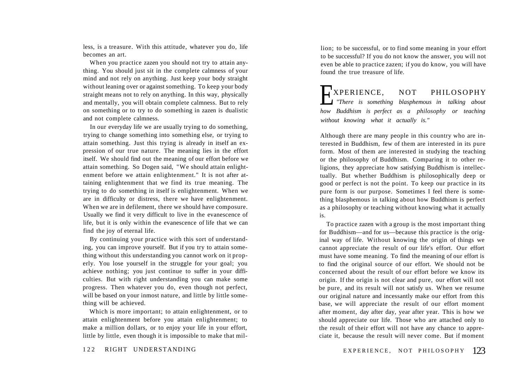less, is a treasure. With this attitude, whatever you do, life becomes an art.

When you practice zazen you should not try to attain anything. You should just sit in the complete calmness of your mind and not rely on anything. Just keep your body straight without leaning over or against something. To keep your body straight means not to rely on anything. In this way, physically and mentally, you will obtain complete calmness. But to rely on something or to try to do something in zazen is dualistic and not complete calmness.

In our everyday life we are usually trying to do something, trying to change something into something else, or trying to attain something. Just this trying is already in itself an expression of our true nature. The meaning lies in the effort itself. We should find out the meaning of our effort before we attain something. So Dogen said, "We should attain enlightenment before we attain enlightenment." It is not after attaining enlightenment that we find its true meaning. The trying to do something in itself is enlightenment. When we are in difficulty or distress, there we have enlightenment. When we are in defilement, there we should have composure. Usually we find it very difficult to live in the evanescence of life, but it is only within the evanescence of life that we can find the joy of eternal life.

By continuing your practice with this sort of understanding, you can improve yourself. But if you try to attain something without this understanding you cannot work on it properly. You lose yourself in the struggle for your goal; you achieve nothing; you just continue to suffer in your difficulties. But with right understanding you can make some progress. Then whatever you do, even though not perfect, will be based on your inmost nature, and little by little something will be achieved.

Which is more important; to attain enlightenment, or to attain enlightenment before you attain enlightenment; to make a million dollars, or to enjoy your life in your effort, little by little, even though it is impossible to make that mil-

122 RIGHT UNDERSTANDING

lion; to be successful, or to find some meaning in your effort to be successful? If you do not know the answer, you will not even be able to practice zazen; if you do know, you will have found the true treasure of life.

 $\Box$ XPERIENCE. NOT PHILOSOPHY *"There is something blasphemous in talking about how Buddhism is perfect as a philosophy or teaching without knowing what it actually is."* 

Although there are many people in this country who are interested in Buddhism, few of them are interested in its pure form. Most of them are interested in studying the teaching or the philosophy of Buddhism. Comparing it to other religions, they appreciate how satisfying Buddhism is intellectually. But whether Buddhism is philosophically deep or good or perfect is not the point. To keep our practice in its pure form is our purpose. Sometimes I feel there is something blasphemous in talking about how Buddhism is perfect as a philosophy or teaching without knowing what it actually is.

To practice zazen with a group is the most important thing for Buddhism—and for us—because this practice is the original way of life. Without knowing the origin of things we cannot appreciate the result of our life's effort. Our effort must have some meaning. To find the meaning of our effort is to find the original source of our effort. We should not be concerned about the result of our effort before we know its origin. If the origin is not clear and pure, our effort will not be pure, and its result will not satisfy us. When we resume our original nature and incessantly make our effort from this base, we will appreciate the result of our effort moment after moment, day after day, year after year. This is how we should appreciate our life. Those who are attached only to the result of their effort will not have any chance to appreciate it, because the result will never come. But if moment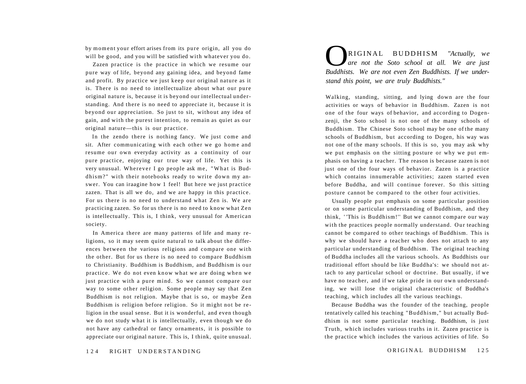by moment your effort arises from its pure origin, all you do will be good, and you will be satisfied with whatever you do.

Zazen practice is the practice in which we resume our pure way of life, beyond any gaining idea, and beyond fame and profit. By practice we just keep our original nature as it is. There is no need to intellectualize about what our pure original nature is, because it is beyond our intellectual understanding. And there is no need to appreciate it, because it is beyond our appreciation. So just to sit, without any idea of gain, and with the purest intention, to remain as quiet as our original nature—this is our practice.

In the zendo there is nothing fancy. We just come and sit. After communicating with each other we go home and resume our own everyday activity as a continuity of our pure practice, enjoying our true way of life. Yet this is very unusual. Wherever I go people ask me, "What is Buddhism?" with their notebooks ready to write down my answer. You can iraagine how 1 feel! But here we just practice zazen. That is all we do, and we are happy in this practice. For us there is no need to understand what Zen is. We are practicing zazen. So for us there is no need to know what Zen is intellectually. This is, I think, very unusual for American society.

In America there are many patterns of life and many religions, so it may seem quite natural to talk about the differences between the various religions and compare one with the other. But for us there is no need to compare Buddhism to Christianity. Buddhism is Buddhism, and Buddhism is our practice. We do not even know what we are doing when we just practice with a pure mind. So we cannot compare our way to some other religion. Some people may say that Zen Buddhism is not religion. Maybe that is so, or maybe Zen Buddhism is religion before religion. So it might not be re ligion in the usual sense. But it is wonderful, and even though we do not study what it is intellectually, even though we do not have any cathedral or fancy ornaments, it is possible to appreciate our original nature. This is, I think, quite unusual.

RIGINAL BUDDHISM "Actually, we *are not the Soto school at all. We are just Buddhists. We are not even Zen Buddhists. If we understand this point, we are truly Buddhists."* 

Walking, standing, sitting, and lying down are the four activities or ways of behavior in Buddhism. Zazen is not one of the four ways of behavior, and according to Dogenzenji, the Soto school is not one of the many schools of Buddhism. The Chinese Soto school may be one of the many schools of Buddhism, but according to Dogen, his way was not one of the many schools. If this is so, you may ask why we put emphasis on the sitting posture or why we put emphasis on having a teacher. The reason is because zazen is not just one of the four ways of behavior. Zazen is a practice which contains innumerable activities; zazen started even before Buddha, and will continue forever. So this sitting posture cannot be compared to the other four activities.

Usually people put emphasis on some particular position or on some particular understanding of Buddhism, and they think, 'This is Buddhism!" But we cannot compare our way with the practices people normally understand. Our teaching cannot be compared to other teachings of Buddhism. This is why we should have a teacher who does not attach to any particular understanding of Buddhism. The original teaching of Buddha includes all the various schools. As Buddhists our traditional effort should be like Buddha's: we should not attach to any particular school or doctrine. But usually, if we have no teacher, and if we take pride in our own understanding, we will lose the original characteristic of Buddha's teaching, which includes all the various teachings.

Because Buddha was the founder of the teaching, people tentatively called his teaching "Buddhism, " but actually Buddhism is not some particular teaching. Buddhism, is just Truth, which includes various truths in it. Zazen practice is the practice which includes the various activities of life. So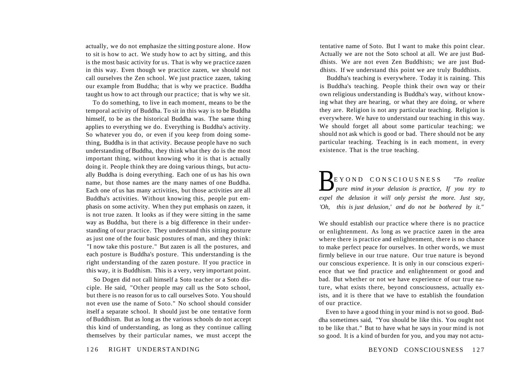actually, we do not emphasize the sitting posture alone. How to sit is how to act. We study how to act by sitting, and this is the most basic activity for us. That is why we practice zazen in this way. Even though we practice zazen, we should not call ourselves the Zen school. We just practice zazen, taking our example from Buddha; that is why we practice. Buddha taught us how to act through our practice; that is why we sit.

To do something, to live in each moment, means to be the temporal activity of Buddha. To sit in this way is to be Buddha himself, to be as the historical Buddha was. The same thing applies to everything we do. Everything is Buddha's activity. So whatever you do, or even if you keep from doing something, Buddha is in that activity. Because people have no such understanding of Buddha, they think what they do is the most important thing, without knowing who it is that is actually doing it. People think they are doing various things, but actually Buddha is doing everything. Each one of us has his own name, but those names are the many names of one Buddha. Each one of us has many activities, but those activities are all Buddha's activities. Without knowing this, people put emphasis on some activity. When they put emphasis on zazen, it is not true zazen. It looks as if they were sitting in the same way as Buddha, but there is a big difference in their understanding of our practice. They understand this sitting posture as just one of the four basic postures of man, and they think: "I now take this posture." But zazen is all the postures, and each posture is Buddha's posture. This understanding is the right understanding of the zazen posture. If you practice in this way, it is Buddhism. This is a very, very important point.

So Dogen did not call himself a Soto teacher or a Soto disciple. He said, "Other people may call us the Soto school, but there is no reason for us to call ourselves Soto. You should not even use the name of Soto." No school should consider itself a separate school. It should just be one tentative form of Buddhism. But as long as the various schools do not accept this kind of understanding, as long as they continue calling themselves by their particular names, we must accept the tentative name of Soto. But I want to make this point clear. Actually we are not the Soto school at all. We are just Buddhists. We are not even Zen Buddhists; we are just Buddhists. If we understand this point we are truly Buddhists.

Buddha's teaching is everywhere. Today it is raining. This is Buddha's teaching. People think their own way or their own religious understanding is Buddha's way, without knowing what they are hearing, or what they are doing, or where they are. Religion is not any particular teaching. Religion is everywhere. We have to understand our teaching in this way. We should forget all about some particular teaching; we should not ask which is good or bad. There should not be any particular teaching. Teaching is in each moment, in every existence. That is the true teaching.

BEYON D CONSCIOUSNES <sup>S</sup> *"To realize pure mind in your delusion is practice, If you try to expel the delusion it will only persist the more. Just say, 'Oh, this is just delusion,' and do not be bothered by it."* 

We should establish our practice where there is no practice or enlightenment. As long as we practice zazen in the area where there is practice and enlightenment, there is no chance to make perfect peace for ourselves. In other words, we must firmly believe in our true nature. Our true nature is beyond our conscious experience. It is only in our conscious experience that we find practice and enlightenment or good and bad. But whether or not we have experience of our true nature, what exists there, beyond consciousness, actually exists, and it is there that we have to establish the foundation of our practice.

Even to have a good thing in your mind is not so good. Buddha sometimes said, "You should be like this. You ought not to be like that." But to have what he says in your mind is not so good. It is a kind of burden for you, and you may not actu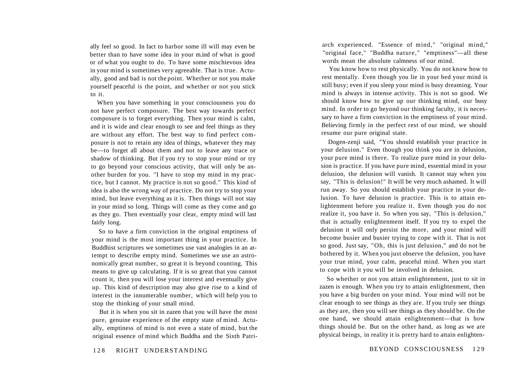ally feel so good. In fact to harbor some ill will may even be better than to have some idea in your m.ind of what is good or of what you ought to do. To have some mischievous idea in your mind is sometimes very agreeable. That is true. Actually, good and bad is not the point. Whether or not you make yourself peaceful is the point, and whether or not you stick to it.

When you have something in your consciousness you do not have perfect composure. The best way towards perfect composure is to forget everything. Then your mind is calm, and it is wide and clear enough to see and feel things as they are without any effort. The best way to find perfect composure is not to retain any idea of things, whatever they may be—to forget all about them and not to leave any trace or shadow of thinking. But if you try to stop your mind or try to go beyond your conscious activity, that will only be another burden for you. "I have to stop my mind in my practice, but I cannot. My practice is not so good." This kind of idea is also the wrong way of practice. Do not try to stop your mind, but leave everything as it is. Then things will not stay in your mind so long. Things will come as they come and go as they go. Then eventually your clear, empty mind will last fairly long.

So to have a firm conviction in the original emptiness of your mind is the most important thing in your practice. In Buddhist scriptures we sometimes use vast analogies in an attempt to describe empty mind. Sometimes we use an astronomically great number, so great it is beyond counting. This means to give up calculating. If it is so great that you cannot count it, then you will lose your interest and eventually give up. This kind of description may also give rise to a kind of interest in the innumerable number, which will help you to stop the thinking of your small mind.

But it is when you sit in zazen that you will have the most pure, genuine experience of the empty state of mind. Actually, emptiness of mind is not even a state of mind, but the original essence of mind which Buddha and the Sixth Patri-

128 RIGHT UNDERSTANDING

arch experienced. "Essence of mind," "original mind," "original face," "Buddha nature," "emptiness"—all these words mean the absolute calmness of our mind.

You know how to rest physically. You do not know how to rest mentally. Even though you lie in your bed your mind is still busy; even if you sleep your mind is busy dreaming. Your mind is always in intense activity. This is not so good. We should know how to give up our thinking mind, our busy mind. In order to go beyond our thinking faculty, it is necessary to have a firm conviction in the emptiness of your mind. Believing firmly in the perfect rest of our mind, we should resume our pure original state.

Dogen-zenji said, "You should establish your practice in your delusion." Even though you think you are in delusion, your pure mind is there. To realize pure mind in your delusion is practice. If you have pure mind, essential mind in your delusion, the delusion will vanish. It cannot stay when you say, "This is delusion!" It will be very much ashamed. It will run away. So you should establish your practice in your delusion. To have delusion is practice. This is to attain enlightenment before you realize it. Even though you do not realize it, you have it. So when you say, "This is delusion," that is actually enlightenment itself. If you try to expel the delusion it will only persist the more, and your mind will become busier and busier trying to cope with it. That is not so good. Just say, "Oh, this is just delusion," and do not be bothered by it. When you just observe the delusion, you have your true mind, your calm, peaceful mind. When you start to cope with it you will be involved in delusion.

So whether or not you attain enlightenment, just to sit in zazen is enough. When you try to attain enlightenment, then you have a big burden on your mind. Your mind will not be clear enough to see things as they are. If you truly see things as they are, then you will see things as they should be. On the one hand, we should attain enlightenment—that is how things should be. But on the other hand, as long as we are physical beings, in reality it is pretty hard to attain enlighten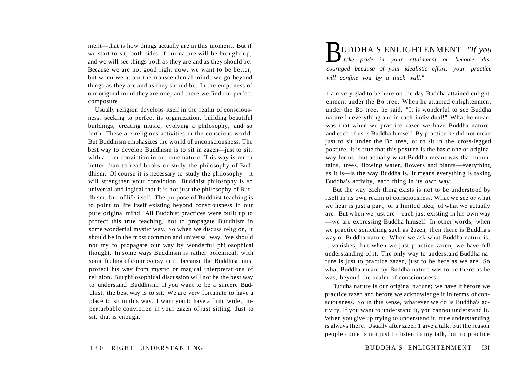ment—that is how things actually are in this moment. But if we start to sit, both sides of our nature will be brought up, and we will see things both as they are and as they should be. Because we are not good right now, we want to be better, but when we attain the transcendental mind, we go beyond things as they are and as they should be. In the emptiness of our original mind they are one, and there we find our perfect composure.

Usually religion develops itself in the realm of consciousness, seeking to perfect its organization, building beautiful buildings, creating music, evolving a philosophy, and so forth. These are religious activities in the conscious world. But Buddhism emphasizes the world of unconsciousness. The best way to develop Buddhism is to sit in zazen—just to sit, with a firm conviction in our true nature. This way is much better than to read books or study the philosophy of Buddhism. Of course it is necessary to study the philosophy—it will strengthen your conviction. Buddhist philosophy is so universal and logical that it is not just the philosophy of Buddhism, but of life itself. The purpose of Buddhist teaching is to point to life itself existing beyond consciousness in our pure original mind. All Buddhist practices were built up to protect this true teaching, not to propagate Buddhism in some wonderful mystic way. So when we discuss religion, it should be in the most common and universal way. We should not try to propagate our way by wonderful philosophical thought. In some ways Buddhism is rather polemical, with some feeling of controversy in it, because the Buddhist must protect his way from mystic or magical interpretations of religion. But philosophical discussion will not be the best way to understand Buddhism. If you want to be a sincere Buddhist, the best way is to sit. We are very fortunate to have a place to sit in this way. I want you to have a firm, wide, imperturbable conviction in your zazen of just sitting. Just to sit, that is enough.

BUDDHA'S ENLIGHTENMENT *"If you take pride in your attainment or become discouraged because of your idealistic effort, your practice will confine you by a thick wall."* 

1 am very glad to be here on the day Buddha attained enlightenment under the Bo tree. When he attained enlightenment under the Bo tree, he said, "It is wonderful to see Buddha nature in everything and in each individual!" What he meant was that when we practice zazen we have Buddha nature, and each of us is Buddha himself. By practice he did not mean just to sit under the Bo tree, or to sit in the cross-legged posture. It is true that this posture is the basic one or original way for us, but actually what Buddha meant was that mountains, trees, flowing water, flowers and plants—everything as it is—is the way Buddha is. It means everything is taking Buddha's activity, each thing in its own way.

But the way each thing exists is not to be understood by itself in its own realm of consciousness. What we see or what we hear is just a part, or a limited idea, of what we actually are. But when we just are—each just existing in his own way —we are expressing Buddha himself. In other words, when we practice something such as 2azen, then there is Buddha's way or Buddha nature. When we ask what Buddha nature is, it vanishes; but when we just practice zazen, we have full understanding of it. The only way to understand Buddha nature is just to practice zazen, just to be here as we are. So what Buddha meant by Buddha nature was to be there as he was, beyond the realm of consciousness.

Buddha nature is our original nature; we have it before we practice zazen and before we acknowledge it in terms of consciousness. So in this sense, whatever we do is Buddha's activity. If you want to understand it, you cannot understand it. When you give up trying to understand it, true understanding is always there. Usually after zazen 1 give a talk, but the reason people come is not just to listen to my talk, but to practice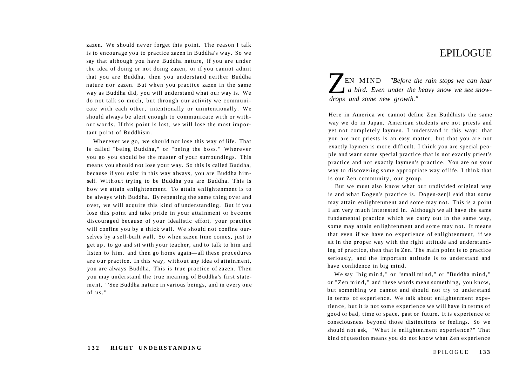zazen. We should never forget this point. The reason I talk is to encourage you to practice zazen in Buddha's way. So we say that although you have Buddha nature, if you are under the idea of doing or not doing zazen, or if you cannot admit that you are Buddha, then you understand neither Buddha nature nor zazen. But when you practice zazen in the same way as Buddha did, you will understand what our way is. We do not talk so much, but through our activity we communicate with each other, intentionally or unintentionally. We should always be alert enough to communicate with or without words. If this point is lost, we will lose the most important point of Buddhism.

Wherever we go, we should not lose this way of life. That is called "being Buddha," or "being the boss." Wherever you go you should be the master of your surroundings. This means you should not lose your way. So this is called Buddha, because if you exist in this way always, you are Buddha himself. Without trying to be Buddha you are Buddha. This is how we attain enlightenment. To attain enlightenment is to be always with Buddha. By repeating the same thing over and over, we will acquire this kind of understanding. But if you lose this point and take pride in your attainment or become discouraged because of your idealistic effort, your practice will confine you by a thick wall. We should not confine ourselves by a self-built wall. So when zazen time comes, just to get up, to go and sit with your teacher, and to talk to him and listen to him, and then go home again—all these procedures are our practice. In this way, without any idea of attainment, you are always Buddha, This is true practice of zazen. Then you may understand the true meaning of Buddha's first statement, ' 'See Buddha nature in various beings, and in every one of us. "

## EPILOGUE

 $\sum_{\text{drons}}$ EN MIND *"Before the rain stops we can hear a bird. Even under the heavy snow we see snowdrops and some new growth."* 

Here in America we cannot define Zen Buddhists the same way we do in Japan. American students are not priests and yet not completely laymen. I understand it this way: that you are not priests is an easy matter, but that you are not exactly laymen is more difficult. I think you are special people and want some special practice that is not exactly priest's practice and not exactly laymen's practice. You are on your way to discovering some appropriate way of life. I think that is our Zen community, our group.

But we must also know what our undivided original way is and what Dogen's practice is. Dogen-zenji said that some may attain enlightenment and some may not. This is a point I am very much interested in. Although we all have the same fundamental practice which we carry out in the same way, some may attain enlightenment and some may not. It means that even if we have no experience of enlightenment, if we sit in the proper way with the right attitude and understanding of practice, then that is Zen. The main point is to practice seriously, and the important attitude is to understand and have confidence in big mind.

We say "big mind," or "small mind," or "Buddha mind," or "Zen mind, " and these words mean something, you know, but something we cannot and should not try to understand in terms of experience. We talk about enlightenment experience, but it is not some experience we will have in terms of good or bad, time or space, past or future. It is experience or consciousness beyond those distinctions or feelings. So we should not ask, "What is enlightenment experience?" That kind of question means you do not know what Zen experience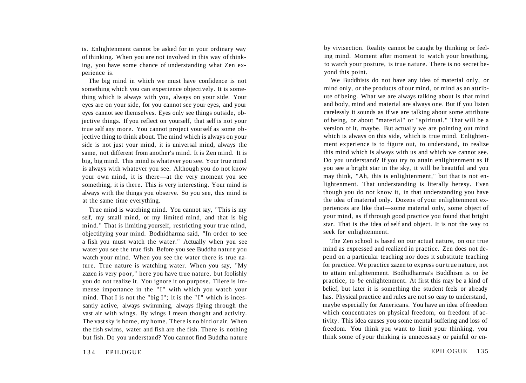is. Enlightenment cannot be asked for in your ordinary way of thinking. When you are not involved in this way of thinking, you have some chance of understanding what Zen experience is.

The big mind in which we must have confidence is not something which you can experience objectively. It is something which is always with you, always on your side. Your eyes are on your side, for you cannot see your eyes, and your eyes cannot see themselves. Eyes only see things outside, objective things. If you reflect on yourself, that self is not your true self any more. You cannot project yourself as some objective thing to think about. The mind which is always on your side is not just your mind, it is universal mind, always the same, not different from another's mind. It is Zen mind. It is big, big mind. This mind is whatever you see. Your true mind is always with whatever you see. Although you do not know your own mind, it is there—at the very moment you see something, it is there. This is very interesting. Your mind is always with the things you observe. So you see, this mind is at the same time everything.

True mind is watching mind. You cannot say, "This is my self, my small mind, or my limited mind, and that is big mind." That is limiting yourself, restricting your true mind, objectifying your mind. Bodhidharma said, "In order to see a fish you must watch the water." Actually when you see water you see the true fish. Before you see Buddha nature you watch your mind. When you see the water there is true nature. True nature is watching water. When you say, "My zazen is very poor," here you have true nature, but foolishly you do not realize it. You ignore it on purpose. Tliere is immense importance in the "I" with which you watch your mind. That I is not the "big  $I$ "; it is the "I" which is incessantly active, always swimming, always flying through the vast air with wings. By wings I mean thought and activity. The vast sky is home, my home. There is no bird or air. When the fish swims, water and fish are the fish. There is nothing but fish. Do you understand? You cannot find Buddha nature

by vivisection. Reality cannot be caught by thinking or feeling mind. Moment after moment to watch your breathing, to watch your posture, is true nature. There is no secret beyond this point.

We Buddhists do not have any idea of material only, or mind only, or the products of our mind, or mind as an attribute of being. What we are always talking about is that mind and body, mind and material are always one. But if you listen carelessly it sounds as if we are talking about some attribute of being, or about "material" or "spiritual." That will be a version of it, maybe. But actually we are pointing out mind which is always on this side, which is true mind. Enlightenment experience is to figure out, to understand, to realize this mind which is always with us and which we cannot see. Do you understand? If you try to attain enlightenment as if you see a bright star in the sky, it will be beautiful and you may think, "Ah, this is enlightenment," but that is not enlightenment. That understanding is literally heresy. Even though you do not know it, in that understanding you have the idea of material only. Dozens of your enlightenment experiences are like that—some material only, some object of your mind, as if through good practice you found that bright star. That is the idea of self and object. It is not the way to seek for enlightenment.

The Zen school is based on our actual nature, on our true mind as expressed and realized in practice. Zen does not depend on a particular teaching nor does it substitute teaching for practice. We practice zazen to express our true nature, not to attain enlightenment. Bodhidharma's Buddhism is to *be*  practice, to *be* enlightenment. At first this may be a kind of belief, but later it is something the student feels or already has. Physical practice and rules are not so easy to understand, maybe especially for Americans. You have an idea of freedom which concentrates on physical freedom, on freedom of activity. This idea causes you some mental suffering and loss of freedom. You think you want to limit your thinking, you think some of your thinking is unnecessary or painful or en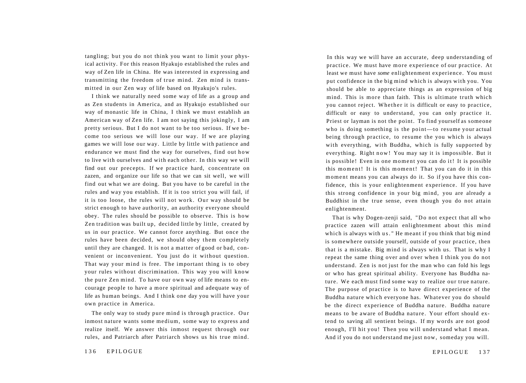tangling; but you do not think you want to limit your physical activity. For this reason Hyakujo established the rules and way of Zen life in China. He was interested in expressing and transmitting the freedom of true mind. Zen mind is transmitted in our Zen way of life based on Hyakujo's rules.

I think we naturally need some way of life as a group and as Zen students in America, and as Hyakujo established our way of monastic life in China, I think we must establish an American way of Zen life. I am not saying this jokingly, I am pretty serious. But I do not want to be too serious. If we become too serious we will lose our way. If we are playing games we will lose our way. Little by little with patience and endurance we must find the way for ourselves, find out how to live with ourselves and with each other. In this way we will find out our precepts. If we practice hard, concentrate on zazen, and organize our life so that we can sit well, we will find out what we are doing. But you have to be careful in the rules and way you establish. If it is too strict you will fail, if it is too loose, the rules will not work. Our way should be strict enough to have authority, an authority everyone should obey. The rules should be possible to observe. This is how Zen tradition was built up, decided little by little, created by us in our practice. We cannot force anything. But once the rules have been decided, we should obey them completely until they are changed. It is not a matter of good or bad, convenient or inconvenient. You just do it without question. That way your mind is free. The important thing is to obey your rules without discrimination. This way you will know the pure Zen mind. To have our own way of life means to encourage people to have a more spiritual and adequate way of life as human beings. And I think one day you will have your own practice in America.

The only way to study pure mind is through practice. Our inmost nature wants some medium, some way to express and realize itself. We answer this inmost request through our rules, and Patriarch after Patriarch shows us his true mind.

In this way we will have an accurate, deep understanding of practice. We must have more experience of our practice. At least we must have *some* enlightenment experience. You must put confidence in the big mind which is always with you. You should be able to appreciate things as an expression of big mind. This is more than faith. This is ultimate truth which you cannot reject. Whether it is difficult or easy to practice, difficult or easy to understand, you can only practice it. Priest or layman is not the point. To find yourself as someone who is doing something is the point—to resume your actual being through practice, to resume the you which is always with everything, with Buddha, which is fully supported by everything. Right now! You may say it is impossible. But it is possible! Even in one moment you can do it! It is possible this moment! It is this moment! That you can do it in this moment means you can always do it. So if you have this confidence, this is your enlightenment experience. If you have this strong confidence in your big mind, you are already a Buddhist in the true sense, even though you do not attain enlightenment.

That is why Dogen-zenji said, "Do not expect that all who practice zazen will attain enlightenment about this mind which is always with us. " He meant if you think that big mind is somewhere outside yourself, outside of your practice, then that is a mistake. Big mind is always with us. That is why I repeat the same thing over and over when I think you do not understand. Zen is not just for the man who can fold his legs or who has great spiritual ability. Everyone has Buddha nature. We each must find some way to realize our true nature. The purpose of practice is to have direct experience of the Buddha nature which everyone has. Whatever you do should be the direct experience of Buddha nature. Buddha nature means to be aware of Buddha nature. Your effort should extend to saving all sentient beings. If my words are not good enough, I'll hit you! Then you will understand what I mean. And if you do not understand me just now, someday you will.